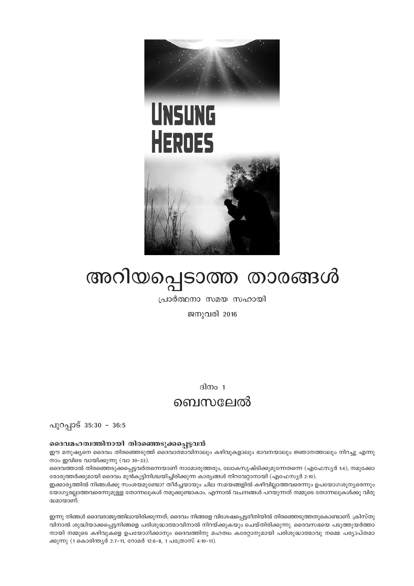

# അറിയപ്പെടാത്ത താരങ്ങൾ

്രവാർത്ഥനാ സമയ സഹായി

ജനുവരി 2016

 $\sin 1$ 

### ബെസലേൽ

പുറപ്പാട് 35:30 - 36:5

#### ssaanaഹത്വത്തിനായി തിരഞ്ഞെടുക്കപ്പെട്ടവൻ

ഈ മനുഷ്യനെ ദൈവം തിരഞ്ഞെടുത്ത് ദൈവാത്മാവിനാലും കഴിവുകളാലും ഭാവനയാലും ജ്ഞാനത്താലും നിറച്ചു എന്നു നാം ഇവിടെ വായിക്കുന്നു (വാ $30-33$ ).

ദെെവത്താൽ തിരഞ്ഞെടുക്കപ്പെട്ടവർതന്നെയാണ് നാമോരുത്തരും, ലോകസൃഷ്ടിക്കുമുന്നേതന്നെ (എഫേസ്യർ 1:4), നമുക്കോ ഭരാര്വത്തർക്കുമായി ദൈവം മുൻകൂട്ടിനിശ്ചയിച്ചിരിക്കുന്ന കാര്യങ്ങൾ നിറവേറാനായി (എഫേസ്യർ 2:10).

ഇക്കാര്യത്തിൽ നിങ്ങൾക്കു സംശയമുണ്ടോ? തീർച്ചയായും ചില സമയങ്ങളിൽ കഴിവില്ലാത്തവരെന്നും ഉപയോഗശുന്യരെന്നും യോഗ്യരല്ലാത്തവരെന്നുമുള്ള തോന്നലുകൾ നമുക്കുണ്ടാകാം. എന്നാൽ വചനങ്ങൾ പറയുന്നത് നമ്മുടെ തോന്നലുകൾക്കു വിരു  $\sin$ മാതാണ്.

ഇന്നു നിങ്ങൾ ദൈവരാജൃത്തിലായിരിക്കുന്നത്, ദൈവം നിങ്ങളെ വിശേഷപ്പെട്ടരീതിയിൽ തിരഞ്ഞെടുത്തതുകൊണ്ടാണ്. ക്രിസ്തു ിവനാൽ ശുദ്ധിയാക്കപ്പെട്ടനിങ്ങളെ പരിശുദ്ധാത്മാവിനാൽ നിറയ്ക്കുകയും ചെയ്തിരിക്കുന്നു. ദൈവസഭയെ പടുത്തുയർത്താ  $\mod$  നമ്മുടെ കഴിവുകളെ ഉപയോഗിക്കാനും ദൈവത്തിനു മഹത്വം കരേറ്റാനുമായി പരിശുദ്ധാത്മാവു നമ്മെ പര്യാപ്തമാ ക്കുന്നു (1 കൊരിന്തൃർ 2:7−11, റോമർ 12:6−8, 1 പത്രോസ് 4:10−11).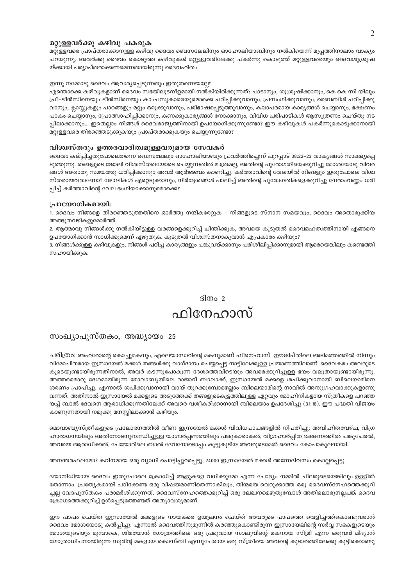#### മറ്റുള്ളവർക്കു കഴിവു പകരുക

മറ്റുള്ളവരെ പ്രാപ്തരാക്കാനുള്ള കഴിവു ദൈവം ബെസലേലിനും ഓഹോലിയാബിനും നൽകിയെന്ന് മുപ്പത്തിനാലാം വാക്യം പറയുന്നു. അവർക്കു ദൈവം കൊടുത്ത കഴിവുകൾ മറ്റുള്ളവരിലേക്കു പകർന്നു കൊടുത്ത് മറ്റുള്ളവരെയും ദൈവശുശ്രൂഷ യ്ക്കായി പര്യാപ്തരാക്കണമെന്നതായിരുന്നു ദൈവഹിതം.

### ഇന്നു നമ്മോടു ദൈവം ആവശ്യപ്പെടുന്നതും ഇതുതന്നെയല്ലേ?

എന്തൊക്കെ കഴിവുകളാണ് ദൈവം സഭയിലുടനീളമായി നൽകിയിരിക്കുന്നത്? പാടാനും, ശുശ്രുഷിക്കാനും, കെ കെ സി യിലും പ്രീ-ടീൻസിനെയും ടീൻസിനെയും കാംപസുകാരെയുമൊക്കെ പഠിപ്പിക്കുവാനും, പ്രസംഗിക്കുവാനും, ബൈബിൾ പഠിപ്പിക്കു വാനും, ക്ലാസ്സുകളും പാഠങ്ങളും മറ്റും ഒരുക്കുവാനും, പരിഭാഷപ്പെടുത്തുവാനും, കലാപരമായ കാര്യങ്ങൾ ചെയ്യാനും, ഭക്ഷണം പാകം ചെയ്യാനും, പ്രോത്സാഹിപ്പിക്കാനും, കണക്കുകാര്യങ്ങൾ നോക്കാനും, വിവിധ പരിപാടികൾ ആസൂത്രണം ചെയ്തു നട പ്പിലാക്കാനും... ഇതെല്ലാം നിങ്ങൾ ദൈവരാജ്യത്തിനായി ഉപയോഗിക്കുന്നുണ്ടോ? ഈ കഴിവുകൾ പകർന്നുകൊടുക്കാനായി മറ്റുള്ളവരെ തിരഞ്ഞെടുക്കുകയും പ്രാപ്തരാക്കുകയും ചെയ്യുന്നുണ്ടോ?

#### വിശ്വസ്തരും ഉത്തരവാദിത്വമുള്ളവരുമായ സേവകർ

ദൈവം കല്പ്പിച്ചതുപോലെതന്നെ ബെസലേലും ഓഹോലിയാബും പ്രവർത്തിച്ചെന്ന് പുറപ്പാട് 38:22–23 വാക്യങ്ങൾ സാക്ഷ്യപ്പെ ടുത്തുന്നു. തങ്ങളുടെ ജോലി വിശ്വസ്തതയോടെ ചെയ്യുന്നതിൽ മാത്രമല്ല, അതിന്റെ പുരോഗതിയെക്കുറിച്ചു മോശയോടു വിവര ങ്ങൾ അതാതു സമയത്തു ധരിപ്പിക്കാനും അവർ ആർജ്ജവം കാണിച്ചു. കർത്താവിന്റെ വേലയിൽ നിങ്ങളും ഇതുപോലെ വിശ്വ സ്തരായവരാണോ? ജോലികൾ ഏറ്റെടുക്കാനും, നിർദ്ദേശങ്ങൾ പാലിച്ച് അതിന്റെ പുരോഗതികളെക്കുറിച്ചു നേരാംവണ്ണം ധരി പ്പിച്ച് കർത്താവിന്റെ വേല ഭംഗിയാക്കാനുമൊക്കെ?

#### പ്രായോഗികമായി:

1. ദൈവം നിങ്ങളെ തിരഞ്ഞെടുത്തതിനെ ഓർത്തു നന്ദികരേറ്റുക – നിങ്ങളുടെ സ്നാന സമയവും, ദൈവം അതൊരുക്കിയ അത്ഭുതവഴികളുമോർത്ത്.

2. ആത്മാവു നിങ്ങൾക്കു നൽകിയിട്ടുള്ള വരങ്ങളെക്കുറിച്ച് ചിന്തിക്കുക, അവയെ കൂടുതൽ ദൈവമഹത്വത്തിനായി എങ്ങനെ ഉപയോഗിക്കാൻ സാധിക്കുമെന്ന് എഴുതുക. കൂടുതൽ വിശ്വസ്തനാകുവാൻ എപ്രകാരം കഴിയും?

3. നിങ്ങൾക്കുള്ള കഴിവുകളും, നിങ്ങൾ പഠിച്ച കാര്യങ്ങളും പങ്കുവയ്ക്കാനും പരിശീലിപ്പിക്കാനുമായി ആരെയെങ്കിലും കണ്ടെത്തി സഹായിക്കുക.

### ദിനം 2 ഫിനേഹാസ്

#### സംഖ്യാപുസ്തകം, അദ്ധ്യായം 25

ചരിത്രാ: അഹരോന്റെ കൊച്ചുമകനും, എലെയാസാറിന്റെ മകനുമാണ് ഫിനെഹാസ്. ഈജിപ്തിലെ അടിമത്തത്തിൽ നിന്നും വിമോചിതരായ ഇസ്രായേൽ മക്കൾ തങ്ങൾക്കു വാഗ്ദാനം ചെയ്യപ്പെട്ട നാട്ടിലേക്കുള്ള പ്രയാണത്തിലാണ്. ദൈവകരം അവരുടെ കൂടെയുണ്ടായിരുന്നതിനാൽ, അവർ കടന്നുപോകുന്ന ദേശത്തെവിടെയും അവരെക്കുറിച്ചുള്ള ഭയം വലുതായുണ്ടായിരുന്നു. അത്തരമൊരു ദേശമായിരുന്ന മോവാബൃയിലെ രാജാവ് ബാലാക്ക്, ഇസ്രായേൽ മക്കളെ ശപിക്കുവാനായി ബിലെയാമിനെ ശരണം പ്രാപിച്ചു. എന്നാൽ ശപിക്കുവാനായി വായ് തുറക്കുമ്പോഴെല്ലാം ബിലെയാമിന്റെ നാവിൽ അനുഗ്രഹവാക്കുകളാണു വന്നത്. അതിനാൽ ഇസ്രായേൽ മക്കളുടെ അടുത്തേക്ക് തങ്ങളുടെകൂട്ടത്തിലുള്ള ഏറ്റവും മോഹിനികളായ സ്ത്രീകളെ പറഞ്ഞ യച്ച് ബാൽ ദേവനെ ആരാധിക്കുന്നതിലേക്ക് അവരെ വശീകരിക്കാനായി ബിലെയാം ഉപദേശിച്ചു (31:16). ഈ പദ്ധതി വിജയം കാണുന്നതായി നമുക്കു മനസ്സിലാക്കാൻ കഴിയും.

മൊവാബ്യസ്ത്രീകളുടെ പ്രലോഭനത്തിൽ വീണ ഇസ്രയേൽ മക്കൾ വിവിധപാപങ്ങളിൽ നിപതിച്ചു: അവിഹിതവേഴ്ച, വിഗ്ര ഹാരാധനയിലും അതിനോടനുബന്ധിച്ചുള്ള യാഗാർപ്പണത്തിലും പങ്കുകാരാകൽ, വിഗ്രഹാർപ്പിത ഭക്ഷണത്തിൽ പങ്കുചേരൽ, അവയെ ആരാധിക്കൽ, പേയോരിലെ ബാൽ ദേവനോടൊപ്പം കൂട്ടുകൂടിയ അവരുടെമേൽ ദൈവം കോപാകുലനായി.

അനന്തരഫലമോ? കഠിനമായ ഒരു വ്യാധി പൊട്ടിപ്പുറപ്പെട്ടു, 24000 ഇസ്രായേൽ മക്കൾ അന്നേദിവസം കൊല്ലപ്പെട്ടു.

ദയാനിധിയായ ദൈവം ഇതുപോലെ ക്രോധിച്ച് ആളുകളെ വധിക്കുമോ എന്ന ചോദ്യം നമ്മിൽ ചിലരുടെയെങ്കിലും ഉള്ളിൽ തോന്നാം. പ്രത്യേകമായി പഠിക്കേണ്ട ഒരു വിഷയമാണിതെന്നാകിലും, തിന്മയെ വെറുക്കാത്ത ഒരു ദൈവസ്നേഹത്തെക്കുറി ച്ചല്ല വേദപുസ്തകം പരാമർശിക്കുന്നത്. ദൈവസ്നേഹത്തെക്കുറിച്ച് ഒരു ലേഖനമെഴുതുമ്പോൾ അതിലൊരുനല്ലപങ്ക് ദൈവ ക്രോധത്തെക്കുറിച്ച് ഉൾപ്പെടുത്തേണ്ടത് അത്യാവശ്യമാണ്.

ഈ പാപം ചെയ്ത ഇസ്രായേൽ മക്കളുടെ നായകരെ ഉന്മൂലനം ചെയ്ത് അവരുടെ പാപത്തെ വെളിച്ചത്ത്കൊണ്ടുവരാൻ ദൈവം മോശയോടു കൽപ്പിച്ചു. എന്നാൽ ദൈവത്തിനുമുന്നിൽ കരഞ്ഞുകൊണ്ടിരുന്ന ഇസ്രായേലിന്റെ സർവ്വ സഭകളുടെയും മോശയുടെയും മുമ്പാകെ, ശിമയോൻ ഗോത്രത്തിലെ ഒരു പ്രഭുവായ സാലുവിന്റെ മകനായ സിമ്രി എന്ന ഒരുവൻ മിദ്യാൻ ഗോത്രാധിപനായിരുന്ന സൂരിന്റ മകളായ കൊസ്ബി എന്നുപേരായ ഒരു സ്ത്രീയെ അവന്റെ കൂടാരത്തിലേക്കു കൂട്ടിക്കൊണ്ടു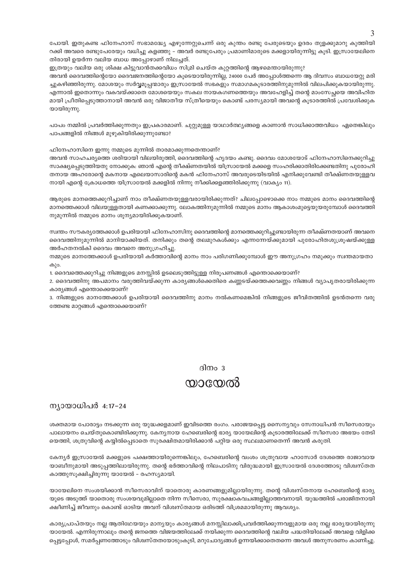പോയി. ഇതുകണ്ട ഫിനേഹാസ് സഭാമദ്ധ്യേ എഴുന്നേറ്റുചെന്ന് ഒരു കുന്തം രണ്ടു പേരുടെയും ഉദരം തുളക്കുമാറു കുത്തിയി റക്കി അവരെ രണ്ടുപേരേയും വധിച്ചു കളഞ്ഞു – അവർ രണ്ടുപേരും പ്രമാണിമാരുടെ മക്കളായിരുന്നിട്ടു കൂടി. ഇസ്രായേലിനെ തിരായി ഉയർന്ന വലിയ ബാധ അപ്പോഴാണ് നിലച്ചത്.

ഇത്രയും വലിയ ഒരു ശിക്ഷ കിട്ടുവാൻതക്കവിധം സിമ്രി ചെയ്ത കുറ്റത്തിന്റെ ആഴമെന്തായിരുന്നു?

അവൻ ദൈവത്തിന്റെയോ ദൈവജനത്തിന്റെയോ കൂടെയായിരുന്നില്ല, 24000 പേർ അപ്പോൾത്തന്നെ ആ ദിവസം ബാധയേറ്റു മരി ച്ചുകഴിഞ്ഞിരുന്നു. മോശയും സർവ്വമൂപ്പന്മാരും ഇസ്രായേൽ സഭകളും സമാഗമകൂടാരത്തിനുമുന്നിൽ വിലപിക്കുകയായിരുന്നു. എന്നാൽ ഇതൊന്നും വകവയ്ക്കാതെ മോശയെയും സകല നായകഗണത്തെയും അവഹേളിച്ച് തന്റെ മാംസേച്ഛയെ അവിഹിത മായി പ്രീതിപ്പെടുത്താനായി അവൻ ഒരു വിജാതീയ സ്ത്രീയെയും കൊണ്ട് പരസ്യമായി അവന്റെ കൂടാരത്തിൽ പ്രവേശിക്കുക യായിരുന്നു.

പാപം നമ്മിൽ പ്രവർത്തിക്കുന്നതും ഇപ്രകാരമാണ്. ചുറ്റുമുള്ള യാഥാർത്ഥ്യങ്ങളെ കാണാൻ സാധിക്കാത്തവിധം ഏതെങ്കിലും പാപങ്ങളിൽ നിങ്ങൾ മുഴുകിയിരിക്കുന്നുണ്ടോ?

ഫിനേഹാസിനെ ഇന്നു നമ്മുടെ മുന്നിൽ താരമാക്കുന്നതെന്താണ്?

അവൻ സാഹചര്യത്തെ ശരിയായി വിലയിരുത്തി, ദൈവത്തിന്റെ ഹൃദയം കണ്ടു. ദൈവം മോശയോട് ഫിനേഹാസിനെക്കുറിച്ചു സാക്ഷ്യപെടുത്തിയതു നോക്കുക: ഞാൻ എന്റെ തീക്ഷ്ണതയിൽ യിസ്രായേൽ മക്കളെ സംഹരിക്കാതിരിക്കേണ്ടതിനു പുരോഹി തനായ അഹരോന്റെ മകനായ എലെയാസാരിന്റെ മകൻ ഫിനേഹാസ് അവരുടെയിടയിൽ എനിക്കുവേണ്ടി തീക്ഷ്ണതയുള്ളവ നായി എന്റെ ക്രോധത്തെ യിസ്രായേൽ മക്കളിൽ നിന്നു നീക്കിക്കളഞ്ഞിരിക്കുന്നു (വാക്യം 11).

ആരുടെ മാനത്തെക്കുറിച്ചാണ് നാം തീക്ഷ്ണതയുള്ളവരായിരിക്കുന്നത്? ചിലപ്പോഴൊക്കെ നാം നമ്മുടെ മാനം ദൈവത്തിന്റെ മാനത്തെക്കാൾ വിലയുള്ളതായി കണക്കാക്കുന്നു. ലോകത്തിനുമുന്നിൽ നമ്മുടെ മാനം ആകാശംമുട്ടെയുയരുമ്പോൾ ദൈവത്തി നുമുന്നിൽ നമ്മുടെ മാനം ശൂന്യമായിരിക്കുകയാണ്.

സ്വന്തം സൗകര്യത്തേക്കാൾ ഉപരിയായി ഫിനേഹാസിനു ദൈവത്തിന്റെ മാനത്തെക്കുറിച്ചുണ്ടായിരുന്ന തീക്ഷ്ണതയാണ് അവനെ ദൈവത്തിനുമുന്നിൽ മാനിയാക്കിയത്. തനിക്കും തന്റെ തലമുറകൾക്കും എന്നന്നേയ്ക്കുമായി പുരോഹിതശുശ്രുഷയ്ക്കുള്ള അർഹതനൽകി ദൈവം അവനെ അനുഗ്രഹിച്ചു.

നമ്മുടെ മാനത്തേക്കാൾ ഉപരിയായി കർത്താവിന്റെ മാനം നാം പരിഗണിക്കുമ്പോൾ ഈ അനുഗ്രഹം നമുക്കും സ്വന്തമായതാ കും.

1. ദൈവത്തെക്കുറിച്ചു നിങ്ങളുടെ മനസ്സിൽ ഉടലെടുത്തിട്ടുള്ള നിരൂപണങ്ങൾ എന്തൊക്കെയാണ്?

2. ദൈവത്തിനു അപമാനം വരുത്തിവയ്ക്കുന്ന കാര്യങ്ങൾക്കെതിരെ കണ്ണടയ്ക്കത്തക്കവണ്ണം നിങ്ങൾ വ്യാപൃതരായിരിക്കുന്ന കാര്യങ്ങൾ എന്തൊക്കെയാണ്?

3. നിങ്ങളുടെ മാനത്തേക്കാൾ ഉപരിയായി ദൈവത്തിനു മാനം നൽകണമെങ്കിൽ നിങ്ങളുടെ ജീവിതത്തിൽ ഉടൻതന്നെ വരു ത്തേണ്ട മാറ്റങ്ങൾ എന്തൊക്കെയാണ്?

#### ദിനം  $3$

### യായേൽ

#### ന്യായാധിപർ 4:17-24

ശക്തമായ പോരാട്ടം നടക്കുന്ന ഒരു യുദ്ധക്കളമാണ് ഇവിടത്തെ രംഗം. പരാജയപ്പെട്ട സൈന്യവും സേനാധിപൻ സീസെരായും പാലായനം ചെയ്തുകൊണ്ടിരിക്കുന്നു. കേനൃനായ ഹേബെരിന്റെ ഭാര്യ യായേലിന്റെ കൂടാരത്തിലേക്ക് സീസെരാ അഭയം തേടി യെത്തി, ശത്രുവിന്റെ കയ്യിൽപ്പെടാതെ സുരക്ഷിതമായിരിക്കാൻ പറ്റിയ ഒരു സ്ഥലമാണതെന്ന് അവൻ കരുതി.

കേന്യർ ഇസ്രായേൽ മക്കളുടെ പക്ഷത്തായിരുന്നെങ്കിലും, ഹേബെരിന്റെ വംശം ശത്രുവായ ഹാസോർ ദേശത്തെ രാജാവായ യാബീനുമായി അടുപ്പത്തിലായിരുന്നു. തന്റെ ഭർത്താവിന്റെ നിലപാടിനു വിരുദ്ധമായി ഇസ്രായേൽ ദേശത്തോടു വിശ്വസ്തത കാത്തുസൂക്ഷിച്ചിരുന്നു യായേൽ – രഹസ്യമായി.

യായേലിനെ സംശയിക്കാൻ സീസെരാവിന് യാതൊരു കാരണങ്ങളുമില്ലായിരുന്നു. തന്റെ വിശ്വസ്തനായ ഹേബെരിന്റെ ഭാര്യ യുടെ അടുത്ത് യാതൊരു സംശയവുമില്ലാതെ നിന്ന സീസെരാ, സുരക്ഷാകവചങ്ങളില്ലാത്തവനായി. യുദ്ധത്തിൽ പരാജിതനായി ക്ഷീണിച്ച് ജീവനും കൊണ്ട് ഓടിയ അവന് വിശ്വസ്തമായ ഒരിടത്ത് വിശ്രമമായിരുന്നു ആവശ്യം.

കാര്യപ്രാപ്തയും നല്ല ആതിഥേയയും മാന്യയും കാര്യങ്ങൾ മനസ്സിലാക്കിപ്രവർത്തിക്കുന്നവളുമായ ഒരു നല്ല ഭാര്യയായിരുന്നു യായേൽ. എന്നിരുന്നാലും തന്റെ ജനത്തെ വിജയത്തിലേക്ക് നയിക്കുന്ന ദൈവത്തിന്റെ വലിയ പദ്ധതിയിലേക്ക് അവളെ വിളിക്ക പ്പെട്ടപ്പോൾ, സമർപ്പണത്തോടും വിശ്വസ്തതയോടുംകൂടി, മറുചോദ്യങ്ങൾ ഉന്നയിക്കാതെതന്നെ അവൾ അനുസരണം കാണിച്ചു.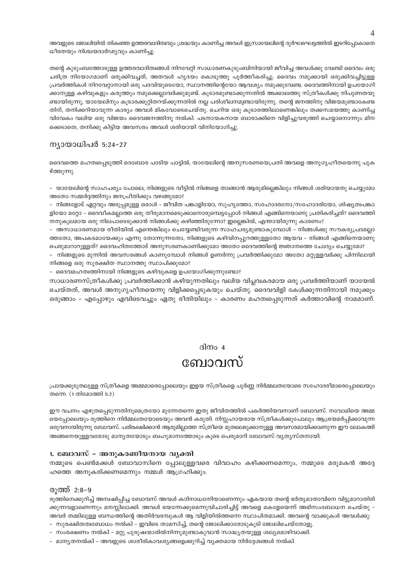അവളുടെ ജോലിയിൽ തികഞ്ഞ ഉത്തരവാദിത്വവും ശ്രദ്ധയും കാണിച്ച അവൾ ഇസ്രായേലിന്റെ ദുർഘടഘട്ടത്തിൽ ഇടറിപ്പോകാതെ ധീരതയും നിശ്ചയദാർഢ്യവും കാണിച്ചു.

തന്റെ കുടുംബത്തോടുള്ള ഉത്തരവാദിത്വങ്ങൾ നിറവേറ്റി സാധാരണകുടുംബിനിയായി ജീവിച്ച അവൾക്കു വേണ്ടി ദൈവം ഒരു ചരിത്ര നിയോഗമാണ് ഒരുക്കിവച്ചത്, അതവൾ ഹൃദയം കൊടുത്തു പൂർത്തീകരിച്ചു. ദൈവം നമുക്കായി ഒരുക്കിവച്ചിട്ടുള്ള പ്രവർത്തികൾ നിറവേറ്റാനായി ഒരു പദവിയുടെയോ, സ്ഥാനത്തിന്റെയോ ആവശ്യം നമുക്കുവേണ്ട. ദൈവത്തിനായി ഉപയോഗി ക്കാനുള്ള കഴിവുകളും കരുത്തും നമുക്കെല്ലാവർക്കുമുണ്ട്. കൂടാരമുണ്ടാക്കുന്നതിൽ അക്കാലത്തു സ്ത്രീകൾക്കു നിപുണതയു ണ്ടായിരുന്നു, യായേലിനും കൂടാരക്കുറ്റിതറയ്ക്കുന്നതിൽ നല്ല പരിശീലനമുണ്ടായിരുന്നു. തന്റെ ജനത്തിനു വിജയമുണ്ടാകേണ്ട തിന്, തനിക്കറിയാവുന്ന കാര്യം അവൾ മികവോടെചെയ്തു. ചെറിയ ഒരു കൂടാരത്തിലാണെങ്കിലും തക്കസമയത്തു കാണിച്ച വിവേകം വലിയ ഒരു വിജയം ദൈവജനത്തിനു നൽകി. പടനായകനായ ബാരാക്കിനെ വിളിച്ചുവരുത്തി ചെയ്യാനൊന്നും മിന ക്കെടാതെ. തനിക്കു കിടിയ അവസരം അവൾ ശരിയായി വിനിയോഗിച്ചു.

#### ന്യായാധിപർ 5:24–27

ദൈവത്തെ മഹത്വപ്പെടുത്തി ദെബോര പാടിയ പാട്ടിൽ, യായേലിന്റെ അനുസരണയെപ്രതി അവളെ അനുഗൃഹീതയെന്നു പുക ഴ്ത്തുന്നു.

– യായേലിന്റെ സാഹചര്യം പോലെ, നിങ്ങളുടെ വീട്ടിൽ നിങ്ങളെ താങ്ങാൻ ആരുമില്ലെങ്കിലും നിങ്ങൾ ശരിയായതു ചെയ്യുമോ അതോ സമ്മർദ്ദത്തിനും ജനപ്രീതിക്കും വഴങ്ങുമോ?

– നിങ്ങളോട് ഏറ്റവും അടുപ്പമുള്ള ഒരാൾ – ജീവിത പങ്കാളിയോ, സുഹൃത്തോ, സഹോദരനോ/സഹോദരിയോ, ശിഷ്യത്വപങ്കാ ളിയോ മറ്റോ – ദൈവീകമല്ലാത്ത ഒരു തീരുമാനമെടുക്കാനൊരുമ്പെട്ടപ്പോൾ നിങ്ങൾ എങ്ങിനെയാണു പ്രതികരിച്ചത്? ദൈവത്തി നനുകൂലമായ ഒരു നിലപാടെടുക്കാൻ നിങ്ങൾക്കു കഴിഞ്ഞിരുന്നോ? ഇല്ലെങ്കിൽ, എന്തായിരുന്നു കാരണം?

– അസാധാരണമായ രീതിയിൽ എന്തെങ്കിലും ചെയ്യേണ്ടിവരുന്ന സാഹചര്യമുണ്ടാകുമ്പോൾ – നിങ്ങൾക്കു സൗകര്യപ്രദമല്ലാ ത്തതോ, അപകടമായേക്കും എന്നു തോന്നുന്നതോ, നിങ്ങളുടെ കഴിവിനപ്പുറത്തുള്ളതോ ആയവ – നിങ്ങൾ എങ്ങിനെയാണു പെരുമാറാറുള്ളത്? ദൈവഹിതത്തോട് അനുസരണകാണിക്കുമോ അതോ ദൈവത്തിന്റെ ജ്ഞാനത്തെ ചോദ്യം ചെയ്യുമോ?

– നിങ്ങളുടെ മുന്നിൽ അവസരങ്ങൾ കാണുമ്പോൾ നിങ്ങൾ ഉണർന്നു പ്രവർത്തിക്കുമോ അതോ മറ്റുള്ളവർക്കു പിന്നിലായി നിങ്ങളെ ഒരു സുരക്ഷിത സ്ഥാനത്തു സ്ഥാപിക്കുമോ?

- ദൈവമഹത്വത്തിനായി നിങ്ങളുടെ കഴിവുകളെ ഉപയോഗിക്കുന്നുണ്ടോ?

സാധാരണസ്ത്രീകൾക്കു പ്രവർത്തിക്കാൻ കഴിയുന്നതിലും വലിയ വിപ്പവകരമായ ഒരു പ്രവർത്തിയാണ് യായേൽ ചെയ്തത്, അവൾ അനുഗൃഹീതയെന്നു വിളിക്കപ്പെടുകയും ചെയ്തു. ദൈവവിളി കേൾക്കുന്നതിനായി നമുക്കും ഒരുങ്ങാം – എപ്പോഴും എവിടെവച്ചും ഏതു രീതിയിലും – കാരണം മഹത്വപ്പെടുന്നത് കർത്താവിന്റെ നാമമാണ്.

#### ദിനം $4$

## ബോവസ്

പ്രായക്കൂടുതലുള്ള സ്ത്രീകളെ അമ്മമാരെപ്പോലെയും ഇളയ സ്ത്രീകളെ പൂർണ്ണ നിർമ്മലതയോടെ സഹോദരീമാരെപ്പോലെയും തന്നെ. (1 തിമോത്തി 5:2)

ഈ വചനം എഴുതപ്പെടുന്നതിനുമെത്രയോ മുന്നേതന്നെ ഇതു ജീവിതത്തിൽ പകർത്തിയവനാണ് ബോവസ്. നവോമിയെ അമ്മ യെപ്പോലെയും രൂത്തിനെ നിർമ്മലതയോടെയും അവൻ കരുതി. നിസ്സഹായരായ സ്ത്രീകൾക്കുപോലും ആശ്രയമർപ്പിക്കാവുന്ന ഒരുവനായിരുന്നു ബോവസ്. പരിരക്ഷിക്കാൻ ആരുമില്ലാത്ത സ്ത്രീയെ മുതലെടുക്കാനുള്ള അവസരമായിക്കാണുന്ന ഈ ലോകത്ത് അങ്ങനെയുള്ളവരോടു മാന്യതയോടും ബഹുമാനത്തോടും കൂടെ പെരുമാറി ബോവസ് വ്യത്യസ്തനായി.

#### 1. ബോവസ് – അനുകരണീയനായ വൃക്തി

നമ്മുടെ പെൺമക്കൾ ബോവാസിനെ പ്പോലുള്ളവരെ വിവാഹം കഴിക്കണമെന്നും, നമ്മുടെ മരുമകൻ അദ്ദേ ഹത്തെ അനുകരിക്കണമെന്നും നമ്മൾ ആഗ്രഹിക്കും.

#### രുത്ത് 2:8-9

രുത്തിനെക്കുറിച്ച് അമ്പഷിപ്പിച്ച ബോവസ് അവൾ കഠിനാധ്വാനിയാണെന്നും ഏകയായ തന്റെ ഭർതൃമാതാവിനെ വിട്ടുമാറാതിരി ക്കുന്നവളാണെന്നും മനസ്സിലാക്കി. അവൾ ഭയന്നേക്കുമെന്നുവിചാരിച്ചിട്ട് അവളെ മകളേയെന്ന് അഭിസംബോധന ചെയ്തു -അവർ തമ്മിലുള്ള ബന്ധത്തിന്റെ അതിർവരമ്പുകൾ ആ വിളിയിൽത്തന്നെ സ്ഥാപിതമാക്കി. അവന്റെ വാക്കുകൾ അവൾക്കു: – സുരക്ഷിതത്വബോധം നൽകി – ഇവിടെ താമസിച്ച്, തന്റെ ജോലിക്കാരോടുകൂടി ജോലിചെയ്തോളൂ.

– സംരക്ഷണം നൽകി – മറ്റു പുരുഷന്മാരിൽനിന്നുമുണ്ടാകുവാൻ സാദ്ധ്യതയുള്ള ശല്യമൊഴിവാക്കി.

– മാന്യതനൽകി – അവളുടെ ശാരീരികാവശ്യങ്ങളെക്കുറിച്ച് വ്യക്തമായ നിർദ്ദേശങ്ങൾ നൽകി.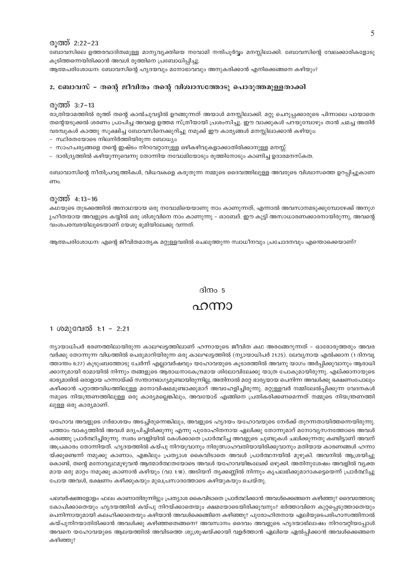#### രാത്ത് 2:22-23

ബോവസിലെ ഉത്തരവാദിത്വമുള്ള മാന്യവ്യക്തിയെ നവോമി നന്ദിപൂർവ്വം മനസ്സിലാക്കി. ബോവസിന്റെ വേലക്കാരികളോടു കുടിത്തന്നെയിരിക്കാൻ അവൾ രൂത്തിനെ പ്രബോധിപ്പിച്ചു.

ആത്മപരിശോധന: ബോവസിന്റെ ഹൃദയവും മനോഭാവവും അനുകരിക്കാൻ എനിക്കെങ്ങനെ കഴിയും?

#### 2. ബോവസ് - തന്റെ ജീവിതം തന്റെ വിശ്വാസത്തോടു പൊരുത്തമുള്ളതാക്കി

#### രുത്ത്  $3:7-13$

രാത്രിയാമത്തിൽ രൂത്ത് തന്റെ കാൽചുവട്ടിൽ ഉറങ്ങുന്നത് അയാൾ മനസ്സിലാക്കി. മറ്റു ചെറുപ്പക്കാരുടെ പിന്നാലെ പായാതെ തന്റെയടുക്കൽ ശരണം പ്രാപിച്ച അവളെ ഉത്തമ സ്ത്രീയായി പ്രശംസിച്ചു. ഈ വാക്കുകൾ പറയുമ്പോഴും താൻ ചമച്ച അതിർ വരമ്പുകൾ കാത്തു സൂക്ഷിച്ച ബോവസിനെക്കുറിച്ചു നമുക്ക് ഈ കാര്യങ്ങൾ മനസ്സിലാക്കാൻ കഴിയും:

- സ്ഥിരതയോടെ നിലനിർത്തിയിരുന്ന ബോധ്യം
- സാഹചര്യങ്ങളെ തന്റെ ഇഷ്ടം നിറവേറ്റാനുള്ള ഒഴികഴിവുകളാക്കാതിരിക്കാനുള്ള മനസ്സ്
- ദാരിദ്ര്യത്തിൽ കഴിയുന്നുവെന്നു തോന്നിയ നവോമിയോടും രൂത്തിനോടും കാണിച്ച ഉദാരമനസ്കത.

ബോവാസിന്റെ നീതിപ്രവൃത്തികൾ, വിധവകളെ കരുതുന്ന നമ്മുടെ ദൈവത്തിലുള്ള അവരുടെ വിശ്വാസത്തെ ഉറപ്പിച്ചുകാണ ണം

#### $\omega$  (0000  $\sim$  4:13 – 16

കഥയുടെ തുടക്കത്തിൽ അനാഥയായ ഒരു നവോമിയെയാണു നാം കാണുന്നത്, എന്നാൽ അവസാനമടുക്കുമ്പോഴേക്ക് അനുഗ ൃഹീതയായ അവളുടെ കയ്യിൽ ഒരു ശിശുവിനെ നാം കാണുന്നു – ഓബേദ്. ഈ കുട്ടി അസാധാരണക്കാരനായിരുന്നു, അവന്റെ വംശപരമ്പരയിലൂടെയാണ് യേശു ഭൂമിയിലേക്കു വന്നത്.

ആത്മപരിശോധന: എന്റെ ജീവിതമാതൃക മറ്റുളളവരിൽ ചെലുത്തുന്ന സ്വാധീനവും പ്രചോദനവും എന്തൊക്കെയാണ്?

#### ദിനം 5

### ഹന്നാ

#### 1 ശമുവേൽ 1:1 - 2:21

ന്യായാധിപർ ഭരണത്തിലായിരുന്ന കാലഘട്ടത്തിലാണ് ഹന്നായുടെ ജീവിത കഥ അരങ്ങേറുന്നത് – ഓരോരുത്തരും അവര വർക്കു തോന്നുന്ന വിധത്തിൽ പെരുമാറിയിരുന്ന ഒരു കാലഘട്ടത്തിൽ (ന്യായാധിപർ 21:25). ലേവ്യനായ എൽക്കാന (1 ദിനവ്യ ത്താന്തം 6:27) കുടുംബത്തോടു ചേർന്ന് എല്ലാവർഷവും യഹോവയുടെ കുടാരത്തിൽ അവനു യാഗം അർപ്പിക്കുവാനും ആരാധി ക്കാനുമായി രാമായിൽ നിന്നും തങ്ങളുടെ ആരാധനാകേന്ദ്രമായ ശിലോവിലേക്കു യാത്ര പോകുമായിരുന്നു. എല്ക്കാനായുടെ ഭാര്യമാരിൽ ഒരാളായ ഹന്നായ്ക്ക് സന്താനഭാഗ്യമുണ്ടായിരുന്നില്ല, അതിനാൽ മറ്റേ ഭാര്യയായ പെനിന്ന അവൾക്കു ഭക്ഷണംപോലും കഴിക്കാൻ പറ്റാത്തവിധത്തിലുള്ള മനോവിഷമമുണ്ടാക്കുമാറ് അവഹേളിച്ചിരുന്നു. മറ്റുള്ളവർ നമ്മിലേൽപ്പിക്കുന്ന വേദനകൾ നമുടെ നിയന്ത്രണത്തിലുള്ള ഒരു കാര്യമല്ലെങ്കിലും, അവയോട് എങ്ങിനെ പ്രതികരിക്കണമെന്നത് നമ്മുടെ നിയന്ത്രണത്തി ലുള്ള ഒരു കാര്യമാണ്.

യഹോവ അവളുടെ ഗർഭാശയം അടച്ചിരുന്നെങ്കിലും, അവളുടെ ഹൃദയം യഹോവയുടെ നേർക്ക് തുറന്നതായിത്തന്നെയിരുന്നു. പത്താം വാകൃത്തിൽ അവൾ മദ്യപിച്ചിരിക്കുന്നു എന്നു പുരോഹിതനായ ഏലിക്കു തോന്നുമാറ് മനോവൃസനത്തോടെ അവൾ കരഞ്ഞു പ്രാർത്ഥിച്ചിരുന്നു. സ്വരം വെളിയിൽ കേൾക്കാതെ പ്രാർത്ഥിച്ച അവളുടെ ചുണ്ടുകൾ ചലിക്കുന്നതു കണ്ടിട്ടാണ് അവന് അപ്രകാരം തോന്നിയത്. ഹൃദയത്തിൽ കയ്പു നിറയുവാനും നിരുത്സാഹവതിയായിരിക്കുവാനും മതിയായ കാരണങ്ങൾ ഹന്നാ യ്ക്കുണ്ടെന്ന് നമുക്കു കാണാം, എങ്കിലും പ്രത്യാശ കൈവിടാതെ അവൾ പ്രാർത്ഥനയിൽ മുഴുകി. അവനിൽ ആശ്രയിച്ചു കൊണ്ട്, തന്റെ മനോവ്യഥമുഴുവൻ ആത്മാർത്ഥതയോടെ അവൾ യഹോവയിങ്കലേക്ക് ഒഴുക്കി. അതിനുശേഷം അവളിൽ വൃക്ത മായ ഒരു മാറ്റം നമുക്കു കാണാൻ കഴിയും (വാ 1:18). അടിയന് തൃക്കണ്ണിൽ നിന്നും കൃപലഭിക്കുമാറാകട്ടെയെന്ന് പ്രാർത്ഥിച്ചു പോയ അവൾ, ഭക്ഷണം കഴിക്കുകയും മുഖപ്രസാദത്തോടെ കഴിയുകയും ചെയ്തു.

പലവർഷങ്ങളോളം ഫലം കാണാതിരുന്നിട്ടും പ്രത്യാശ കൈവിടാതെ പ്രാർത്ഥിക്കാൻ അവൾക്കെങ്ങനെ കഴിഞ്ഞു? ദൈവത്തോടു കോപിക്കാതെയും ഹൃദയത്തിൽ കയ്പു നിറയ്ക്കാതെയും ക്ഷമയോടെയിരിക്കുവനും? ഭർത്താവിനെ കുറ്റപ്പെടുത്താതെയും പെനിന്നായുമായി കലഹിക്കാതെയും കഴിയാൻ അവൾക്കെങ്ങിനെ കഴിഞ്ഞു? പുരോഹിതനായ ഏലിയുടെപരിഹാസത്തിനാൽ കയ്പുനിറയാതിരിക്കാൻ അവൾക്കു കഴിഞ്ഞതെങ്ങനെ? അവസാനം ദൈവം അവളുടെ ഹൃദയാഭിലാഷം നിറവേറ്റിയപ്പോൾ അവനെ യഹോവയുടെ ആലയത്തിൽ അവിടത്തെ ശുശ്രൂഷയ്ക്കായി വളർത്താൻ ഏലിയെ ഏൽപ്പിക്കാൻ അവൾക്കെങ്ങനെ കഴിഞ്ഞു?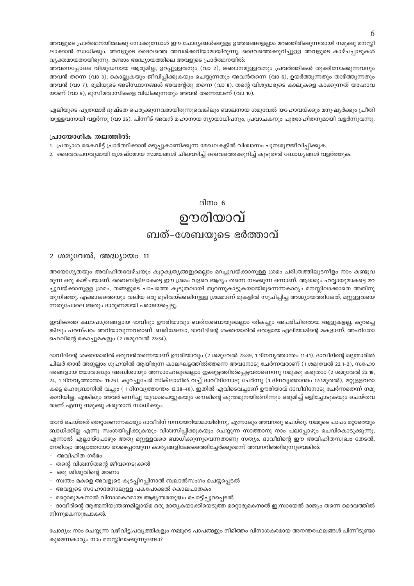അവളുടെ പ്രാർത്ഥനയിലേക്കു നോക്കുമ്പോൾ ഈ ചോദ്യങ്ങൾക്കുള്ള ഉത്തരങ്ങളെല്ലാം മറഞ്ഞിരിക്കുന്നതായി നമുക്കു മനസ്സി ലാക്കാൻ സാധിക്കും. അവളുടെ ദൈവത്തെ അവൾക്കറിയാമായിരുന്നു, ദൈവത്തെക്കുറിച്ചുള്ള അവളുടെ കാഴ്ചപ്പാടുകൾ  $\alpha$ ്വ്യക്തമായതായിരുന്നു. രണ്ടാം അദ്ധ്യായത്തിലെ അവളുടെ പ്രാർത്ഥനയിൽ:

അവനെപ്പോലെ വിശുദ്ധനായ ആരുമില്ല, ഉറപ്പുള്ളവനും (വാ 2), ജ്ഞാനമുള്ളവനും പ്രവർത്തികൾ തൂക്കിനോക്കുന്നവനും അവൻ തന്നെ (വാ 3), കൊല്ലുകയും ജീവിപ്പിക്കുകയും ചെയ്യുന്നതും അവൻതന്നെ (വാ 6), ഉയർത്തുന്നതും താഴ്ത്തുന്നതും അവൻ (വാ 7), ഭൂമിയുടെ അടിസ്ഥാനങ്ങൾ അവന്റേതു തന്നെ (വാ 8). തന്റെ വിശുദ്ധരുടെ കാലുകളെ കാക്കുന്നത് യഹോവ  $\infty$ ാണ് (വാ 9), ഭൂസീമവാസികളെ വിധിക്കുന്നതും അവൻ തന്നെയാണ് (വാ 10).

ഏലിയുടെ പുത്രന്മാർ ദുഷ്ടത പെരുക്കുന്നവരായിരുന്നുവെങ്കിലും ബാലനായ ശമുവേൽ യഹോവയ്ക്കും മനുഷ്യർക്കും പ്രീതി യുള്ളവനായി വളർന്നു (വാ 26). പിന്നീട് അവൻ മഹാനായ ന്യായാധിപനും, പ്രവാചകനും പുരോഹിതനുമായി വളർന്നുവന്നു.

#### **{]mtbm-KnI Xe-Øn¬:**

- 1. പ്രത്യാശ കൈവിട്ട് പ്രാർത്ഥിക്കാൻ മടുപ്പുകാണിക്കുന്ന മേഖലകളിൽ വിശ്വാസം പുനഃരുജ്ജീവിപ്പിക്കുക.
- 2. ദൈവവചനവുമായി ശ്രേഷ്ഠമായ സമയങ്ങൾ ചിലവഴിച്ച് ദൈവത്തെക്കുറിച്ച് കൂടുതൽ ബോധൃങ്ങൾ വളർത്തുക.

ദിനം  $6$ 

## ഊരിയാവ് ബത്-ശേബയുടെ ഭർത്താവ്

#### 2 ശമുവേൽ, അദ്ധ്യായം 11

അയോഗ്യതയും അവിഹിതവേഴ്ചയും കുറ്റകൃത്യങ്ങളുമെല്ലാം മറച്ചുവയ്ക്കാനുള്ള ശ്രമം ചരിത്രത്തിലുടനീളം നാം കണ്ടുവ രുന്ന ഒരു കാഴ്ചയാണ്. ബൈബിളിലാകട്ടെ ഈ ശ്രമം വളരെ ആദ്യം തന്നെ നടക്കുന്ന ഒന്നാണ്. ആദാമും ഹവ്വായുമാകട്ടെ മറ ച്ചുവയ്ക്കാനുള്ള ശ്രമം, തങ്ങളുടെ പാപത്തെ കുടുതലായി തുറന്നുകാട്ടുകയായിരുന്നെന്നകാര്യം മനസ്സിലാക്കാതെ അതിനു തുനിഞ്ഞു. എക്കാലത്തെയും വലിയ ഒരു മൂടിവയ്ക്കലിനുള്ള ശ്രമമാണ് മുകളിൽ സൂചിപ്പിച്ച അദ്ധ്യായത്തിലേത്, മറ്റുള്ളവയെ ന്നതുപോലെ അതും ദാരുണമായി പരാജയപ്പെട്ടു.

ഇവിടത്തെ കഥാപാത്രങ്ങളായ ദാവീദും ഊരിയാവും ബത്ശേബായുമെല്ലാം തികച്ചും അപരിചിതരായ ആളുകളല്ല, കുറച്ചെ ങ്കിലും പരസ്പരം അറിയാവുന്നവരാണ്. ബത്ശേബാ, ദാവീദിന്റെ ശക്തന്മാരിൽ ഒരാളായ ഏലിയാമിന്റെ മകളാണ്, അഹിതോ പെലിന്റെ കൊച്ചുമകളും (2 ശമുവേൽ 23:34).

ദാവീദിന്റെ ശക്തന്മാരിൽ ഒരുവൻതന്നെയാണ് ഊരിയാവും (2 ശമുവേൽ 23:39, 1 ദിനവൃത്താന്തം 11:41), ദാവീദിന്റെ മല്ലന്മാരിൽ ചിലർ താൻ അദുല്ലാം ഗുഹയിൽ ആയിരുന്ന കാലഘട്ടത്തിൽത്തന്നെ അവനോടു ചേർന്നവരാണ് (1 ശമുവേൽ 22:1−2), സഹോ ദരങ്ങളായ യോവാബും അബിശായും അസാഹേലുമെല്ലാം ഇക്കൂട്ടത്തിൽപ്പെട്ടവരാണെന്നു നമുക്കു കരുതാം (2 ശമുവേൽ 23:18, 24, 1 ദിനവൃത്താന്തം 11:26). കുറച്ചുപേർ സിക്ലാഗിൽ വച്ച് ദാവീദിനോടു ചേർന്നു (1 ദിനവൃത്താന്തം 12:1മുതൽ), മറ്റുള്ളവരാ കട്ടെ ഹെബ്രോനിൽ വച്ചും ( 1 ദിനവൃത്താന്തം 12:38−40). ഇതിൽ എവിടെവച്ചാണ് ഊരിയാവ് ദാവീദിനോടു ചേർന്നതെന്ന് നമു ക്കറിയില്ല, എങ്കിലും അവർ ഒന്നിച്ചു യുദ്ധംചെയ്യുകയും ശൗലിന്റെ കുന്തമുനയിൽനിന്നും ഒരുമിച്ച് ഒളിച്ചോടുകയും ചെയ്തവ രാണ് എന്നു നമുക്കു കരുതാൻ സാധിക്കും.

താൻ ചെയ്തത് തെറ്റാണെന്നകാര്യം ദാവീദിന് നന്നായറിയാമായിരിന്നു, എന്നാലും അവനതു ചെയ്തു. നമ്മുടെ പാപം മറ്റാരെയും ്ബാധിക്കില്ല എന്നു സംശയിപ്പിക്കുകയും വിശ്വസിപ്പിക്കുകയും ചെയ്യുന്ന സാത്താനു നാം പലപ്പോഴും ചെവികൊടുക്കുന്നു, എന്നാൽ എല്ലായ്പോഴും അതു മറ്റുള്ളവരെ ബാധിക്കുന്നുവെന്നതാണു സത്യം. ദാവീദിന്റെ ഈ അവിഹിതസുഖം തേടൽ, നേരിട്ടോ അല്ലാതേയോ താഴെപ്പറയുന്ന കാര്യങ്ങളിലേക്കെത്തിച്ചേർക്കുമെന്ന് അവനറിഞ്ഞിരുന്നുവെങ്കിൽ:

- അവിഹിത ഗർഭം
- തന്റെ വിശ്വസ്തന്റെ ജീവനെടുക്കൽ
- ഒരു ശിശുവിന്റെ മരണം
- − സ്വന്തം മകളെ അവളുടെ കൂടപ്പിറപ്പിനാൽ ബലാൽസംഗം ചെയ്യപ്പെടൽ
- − അവളുടെ സഹോദരനാലുള്ള പകപോക്കൽ കൊലപാതകം
- − മറ്റൊരുമകനാൽ വിനാശകരമായ ആഭ്യന്തരയുദ്ധം പൊട്ടിപ്പുറപ്പെടൽ

− ദാവീദിന്റെ ആത്മനിയന്ത്രണമില്ലായ്മ ഒരു മാതൃകയാക്കിയെടുത്ത മറ്റൊരുമകനാൽ ഇസ്രായേൽ രാജ്യം തന്നെ ദൈവത്തിൽ നിന്നുമകന്നുപോകൽ.

ചോദ്യം: നാം ചെയ്യുന്ന വഴിവിട്ടപ്രവൃത്തികളും നമ്മുടെ പാപങ്ങളും നിമിത്തം വിനാശകരമായ അനന്തരഫലങ്ങൾ പിന്നീടുണ്ടാ കുമെന്നകാര്യം നാം മനസ്സിലാക്കുന്നുണ്ടോ?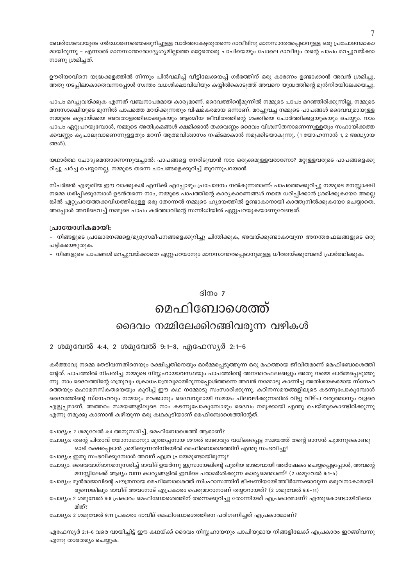ബേത്ശേബായുടെ ഗർഭധാരണത്തെക്കുറിച്ചുള്ള വാർത്തകേട്ടതുതന്നെ ദാവീദിനു മാനസാന്തരപ്പെടാനുള്ള ഒരു പ്രചോദനമാകാ മായിരുന്നു – എന്നാൽ മാനസാന്തരോദ്ദ്യേശ്യമില്ലാത്ത മറ്റേതൊരു പാപിയെയും പോലെ ദാവീദും തന്റെ പാപം മറച്ചുവയ്ക്കാ നാണു ശ്രമിച്ചത്.

ഊരിയാവിനെ യുദ്ധക്കളത്തിൽ നിന്നും പിൻവലിച്ച് വീട്ടിലേക്കയച്ച് ഗർഭത്തിന് ഒരു കാരണം ഉണ്ടാക്കാൻ അവൻ ശ്രമിച്ചു, അതു നടപ്പിലാകാതെവന്നപ്പോൾ സ്ഥതം വധശിക്ഷാവിധിയും കയ്യിൽകൊടുത്ത് അവനെ യുദ്ധത്തിന്റെ മുൻനിരയിലേക്കയച്ചു.

പാപം മറച്ചുവയ്ക്കുക എന്നത് വഞ്ചനാപരമായ കാര്യമാണ്. ദൈവത്തിന്റെമുന്നിൽ നമ്മുടെ പാപം മറഞ്ഞിരിക്കുന്നില്ല, നമ്മുടെ മനഃസാക്ഷിയുടെ മുന്നിൽ പാപത്തെ മറയ്ക്കുന്നതും വിഷമകരമായ ഒന്നാണ്. മറച്ചുവച്ച നമ്മുടെ പാപങ്ങൾ ദൈവവുമായുള്ള നമ്മുടെ കൂട്ടായ്മയെ അവതാളത്തിലാക്കുകയും ആത്മീയ ജീവിതത്തിന്റെ ശക്തിയെ ചോർത്തിക്കളയുകയും ചെയ്യും. നാം പാപം ഏറ്റുപറയുമ്പോൾ, നമ്മുടെ അതിക്രമങ്ങൾ ക്ഷമിക്കാൻ തക്കവണ്ണം ദൈവം വിശ്വസ്തനാണെന്നുള്ളതും സഹായിക്കത്ത ക്കവണ്ണം കൃപാലുവാണെന്നുള്ളതും മറന്ന് ആത്മവിശ്വാസം നഷ്ടമാകാൻ നമുക്കിടയാകുന്നു. (1 യോഹന്നാൻ 1, 2 അദ്ധ്യായ ങ്ങൾ).

യഥാർത്ഥ ചോദ്യമെന്താണെന്നുവച്ചാൽ: പാപങ്ങളെ നേരിടുവാൻ നാം ഒരുക്കമുള്ളവരാണോ? മറ്റുള്ളവരുടെ പാപങ്ങളെക്കു റിച്ചു ചർച്ച ചെയ്യാനല്ല, നമ്മുടെ തന്നെ പാപങ്ങളെക്കുറിച്ച് തുറന്നുപറയാൻ.

സ്പർജൻ എഴുതിയ ഈ വാക്കുകൾ എനിക്ക് എപ്പോഴും പ്രചോദനം നൽകുന്നതാണ്: പാപത്തെക്കുറിച്ചു നമ്മുടെ മനസ്സാക്ഷി നമ്മെ ധരിപ്പിക്കുമ്പോൾ ഉടൻതന്നെ നാം, നമ്മുടെ പാപത്തിന്റെ കാര്യകാരണങ്ങൾ നമ്മെ ധരിപ്പിക്കാൻ ശ്രമിക്കുകയോ അല്ലെ ങ്കിൽ ഏറ്റുപറയത്തക്കവിധത്തിലുള്ള ഒരു തോന്നൽ നമ്മുടെ ഹൃദയത്തിൽ ഉണ്ടാകാനായി കാത്തുനിൽക്കുകയോ ചെയ്യാതെ, അപ്പോൾ അവിടെവച്ച് നമ്മുടെ പാപം കർത്താവിന്റെ സന്നിധിയിൽ ഏറ്റുപറയുകയാണുവേണ്ടത്.

#### പ്രായോഗികമായി:

മിത്?

- നിങ്ങളുടെ പ്രലോഭനങ്ങളെ/മൃദുസമീപനങ്ങളെക്കുറിച്ചു ചിന്തിക്കുക, അവയ്ക്കുണ്ടാകാവുന്ന അനന്തരഫലങ്ങളുടെ ഒരു പട്ടികയെഴുതുക.

– നിങ്ങളുടെ പാപങ്ങൾ മറച്ചുവയ്ക്കാതെ ഏറ്റുപറയാനും മാനസാന്തരപ്പെടാനുമുള്ള ധീരതയ്ക്കുവേണ്ടി പ്രാർത്ഥിക്കുക.

#### ദിനം 7

## മെഫിബോശെത്ത് ദൈവം നമ്മിലേക്കിറങ്ങിവരുന്ന വഴികൾ

#### 2 ശമുവേൽ 4:4, 2 ശമുവേൽ 9:1-8, എഫേസ്യർ 2:1-6

കർത്താവു നമ്മെ തേടിവന്നതിനെയും രക്ഷിച്ചതിനെയും ഓർമ്മപ്പെടുത്തുന്ന ഒരു മഹത്തായ ജീവിതമാണ് മെഫിബോശെത്തി ന്റേത്. പാപത്തിൽ നിപതിച്ച നമ്മുടെ നിസ്സഹായാവസ്ഥയും പാപത്തിന്റെ അനന്തരഫലങ്ങളും അതു നമ്മെ ഓർമ്മപ്പെടുത്തു ന്നു. നാം ദൈവത്തിന്റെ ശത്രുവും ക്രോധപാത്രവുമായിരുന്നപ്പോൾത്തന്നെ അവൻ നമ്മോടു കാണിച്ച അതിശയകരമായ സ്നേഹ ത്തെയും മഹാമനസ്കതയെയും കുറിച്ച് ഈ കഥ നമ്മോടു സംസാരിക്കുന്നു. കഠിനസമയങ്ങളിലൂടെ കടന്നുപോകുമ്പോൾ ദൈവത്തിന്റെ സ്നേഹവും നന്മയും മറക്കാനും ദൈവവുമായി സമയം ചിലവഴിക്കുന്നതിൽ വിട്ടു വീഴ്ച വരുത്താനും വളരെ എളുപ്പമാണ്. അത്തരം സമയങ്ങളിലുടെ നാം കടന്നുപോകുമ്പോഴും ദൈവം നമുക്കായി എന്തു ചെയ്തുകൊണ്ടിരിക്കുന്നു

എന്നു നമുക്കു കാണാൻ കഴിയുന്ന ഒരു കഥകൂടിയാണ് മെഫിബോശെത്തിന്റേത്.

ചോദ്യം: 2 ശമുവേൽ 4:4 അനുസരിച്ച്, മെഫിബോശെത്ത് ആരാണ്?

ചോദ്യം: തന്റെ പിതാവ് യോനാഥാനും മുത്തച്ഛനായ ശൗൽ രാജാവും വധിക്കപ്പെട്ട സമയത്ത് തന്റെ ദാസൻ ചുമന്നുകൊണ്ടു

ഓടി രക്ഷപ്പെടാൻ ശ്രമിക്കുന്നതിനിടയിൽ മെഫിബൊശെത്തിന് എന്തു സംഭവിച്ചു?

ചോദ്യം: ഇതു സംഭവിക്കുമ്പോൾ അവന് എത്ര പ്രായമുണ്ടായിരുന്നു?

ചോദ്യം: ദൈവവാഗ്ദാനമനുസരിച്ച് ദാവീദ് ഉയർന്നു ഇസ്രായേലിന്റെ പുതിയ രാജാവായി അഭിഷേകം ചെയ്യപ്പെട്ടപ്പോൾ, അവന്റെ

മനസ്സിലേക്ക് ആദ്യം വന്ന കാര്യങ്ങളിൽ ഇവിടെ പരാമർശിക്കുന്ന കാര്യമെന്താണ്? (2 ശമുവേൽ 9:1–5)

ചോദ്യം: മുൻരാജാവിന്റെ പൗത്രനായ മെഫിബോശെത്ത് സിംഹാസത്തിന് ഭീഷണിയായിത്തീർന്നേക്കാവുന്ന ഒരുവനാകാമായി

ചോദ്യം: 2 ശമുവേൽ 9:11 പ്രകാരം ദാവീദ് മെഫിബോശെത്തിനെ പരിഗണിച്ചത് എപ്രകാരമാണ്?

ഏഫേസ്യർ 2:1-6 വരെ വായിച്ചിട്ട് ഈ കഥയ്ക്ക് ദൈവം നിസ്സഹായനും പാപിയുമായ നിങ്ങളിലേക്ക് എപ്രകാരം ഇറങ്ങിവന്നു എന്നു താരതമ്യം ചെയ്യുക.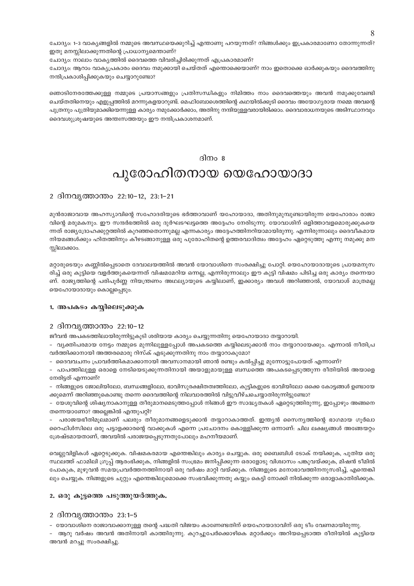ചോദ്യം: 1-3 വാകൃങ്ങളിൽ നമ്മുടെ അവസ്ഥയെക്കുറിച്ച് എന്താണു പറയുന്നത്? നിങ്ങൾക്കും ഇപ്രകാരമാണോ തോന്നുന്നത്? ഇതു മനസ്സിലാക്കുന്നതിന്റെ പ്രാധാന്യമെന്താണ്?

ചോദ്യം: നാലാം വാക്യത്തിൽ ദൈവത്തെ വിവരിച്ചിരിക്കുന്നത് എപ്രകാരമാണ്?

ചോദ്യം: ആറാം വാക്യപ്രകാരം ദൈവം നമുക്കായി ചെയ്തത് എന്തൊക്കെയാണ്? നാം ഇതൊക്കെ ഓർക്കുകയും ദൈവത്തിനു നന്ദിപ്രകാശിപ്പിക്കുകയും ചെയ്യാറുണ്ടോ?

ഞൊടിനേരത്തേക്കുള്ള നമ്മുടെ പ്രയാസങ്ങളും പ്രതിസന്ധികളും നിമിത്തം നാം ദൈവത്തെയും അവൻ നമുക്കുവേണ്ടി ചെയ്തതിനെയും എളുപ്പത്തിൽ മറന്നുകളയാറുണ്ട്. മെഫിബോശെത്തിന്റെ കഥയിൽക്കൂടി ദൈവം അയോഗ്യരായ നമ്മെ അവന്റെ പുത്രനും പുത്രിയുമാക്കിയെന്നുള്ള കാര്യം നമുക്കോർക്കാം, അതിനു നന്ദിയുള്ളവരായിരിക്കാം. ദൈവാരാധനയുടെ അടിസ്ഥാനവും ദൈവശുശ്രൂഷയുടെ അന്തഃസത്തയും ഈ നന്ദിപ്രകാശനമാണ്.

#### ദിനം 8

### പുരോഹിതനായ യെഹോയാദാ

#### 2 ദിനവൃത്താന്തം 22:10-12, 23:1-21

മുൻരാജാവായ അഹസ്യാവിന്റെ സഹോദരിയുടെ ഭർത്താവാണ് യഹോയാദാ, അതിനുമുമ്പുണ്ടായിരുന്ന യെഹോരാം രാജാ വിന്റെ മരുമകനും. ഈ സന്ദർഭത്തിൽ ഒരു ദുർഘടഘട്ടത്തെ അദ്ദേഹം നേരിടുന്നു. യോവാശിന് ഒളിത്താവളമൊരുക്കുകയെ ന്നത് രാജ്യദ്രോഹക്കുറ്റത്തിൽ കുറഞ്ഞതൊന്നുമല്ല എന്നകാര്യം അദ്ദേഹത്തിനറിയാമായിരുന്നു. എന്നിരുന്നാലും ദൈവീകമായ നിയമങ്ങൾക്കും ഹിതത്തിനും കീഴടങ്ങാനുള്ള ഒരു പുരോഹിതന്റെ ഉത്തരവാദിത്വം അദ്ദേഹം ഏറ്റെടുത്തു എന്നു നമുക്കു മന സ്സിലാക്കാം.

മറ്റാരുടെയും കണ്ണിൽപ്പെടാതെ ദേവാലയത്തിൽ അവൻ യോവാശിനെ സംരക്ഷിച്ചു പോറ്റി. യെഹോയാദായുടെ പ്രായമനുസ രിച്ച് ഒരു കുട്ടിയെ വളർത്തുകയെന്നത് വിഷമമേറിയ ഒന്നല്ല, എന്നിരുന്നാലും ഈ കുട്ടി വിഷമം പിടിച്ച ഒരു കാര്യം തന്നെയാ ണ്. രാജ്യത്തിന്റെ പരിപൂർണ്ണ നിയന്ത്രണം അഥല്യായുടെ കയ്യിലാണ്, ഇക്കാര്യം അവൾ അറിഞ്ഞാൽ, യോവാശ് മാത്രമല്ല യെഹോയാദായും കൊല്ലപ്പെടും.

#### 1. അപകടം കയ്യിലെടുക്കുക

#### 2 ദിനവൃത്താന്തം 22:10-12

ജീവൻ അപകടത്തിലായിരുന്നിട്ടുകൂടി ശരിയായ കാര്യം ചെയ്യുന്നതിനു യെഹോയാദാ തയ്യാറായി.

– വൃക്തിപരമായ നേട്ടം നമ്മുടെ മുന്നിലുള്ളപ്പോൾ അപകടത്തെ കയ്യിലെടുക്കാൻ നാം തയ്യാറായേക്കും. എന്നാൽ നീതിപ്ര വർത്തിക്കാനായി അത്തരമൊരു റിസ്ക് എടുക്കുന്നതിനു നാം തയ്യാറാകുമോ?

– ദൈവവചനം പ്രാവർത്തികമാക്കാനായി അവസാനമായി ഞാൻ രണ്ടും കൽപ്പിച്ചു മുന്നോട്ടുപോയത് എന്നാണ്?

- പാപത്തിലുള്ള ഒരാളെ നേടിയെടുക്കുന്നതിനായി അയാളുമായുള്ള ബന്ധത്തെ അപകടപ്പെടുത്തുന്ന രീതിയിൽ അയാളെ നേരിട്ടത് എന്നാണ്?

– നിങ്ങളുടെ ജോലിയിലോ, ബന്ധങ്ങളിലോ, ഭാവിസുരക്ഷിതത്വത്തിലോ, കുട്ടികളുടെ ഭാവിയിലോ ഒക്കെ കോട്ടങ്ങൾ ഉണ്ടായേ ക്കുമെന്ന് അറിഞ്ഞുകൊണ്ടു തന്നെ ദൈവത്തിന്റെ നിലവാരത്തിൽ വിട്ടുവീഴ്ചചെയ്യാതിരുന്നിട്ടുണ്ടോ?

- യേശുവിന്റെ ശിഷ്യനാകാനുള്ള തീരുമാനമെടുത്തപ്പോൾ നിങ്ങൾ ഈ സാദ്ധ്യതകൾ ഏറ്റെടുത്തിരുന്നു, ഇപ്പോഴും അങ്ങനെ തന്നെയാണോ? അല്ലെങ്കിൽ എന്തുപറ്റി?

പരാജയഭീതിമുലമാണ് പലരും തീരുമാനങ്ങളെടുക്കാൻ തയ്യാറാകാത്തത്. ഇന്ത്യൻ സൈന്യത്തിന്റെ ഭാഗമായ ഗുർഖാ റൈഫിൾസിലെ ഒരു പട്ടാളക്കാരന്റെ വാക്കുകൾ എന്നെ പ്രചോദനം കൊള്ളിക്കുന്ന ഒന്നാണ്: ചില ലക്ഷ്യങ്ങൾ അങ്ങേയറ്റം ശ്രേഷ്ടമായതാണ്, അവയിൽ പരാജയപ്പെടുന്നതുപോലും മഹനീയമാണ്.

വെല്ലുവിളികൾ ഏറ്റെടുക്കുക. വിഷമകരമായ എന്തെങ്കിലും കാര്യം ചെയ്യുക. ഒരു ബൈബിൾ ടോക് നയിക്കുക, പുതിയ ഒരു സ്ഥലത്ത് ഫാമിലി ഗ്രൂപ്പ് ആരംഭിക്കുക, നിങ്ങളിൽ സംഭ്രമം ജനിപ്പിക്കുന്ന ഒരാളോടു വിശ്വാസം പങ്കുവയ്ക്കുക, മിഷൻ ടീമിൽ പോകുക, മുഴുവൻ സമയപ്രവർത്തനത്തിനായി ഒരു വർഷം മാറ്റി വയ്ക്കുക. നിങ്ങളുടെ മനോഭാവത്തിനനുസരിച്ച്, എന്തെങ്കി ലും ചെയ്യുക. നിങ്ങളുടെ ചുറ്റും എന്തെങ്കിലുമൊക്കെ സംഭവിക്കുന്നതു കയ്യും കെട്ടി നോക്കി നിൽക്കുന്ന ഒരാളാകാതിരിക്കുക.

#### 2. ഒരു കൂട്ടത്തെ പടുത്തുയർത്തുക.

#### 2 ദിനവ്യത്താന്തം 23:1-5

– യോവാശിനെ രാജാവാക്കാനുള്ള തന്റെ പദ്ധതി വിജയം കാണേണ്ടതിന് യെഹോയാദാവിന് ഒരു ടീം വേണമായിരുന്നു.

– ആറു വർഷം അവൻ അതിനായി കാത്തിരുന്നു. കുറച്ചുപേർക്കൊഴികെ മറ്റാർക്കും അറിയപ്പെടാത്ത രീതിയിൽ കുട്ടിയെ അവൻ മറച്ചു സംരക്ഷിച്ചു.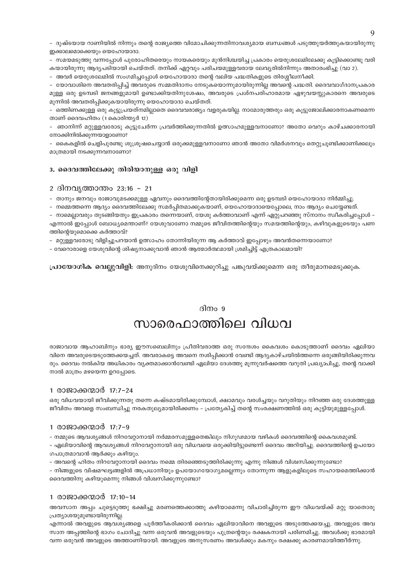– ദുഷ്ടയായ റാണിയിൽ നിന്നും തന്റെ രാജ്യത്തെ വിമോചിക്കുന്നതിനാവശ്യമായ ബന്ധങ്ങൾ പടുത്തുയർത്തുകയായിരുന്നു

ഇക്കാലമൊക്കെയും യെഹോയാദാ.

– സമയമടുത്തു വന്നപ്പോൾ പുരോഹിതരെയും നായകരെയും മുൻനിശ്ചയിച്ച പ്രകാരം യെരുശലേമിലേക്കു കൂട്ടിക്കൊണ്ടു വരി കയായിരുന്നു ആദ്യപടിയായി ചെയ്തത്. തനിക്ക് ഏറ്റവും പരിചയമുള്ളവരായ ലേവ്യരിൽനിന്നും അതാരംഭിച്ചു (വാ 2).

– അവർ യെരുശലേമിൽ സംഗമിച്ചപ്പോൾ യെഹോയാദാ തന്റെ വലിയ പദ്ധതികളുടെ തിരശ്ശീലനീക്കി.

– യോവാശിനെ അവതരിപ്പിച്ച് അവരുടെ സമ്മതിദാനം നേടുകയൊന്നുമായിരുന്നില്ല അവന്റെ പദ്ധതി. ദൈവവാഗ്ദാനപ്രകാര മുള്ള ഒരു ഉടമ്പടി ജനങ്ങളുമായി ഉണ്ടാക്കിയതിനുശേഷം, അവരുടെ പ്രശ്നപരിഹാരമായ ഏഴുവയസ്സുകാരനെ അവരുടെ മുന്നിൽ അവതരിപ്പിക്കുകയായിരുന്നു യെഹോയാദാ ചെയ്തത്.

– ഒത്തിണക്കുള്ള ഒരു കൂട്ടുപ്രയത്നമില്ലാതെ ദൈവവരാജ്യം വളരുകയില്ല. നാമോരുത്തരും ഒരു കൂട്ടുജോലിക്കാരനാകണമെന്ന താണ് ദൈവഹിതം (1 കൊരിന്ത്യർ 12)

– ഞാനിന്ന് മറ്റുള്ളവരോടു കൂട്ടുചേർന്ന പ്രവർത്തിക്കുന്നതിൽ ഉത്സാഹമുള്ളവനാണോ? അതോ വെറും കാഴ്ചക്കാരനായി നോക്കിനിൽക്കുന്നയാളാണോ?

– കൈകളിൽ ചെളിപുരണ്ടു ശുശ്രൂഷചെയ്യാൻ ഒരുക്കമുള്ളവനാണോ ഞാൻ അതോ വിമർശനവും തെറ്റുചൂണ്ടിക്കാണിക്കലും മാത്രമായി നടക്കുന്നവനാണോ?

#### 3. ദൈവത്തിലേക്കു തിരിയാനുള്ള ഒരു വിളി

#### 2 ദിനവൃത്താന്തം 23:16 – 21

– താനും ജനവും രാജാവുമടക്കമുള്ള ഏവനും ദൈവത്തിന്റേതായിരിക്കുമെന്ന ഒരു ഉടമ്പടി യെഹോയാദാ നിർമ്മിച്ചു.

– നമ്മെത്തന്നെ ആദ്യം ദൈവത്തിലേക്കു സമർപ്പിതമാക്കുകയാണ്, യെഹോയാദായെപ്പോലെ, നാം ആദ്യം ചെയ്യേണ്ടത്.

– നാമെല്ലാവരും തുടങ്ങിയതും ഇപ്രകാരം തന്നെയാണ്, യേശു കർത്താവാണ് എന്ന് ഏറ്റുപറഞ്ഞു സ്നാനം സ്ഥീകരിച്ചപ്പോൾ – എന്നാൽ ഇപ്പോൾ ബോധ്യമെന്താണ്? യേശുവാണോ നമ്മുടെ ജീവിതത്തിന്റെയും സമയത്തിന്റെയും, കഴിവുകളുടെയും പണ ത്തിന്റെയുമൊക്കെ കർത്താവ്?

– മറ്റുള്ളവരോടു വിളിച്ചുപറയാൻ ഉത്സാഹം തോന്നിയിരുന്ന ആ കർത്താവ് ഇപ്പോഴും അവൻതന്നെയാണോ?

- വേറൊരാളെ യേശുവിന്റെ ശിഷ്യനാക്കുവാൻ ഞാൻ ആത്മാർത്ഥമായി ശ്രമിച്ചിട്ട് എത്രകാലമായി?

**പ്രായോഗിക വെല്ലുവിളി:** അനുദിനം യേശുവിനെക്കുറിച്ചു പങ്കുവയ്ക്കുമെന്ന ഒരു തീരുമാനമെടുക്കുക.

### ദിനം  $9$ സാരെഫാത്തിലെ വിധവ

രാജാവായ ആഹാബിനും ഭാര്യ ഈസബെലിനും പ്രീതിവരാത്ത ഒരു സന്ദേശം കൈവശം കൊടുത്താണ് ദൈവം ഏലിയാ വിനെ അവരുടെയടുത്തേക്കയച്ചത്. അവരാകട്ടെ അവനെ നശിപ്പിക്കാൻ വേണ്ടി ആദ്യകാഴ്ചയിൽത്തന്നെ ഒരുങ്ങിയിരിക്കുന്നവ രും. ദൈവം നൽകിയ അധികാരം വ്യക്തമാക്കാൻവേണ്ടി ഏലിയാ ദേശത്തു മുന്നുവർഷത്തെ വറുതി പ്രഖ്യാപിച്ചു. തന്റെ വാക്കി നാൽ മാത്രം മഴയെന്ന ഉറപ്പോടെ.

#### 1 രാജാക്കന്മാർ 17:7–24

ഒരു വിധവയായി ജീവിക്കുന്നതു തന്നെ കഷ്ടമായിരിക്കുമ്പോൾ, ക്ഷാമവും വരൾച്ചയും വറുതിയും നിറഞ്ഞ ഒരു ദേശത്തുള്ള ജീവിതം അവളെ സംബന്ധിച്ചു നരകതുല്യമായിരിക്കണം – പ്രത്യേകിച്ച് തന്റെ സംരക്ഷണത്തിൽ ഒരു കുട്ടിയുമുള്ളപ്പോൾ.

#### 1 രാജാക്കന്മാർ 17:7–9

– നമ്മുടെ ആവശ്യങ്ങൾ നിറവേറ്റാനായി നർമ്മരസമുള്ളതെങ്കിലും നിഗൂഢമായ വഴികൾ ദൈവത്തിന്റെ കൈവശമുണ്ട്.

– ഏലിയാവിന്റെ ആവശ്യങ്ങൾ നിറവേറ്റാനായി ഒരു വിധവയെ ഒരുക്കിയിട്ടുണ്ടെന്ന് ദൈവം അറിയിച്ചു. ദൈവത്തിന്റെ ഉപയോ ഗപാത്രമാവാൻ ആർക്കും കഴിയും.

– അവന്റെ ഹിതം നിറവേറ്റാനായി ദൈവം നമ്മെ തിരഞ്ഞെടുത്തിരിക്കുന്നു എന്നു നിങ്ങൾ വിശ്വസിക്കുന്നുണ്ടോ?

– നിങ്ങളുടെ വിഷമഘട്ടങ്ങളിൽ അപ്രധാനിയും ഉപയോഗയോഗ്യമല്ലെന്നും തോന്നുന്ന ആളുകളിലൂടെ സഹായമെത്തിക്കാൻ ദൈവത്തിനു കഴിയുമെന്നു നിങ്ങൾ വിശ്വസിക്കുന്നുണ്ടോ?

#### 1 രാജാക്കന്മാർ 17:10-14

അവസാന അപ്പം ചുട്ടെടുത്തു ഭക്ഷിച്ചു മരണത്തെക്കാത്തു കഴിയാമെന്നു വിചാരിച്ചിരുന്ന ഈ വിധവയ്ക്ക് മറ്റു യാതൊരു പ്രത്യാശയുമുണ്ടായിരുന്നില്ല.

എന്നാൽ അവളുടെ ആവശ്യങ്ങളെ പൂർത്തീകരിക്കാൻ ദൈവം ഏലിയാവിനെ അവളുടെ അടുത്തേക്കയച്ചു. അവളുടെ അവ സാന അപ്പത്തിന്റെ ഭാഗം ചോദിച്ചു വന്ന ഒരുവൻ അവളുടെയും പുത്രന്റെയും രക്ഷകനായി പരിണമിച്ചു. അവൾക്കു ഭാരമായി വന്ന ഒരുവൻ അവളുടെ അത്താണിയായി. അവളുടെ അനുസരണം അവൾക്കും മകനും രക്ഷക്കു കാരണമായിത്തീർന്നു.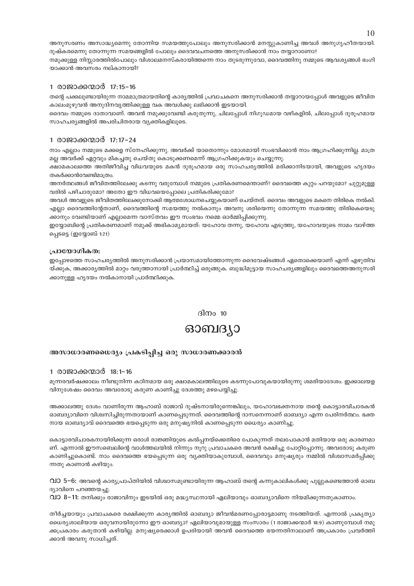അനുസരണം അസാദ്ധ്യമെന്നു തോന്നിയ സമയത്തുപോലും അനുസരിക്കാൻ മനസ്സുകാണിച്ച അവൾ അനുഗൃഹീതയായി. ദുഷ്കരമെന്നു തോന്നുന്ന സമയങ്ങളിൽ പോലും ദൈവവചനത്തെ അനുസരിക്കാൻ നാം തയ്യാറാണോ? നമുക്കുള്ള നിസ്സാരത്തിൽപോലും വിശാലമനസ്കരായിത്തന്നെ നാം തുടരുന്നുവോ, ദൈവത്തിനു നമ്മുടെ ആവശ്യങ്ങൾ ഭംഗി യാക്കാൻ അവസരം നല്കാനായി?

#### 1 രാജാക്കന്മാർ 17:15-16

തന്റെ പക്കലുണ്ടായിരുന്ന നാമമാത്രമായതിന്റെ കാര്യത്തിൽ പ്രവാചകനെ അനുസരിക്കാൻ തയ്യാറായപ്പോൾ അവളുടെ ജീവിത കാലംമുഴുവൻ അനുദിനവൃത്തിക്കുള്ള വക അവൾക്കു ലഭിക്കാൻ ഇടയായി.

ദൈവം നമ്മുടെ ദാതാവാണ്. അവൻ നമുക്കുവേണ്ടി കരുതുന്നു, ചിലപ്പോൾ നിഗുഡമായ വഴികളിൽ, ചിലപ്പോൾ ദുരുഹമായ സാഹചര്യങ്ങളിൽ അപരിചിതരായ വ്യക്തികളിലൂടെ.

#### 1 രാജാക്കന്മാർ 17:17-24

നാം എല്ലാം നമ്മുടെ മക്കളെ സ്നേഹിക്കുന്നു. അവർക്ക് യാതൊന്നും മോശമായി സംഭവിക്കാൻ നാം ആഗ്രഹിക്കുന്നില്ല. മാത്ര മല്ല അവർക്ക് ഏറ്റവും മികച്ചതു ചെയ്തു കൊടുക്കണമെന്ന് ആഗ്രഹിക്കുകയും ചെയ്യുന്നു.

ക്ഷാമകാലത്തെ അതിജീവിച്ച വിധവയുടെ മകൻ ദുരൂഹമായ ഒരു സാഹചര്യത്തിൽ മരിക്കാനിടയായി, അവളുടെ ഹൃദയം തകർക്കാൻവേണ്ടിമാത്രം.

അനർത്ഥങ്ങൾ ജീവിതത്തിലേക്കു കടന്നു വരുമ്പോൾ നമ്മുടെ പ്രതികരണമെന്താണ്? ദൈവത്തെ കുറ്റം പറയുമോ? ചുറ്റുമുള്ള വരിൽ പഴിചാരുമോ? അതോ ഈ വിധവയെപ്പോലെ പ്രതികരിക്കുമോ?

അവൾ അവളുടെ ജീവിതത്തിലേക്കുനോക്കി ആത്മശോധനചെയ്യുകയാണ് ചെയ്തത്. ദൈവം അവളുടെ മകനെ തിരികെ നൽകി. എല്ലാ ദൈവത്തിന്റേതാണ്, ദൈവത്തിന്റെ സമയത്തു നൽകാനും അവനു ശരിയെന്നു തോന്നുന്ന സമയത്തു തിരികെയെടു ക്കാനും വേണ്ടിയാണ് എല്ലാമെന്ന വാസ്തവം ഈ സംഭവം നമ്മെ ഓർമ്മിപ്പിക്കുന്നു.

ഇയോബിന്റെ പ്രതികരണമാണ് നമുക്ക് അഭികാമ്യമായത്. യഹോവ തന്നു, യഹോവ എടുത്തു, യഹോവയുടെ നാമം വാഴ്ത്ത പെടടെ (ഇയോബ് 1:21)

#### പ്രായോഗികത:

ഇപ്പോഴത്തെ സാഹചര്യത്തിൽ അനുസരിക്കാൻ പ്രയാസമായിത്തോന്നുന്ന ദൈവേഷ്ടങ്ങൾ ഏതൊക്കെയാണ് എന്ന് എഴുതിവ യ്ക്കുക, അക്കാര്യത്തിൽ മാറ്റം വരുത്താനായി പ്രാർത്ഥിച്ച് ഒരുങ്ങുക. ബുദ്ധിമുട്ടായ സാഹചര്യങ്ങളിലും ദൈവത്തെഅനുസരി ക്കാനുള്ള ഹൃദയം നൽകാനായി പ്രാർത്ഥിക്കുക.

#### ദിനം  $10$

### ഓബദ്യാ

#### അസാധാരണധൈര്യം പ്രകടിപ്പിച്ച ഒരു സാധാരണക്കാരൻ

#### 1 രാജാക്കന്മാർ 18:1–16

മൂന്നരവർഷക്കാലം നീണ്ടുനിന്ന കഠിനമായ ഒരു ക്ഷാമകാലത്തിലൂടെ കടന്നുപോവുകയായിരുന്നു ശമരിയാദേശം. ഇക്കാലയള വിനുശേഷം ദൈവം അവരോടു കരുണ കാണിച്ചു ദേശത്തു മഴപെയ്യിച്ചു.

അക്കാലത്തു ദേശം വാണിരുന്ന ആഹാബ് രാജാവ് ദുഷ്ടനായിരുന്നെങ്കിലും, യഹോവഭക്തനായ തന്റെ കൊട്ടാരവിചാരകൻ ഓബദ്യാവിനെ വിശ്വസിച്ചിരുന്നതായാണ് കാണപ്പെടുന്നത്. ദൈവത്തിന്റെ ദാസനെന്നാണ് ഓബദ്യാ എന്ന പേരിനർത്ഥം. ഭക്ത നായ ഓബദ്യാവ് ദൈവത്തെ ഭയപ്പെടുന്ന ഒരു മനുഷ്യനിൽ കാണപ്പെടുന്ന ധൈര്യം കാണിച്ചു

കൊട്ടാരവിചാരകനായിരിക്കുന്ന ഒരാൾ രാജ്ഞിയുടെ കൽപ്പനയ്ക്കെതിരെ പോകുന്നത് തലപോകാൻ മതിയായ ഒരു കാരണമാ ണ്. എന്നാൽ ഈസബെലിന്റെ വാൾത്തലയിൽ നിന്നും നൂറു പ്രവാചകരെ അവൻ രക്ഷിച്ചു പോറ്റിപ്പോന്നു. അവരോടു കരുണ കാണിച്ചുകൊണ്ട്. നാം ദൈവത്തെ ഭയപ്പെടുന്ന ഒരു വ്യക്തിയാകുമ്പോൾ, ദൈവവും മനുഷ്യരും നമ്മിൽ വിശ്വാസമർപ്പിക്കു ന്നതു കാണാൻ കഴിയും.

വിഠ 5−6: അവന്റെ കാര്യപ്രാപ്തിയിൽ വിശ്വാസമുണ്ടായിരുന്ന ആഹാബ് തന്റെ കന്നുകാലികൾക്കു പുല്ലുകണ്ടെത്താൻ ഓബ ദ്യാവിനെ പറഞ്ഞയച്ചു.

വാ 8–11: തനിക്കും രാജാവിനും ഇടയിൽ ഒരു മദ്ധ്യസ്ഥനായി ഏലിയാവും ഓബദ്യാവിനെ നിയമിക്കുന്നതുകാണാം.

തീർച്ചയായും പ്രവാചകരെ രക്ഷിക്കുന്ന കാര്യത്തിൽ ഓബദ്യാ ജീവൻമരണപ്പോരാട്ടമാണു നടത്തിയത്. എന്നാൽ പ്രകൃത്യാ ധൈര്യശാലിയായ ഒരുവനായിരുന്നോ ഈ ഓബദ്യാ? ഏലിയാവുമായുള്ള സംസാരം (1 രാജാക്കന്മാർ 18:9) കാണുമ്പോൾ നമു ക്കപ്രകാരം കരുതാൻ കഴിയില്ല. മനുഷ്യരെക്കാൾ ഉപരിയായി അവൻ ദൈവത്തെ ഭയന്നതിനാലാണ് അപ്രകാരം പ്രവർത്തി ക്കാൻ അവനു സാധിച്ചത്.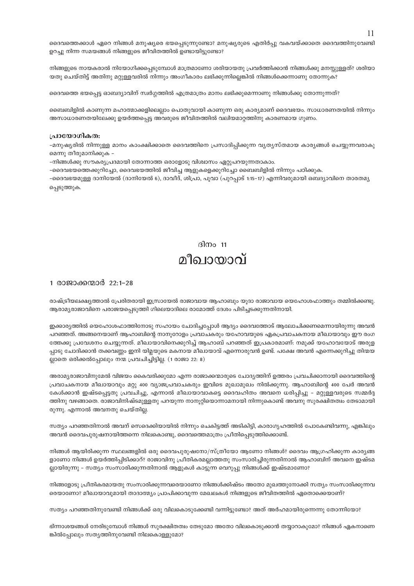ദൈവത്തെക്കാൾ ഏറെ നിങ്ങൾ മനുഷ്യരെ ഭയപ്പെടുന്നുണ്ടോ? മനുഷ്യരുടെ എതിർപ്പു വകവയ്ക്കാതെ ദൈവത്തിനുവേണ്ടി ഉറച്ചു നിന്ന സമയങ്ങൾ നിങ്ങളുടെ ജീവിതത്തിൽ ഉണ്ടായിട്ടുണ്ടോ?

നിങ്ങളുടെ നായകരാൽ നിയോഗിക്കപ്പെടുമ്പോൾ മാത്രമാണോ ശരിയായതു പ്രവർത്തിക്കാൻ നിങ്ങൾക്കു മനസ്സുള്ളത്? ശരിയാ യതു ചെയ്തിട്ട് അതിനു മറ്റുള്ളവരിൽ നിന്നും അംഗീകാരം ലഭിക്കുന്നില്ലെങ്കിൽ നിങ്ങൾക്കെന്നാണു തോന്നുക?

ദൈവത്തെ ഭയപ്പെട്ട ഓബദ്യാവിന് സ്വർഗ്ഗത്തിൽ എത്രമാത്രം മാനം ലഭിക്കുമെന്നാണു നിങ്ങൾക്കു തോന്നുന്നത്?

ബൈബിളിൽ കാണുന്ന മഹാത്മാക്കളിലെല്ലാം പൊതുവായി കാണുന്ന ഒരു കാര്യമാണ് ദൈവഭയം. സാധാരണതയിൽ നിന്നും അസാധാരണതയിലേക്കു ഉയർത്തപ്പെട്ട അവരുടെ ജീവിതത്തിൽ വലിയമാറ്റത്തിനു കാരണമായ ഗുണം.

#### പ്രായോഗികത:

-മനുഷ്യരിൽ നിന്നുള്ള മാനം കാംക്ഷിക്കാതെ ദൈവത്തിനെ പ്രസാദിപ്പിക്കുന്ന വ്യത്യസ്തമായ കാര്യങ്ങൾ ചെയ്യുന്നവരാകു മെന്നു തീരുമാനിക്കുക –

-നിങ്ങൾക്കു സൗകര്യപ്രദമായി തോന്നാത്ത ഒരാളോടു വിശ്വാസം ഏറ്റുപറയുന്നതാകാം.

-ദൈവഭയത്തെക്കുറിച്ചോ, ദൈവഭയത്തിൽ ജീവിച്ച ആളുകളെക്കുറിച്ചോ ബൈബിളിൽ നിന്നും പഠിക്കുക.

–ദൈവഭയമുള്ള ദാനിയേൽ (ദാനിയേൽ 6), ദാവീദ്, ശിപ്രാ, പൂവാ (പുറപ്പാട് 1:15–17) എന്നിവരുമായി ഒബദ്യാവിനെ താരതമ്യ പ്പെടുത്തുക.

### ദിനം  $11$ മീഖായാവ്

#### 1 രാജാക്കന്മാർ 22:1–28

രാഷ്ട്രീയലക്ഷ്യത്താൽ പ്രേരിതരായി ഇസ്രായേൽ രാജാവായ ആഹാബും യുദാ രാജാവായ യെഹോശഫാത്തും തമ്മിൽക്കണ്ടു. ആരാമ്യരാജാവിനെ പരാജയപ്പെടുത്തി ഗിലെയാദിലെ രാമോത്ത് ദേശം പിടിച്ചടക്കുന്നതിനായി.

ഇക്കാര്യത്തിൽ യെഹോശഫാത്തിനോടു സഹായം ചോദിച്ചപ്പോൾ ആദ്യം ദൈവത്തോട് ആലോചിക്കണമെന്നായിരുന്നു അവൻ പറഞ്ഞത്. അങ്ങനെയാണ് ആഹാബിന്റെ നാനുറോളം പ്രവാചകരും യഹോവയുടെ ഏകപ്രവാചകനായ മീഖായാവും ഈ രംഗ ത്തേക്കു പ്രവേശനം ചെയ്യുന്നത്. മീഖായാവിനെക്കുറിച്ച് ആഹാബ് പറഞ്ഞത് ഇപ്രകാരമാണ്: നമുക്ക് യഹോവയോട് അരുള പ്പാടു ചോദിക്കാൻ തക്കവണ്ണം ഇനി യിമ്ലയുടെ മകനായ മീഖായാവ് എന്നൊരുവൻ ഉണ്ട്. പക്ഷേ അവൻ എന്നെക്കുറിച്ചു തിന്മയ ല്ലാതെ ഒരിക്കൽപ്പോലും നന്മ പ്രവചിച്ചിട്ടില്ല. (1 രാജാ 22: 8)

അരാമ്യരാജാവിനുമേൽ വിജയം കൈവരിക്കുമോ എന്ന രാജാക്കന്മാരുടെ ചോദ്യത്തിന് ഉത്തരം പ്രവചിക്കാനായി ദൈവത്തിന്റെ പ്രവാചകനായ മീഖായാവും മറ്റു 400 വ്യാജപ്രവാചകരും ഇവിടെ മുഖാമുഖം നിൽക്കുന്നു. ആഹാബിന്റെ 400 പേർ അവൻ കേൾക്കാൻ ഇഷ്ടപ്പെട്ടതു പ്രവചിച്ചു, എന്നാൽ മീഖായാവാകട്ടെ ദൈവഹിതം അവനെ ധരിപ്പിച്ചു – മറ്റുള്ളവരുടെ സമ്മർദ്ദ ത്തിനു വഴങ്ങാതെ. രാജാവിനിഷ്ടമുള്ളതു പറയുന്ന നാനൂറ്റിയൊന്നാമനായി നിന്നുകൊണ്ട് അവനു സുരക്ഷിതത്വം തേടാമായി രുന്നു. എന്നാൽ അവനതു ചെയ്തില്ല.

സത്യം പറഞ്ഞതിനാൽ അവന് സെദെക്കിയായിൽ നിന്നും ചെകിട്ടത്ത് അടികിട്ടി, കാരാഗൃഹത്തിൽ പോകേണ്ടിവന്നു, എങ്കിലും അവൻ ദൈവപുരുഷനായിത്തന്നെ നിലകൊണ്ടു, ദൈവത്തെമാത്രം പ്രീതിപ്പെടുത്തിക്കൊണ്ട്.

നിങ്ങൾ ആയിരിക്കുന്ന സ്ഥലങ്ങളിൽ ഒരു ദൈവപുരുഷനോ/സ്ത്രീയോ ആണോ നിങ്ങൾ? ദൈവം ആഗ്രഹിക്കുന്ന കാര്യങ്ങ ളാണോ നിങ്ങൾ ഉയർത്തിപ്പിടിക്കാറ്? രാജാവിനു പ്രീതികരമല്ലാത്തതു സംസാരിച്ചിരുന്നതിനാൽ ആഹാബിന് അവനെ ഇഷ്ടമ ല്ലായിരുന്നു – സത്യം സംസാരിക്കുന്നതിനാൽ ആളുകൾ കാട്ടുന്ന വെറുപ്പു നിങ്ങൾക്ക് ഇഷ്ടമാണോ?

നിങ്ങളോടു പ്രീതികരമായതു സംസാരിക്കുന്നവരെയാണോ നിങ്ങൾക്കിഷ്ടം അതോ മുഖത്തുനോക്കി സത്യം സംസാരിക്കുന്നവ രെയാണോ? മീഖായാവുമായി താദാത്മ്യം പ്രാപിക്കാവുന്ന മേഖലകൾ നിങ്ങളുടെ ജീവിതത്തിൽ ഏതൊക്കെയാണ്?

സത്യം പറഞ്ഞതിനുവേണ്ടി നിങ്ങൾക്ക് ഒരു വിലകൊടുക്കേണ്ടി വന്നിട്ടുണ്ടോ? അത് അർഹമായിരുന്നെന്നു തോന്നിയോ?

ഭിന്നാശയങ്ങൾ നേരിടുമ്പോൾ നിങ്ങൾ സുരക്ഷിതത്വം തേടുമോ അതോ വിലകൊടുക്കാൻ തയ്യാറാകുമോ? നിങ്ങൾ ഏകനാണെ ങ്കിൽപ്പോലും സത്യത്തിനുവേണ്ടി നിലകൊള്ളുമോ?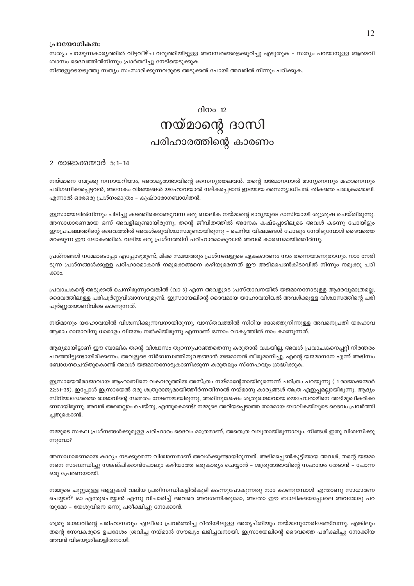#### പ്രായോഗികത:

സത്യം പറയുന്നകാര്യത്തിൽ വിട്ടവീഴ്ച വരുത്തിയിട്ടുള്ള അവസരങ്ങളെക്കുറിച്ചു എഴുതുക - സത്യം പറയാനുള്ള ആത്മവി ശ്വാസം ദൈവത്തിൽനിന്നും പ്രാർത്ഥിച്ചു നേടിയെടുക്കുക.

നിങ്ങളുടെയടുത്തു സത്യം സംസാരിക്കുന്നവരുടെ അടുക്കൽ പോയി അവരിൽ നിന്നും പഠിക്കുക.

#### ദിനം  $12$

## നയ്മാന്റെ ദാസി പരിഹാരത്തിന്റെ കാരണം

#### 2 രാജാക്കന്മാർ 5:1-14

നയ്മാനെ നമുക്കു നന്നായറിയാം, അരാമൃരാജാവിന്റെ സൈനൃത്തലവൻ. തന്റെ യജമാനനാൽ മാനൃനെന്നും മഹാനെന്നും പരിഗണിക്കപ്പെട്ടവൻ, അനേകം വിജയങ്ങൾ യഹോവയാൽ നല്കപ്പെടാൻ ഇടയായ സൈന്യാധിപൻ. തികഞ്ഞ പരാക്രമശാലി. എന്നാൽ ഒരേഒരു പ്രശ്നംമാത്രം – കുഷ്ഠരോഗബാധിതൻ.

ഇസ്രായേലിൽനിന്നും പിടിച്ചു കടത്തിക്കൊണ്ടുവന്ന ഒരു ബാലിക നയ്മാന്റെ ഭാര്യയുടെ ദാസിയായി ശുശ്രൂഷ ചെയ്തിരുന്നു. അസാധാരണമായ ഒന്ന് അവളിലുണ്ടായിരുന്നു, തന്റെ ജീവിതത്തിൽ അനേക കഷ്ടപ്പാടിലൂടെ അവൾ കടന്നു പോയിട്ടും ഈപ്രപഞ്ചത്തിന്റെ ദൈവത്തിൽ അവൾക്കുവിശ്വാസമുണ്ടായിരുന്നു – ചെറിയ വിഷമങ്ങൾ പോലും നേരിടുമ്പോൾ ദൈവത്തെ മറക്കുന്ന ഈ ലോകത്തിൽ. വലിയ ഒരു പ്രശ്നത്തിന് പരിഹാരമാകുവാൻ അവൾ കാരണമായിത്തീർന്നു.

പ്രശ്നങ്ങൾ നമ്മോടൊപ്പം എപ്പോഴുമുണ്ട്, മിക്ക സമയത്തും പ്രശ്നങ്ങളുടെ ഏകകാരണം നാം തന്നെയാണുതാനും. നാം നേരി ടുന്ന പ്രശ്നങ്ങൾക്കുള്ള പരിഹാരമാകാൻ നമുക്കെങ്ങനെ കഴിയുമെന്നത് ഈ അടിമപെൺകിടാവിൽ നിന്നും നമുക്കു പഠി ക്കാം.

പ്രവാചകന്റെ അടുക്കൽ ചെന്നിരുന്നുവെങ്കിൽ (വാ 3) എന്ന അവളുടെ പ്രസ്താവനയിൽ യജമാനനോടുള്ള ആദരവുമാത്രമല്ല, ദൈവത്തിലുള്ള പരിപൂർണ്ണവിശ്വാസവുമുണ്ട്. ഇസ്രായേലിന്റെ ദൈവമായ യഹോവയിങ്കൽ അവൾക്കുള്ള വിശ്വാസത്തിന്റെ പരി പൂർണ്ണതയാണിവിടെ കാണുന്നത്.

നയ്മാനും യഹോവയിൽ വിശ്വസിക്കുന്നവനായിരുന്നു, വാസ്തവത്തിൽ സിറിയ ദേശത്തുനിന്നുള്ള അവനെപ്രതി യഹോവ ആരാം രാജാവിനു ധാരാളം വിജയം നൽകിയിരുന്നു എന്നാണ് ഒന്നാം വാകൃത്തിൽ നാം കാണുന്നത്.

ആദ്യമായിട്ടാണ് ഈ ബാലിക തന്റെ വിശ്വാസം തുറന്നുപറഞ്ഞതെന്നു കരുതാൻ വകയില്ല, അവൾ പ്രവാചകനെപ്പറ്റി നിരന്തരം പറഞ്ഞിട്ടുണ്ടായിരിക്കണം. അവളുടെ നിർബന്ധത്തിനുവഴങ്ങാൻ യജമാനൻ തീരുമാനിച്ചു. എന്റെ യജമാനനേ എന്ന് അഭിസം ബോധനചെയ്തുകൊണ്ട് അവൾ യജമാനനോടുകാണിക്കുന്ന കരുതലും സ്നേഹവും ശ്രദ്ധിക്കുക.

ഇസ്രായേൽരാജാവായ ആഹാബിനെ വകവരുത്തിയ അസ്ത്രം നയ്മാന്റേതായിരുന്നെന്ന് ചരിത്രം പറയുന്നു ( 1 രാജാക്കന്മാർ 22:31–35). ഇപ്പോൾ ഇസ്രായേൽ ഒരു ശത്രുരാജ്യമായിത്തീർന്നതിനാൽ നയ്മാനു കാര്യങ്ങൾ അത്ര എളുപ്പമല്ലായിരുന്നു. ആദ്യം സിറിയാദേശത്തെ രാജാവിന്റെ സമ്മതം നേടണമായിരുന്നു, അതിനുശേഷം ശത്രുരാജാവായ യെഹോരാമിനെ അഭിമുഖീകരിക്ക ണമായിരുന്നു. അവൻ അതെല്ലാം ചെയ്തു, എന്തുകൊണ്ട്? നമ്മുടെ അറിയപ്പെടാത്ത താരമായ ബാലികയിലൂടെ ദൈവം പ്രവർത്തി ച്ചതുകൊണ്ട്.

നമ്മുടെ സകല പ്രശ്നങ്ങൾക്കുമുള്ള പരിഹാരം ദൈവം മാത്രമാണ്, അതെത്ര വലുതായിരുന്നാലും. നിങ്ങൾ ഇതു വിശ്വസിക്കു  $m$ ) ദേവാ?

അസാധാരണമായ കാര്യം നടക്കുമെന്ന വിശ്വാസമാണ് അവൾക്കുണ്ടായിരുന്നത്. അടിമപ്പെൺകുട്ടിയായ അവൾ, തന്റെ യജമാ നനെ സംബന്ധിച്ചു സങ്കല്പിക്കാൻപോലും കഴിയാത്ത ഒരുകാര്യം ചെയ്യാൻ – ശത്രുരാജാവിന്റെ സഹായം തേടാൻ – പോന്ന ഒരു പ്രേരണയായി.

നമ്മുടെ ചുറ്റുമുള്ള ആളുകൾ വലിയ പ്രതിസന്ധികളിൽകൂടി കടന്നുപോകുന്നതു നാം കാണുമ്പോൾ എന്താണു സാധാരണ ചെയ്യാറ്? ഓ എന്തുചെയ്യാൻ എന്നു വിചാരിച്ച് അവരെ അവഗണിക്കുമോ, അതോ ഈ ബാലികയെപ്പോലെ അവരോടു പറ യുമോ – യേശുവിനെ ഒന്നു പരീക്ഷിച്ചു നോക്കാൻ.

ശത്രു രാജാവിന്റെ പരിഹാസവും ഏലീശാ പ്രവർത്തിച്ച രീതിയിലുള്ള അതൃപ്തിയും നയ്മാനുനേരിടേണ്ടിവന്നു. എങ്കിലും തന്റെ സേവകരുടെ ഉപദേശം ശ്രവിച്ച നയ്മാൻ സൗഖ്യം ലഭിച്ചവനായി. ഇസ്രായേലിന്റെ ദൈവത്തെ പരീക്ഷിച്ചു നോക്കിയ അവൻ വിജയശ്രീലാളിതനായി.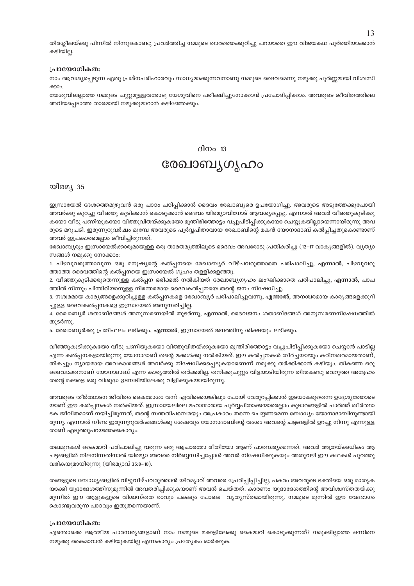തിരശ്ശീലയ്ക്കു പിന്നിൽ നിന്നുകൊണ്ടു പ്രവർത്തിച്ച നമ്മുടെ താരത്തെക്കുറിച്ചു പറയാതെ ഈ വിജയകഥ പൂർത്തിയാക്കാൻ കഴിയില്ല.

#### പ്രായോഗികത:

നാം ആവശ്യപ്പെടുന്ന ഏതു പ്രശ്നപരിഹാരവും സാധ്യമാക്കുന്നവനാണു നമ്മുടെ ദൈവമെന്നു നമുക്കു പൂർണ്ണമായി വിശ്വസി ക്കാം.

യേശുവിലല്ലാത്ത നമ്മുടെ ചുറ്റുമുള്ളവരോടു യേശുവിനെ പരീക്ഷിച്ചുനോക്കാൻ പ്രചോദിപ്പിക്കാം. അവരുടെ ജീവിതത്തിലെ അറിയപ്പെടാത്ത താരമായി നമുക്കുമാറാൻ കഴിഞ്ഞേക്കും.

#### ദിനം  $13$

## രേഖാബൃഗൃഹം

#### യിരമ്യ 35

ഇസ്രായേൽ ദേശത്തെമുഴുവൻ ഒരു പാഠം പഠിപ്പിക്കാൻ ദൈവം രേഖാബൃരെ ഉപയോഗിച്ചു. അവരുടെ അടുത്തേക്കുപോയി അവർക്കു കുറച്ചു വീഞ്ഞു കുടിക്കാൻ കൊടുക്കാൻ ദൈവം യിരമ്യാവിനോട് ആവശ്യപ്പെട്ടു. എന്നാൽ അവർ വീഞ്ഞുകുടിക്കു കയോ വീടു പണിയുകയോ വിത്തുവിതയ്ക്കുകയോ മുന്തിരിത്തോട്ടം വച്ചുപിടിപ്പിക്കുകയോ ചെയ്യുകയില്ലായെന്നായിരുന്നു അവ രുടെ മറുപടി. ഇരുന്നൂറുവർഷം മുമ്പേ അവരുടെ പൂർവ്വപിതാവായ രേഖാബിന്റെ മകൻ യോനാദാബ് കൽപ്പിച്ചതുകൊണ്ടാണ് അവർ ഇപ്രകാരമെല്ലാം ജീവിച്ചിരുന്നത്.

രേഖാബൃരും ഇസ്രായേൽക്കാരുമായുള്ള ഒരു താരതമൃത്തിലൂടെ ദൈവം അവരോടു പ്രതികരിച്ചു (12–17 വാകൃങ്ങളിൽ). വൃത്യാ സങ്ങൾ നമുക്കു നോക്കാം:

1. പിഴവുവരുത്താവുന്ന ഒരു മനുഷ്യന്റെ കൽപ്പനയെ രേഖാബ്യർ വീഴ്ചവരുത്താതെ പരിപാലിച്ചു, **എന്നാ**ൽ, പിഴവുവരു ത്താത്ത ദൈവത്തിന്റെ കൽപ്പനയെ ഇസ്രായേൽ ഗൃഹം തള്ളിക്കളഞ്ഞു.

2. വീഞ്ഞുകുടിക്കരുതെന്നുള്ള കൽപ്പന ഒരിക്കൽ നൽകിയത് രേഖാബ്യഗൃഹം ലംഘിക്കാതെ പരിപാലിച്ചു, **എന്നാൽ**, പാപ ത്തിൽ നിന്നും പിന്തിരിയാനുള്ള നിരന്തരമായ ദൈവകൽപ്പനയെ തന്റെ ജനം നിഷേധിച്ചു.

3. നശ്വരമായ കാര്യങ്ങളെക്കുറിച്ചുള്ള കൽപ്പനകളെ രേഖാബ്യർ പരിപാലിച്ചുവന്നു, എ**ന്നാ**ൽ, അനശ്വരമായ കാര്യങ്ങളെക്കുറി ച്ചുള്ള ദൈവകൽപ്പനകളെ ഇസ്രായേൽ അനുസരിച്ചില്ല.

4. രേഖാബ്യർ ശതാബ്ദങ്ങൾ അനുസരണയിൽ തുടർന്നു, **എന്നാൽ**, ദൈവജനം ശതാബ്ദങ്ങൾ അനുസരണനിഷേധത്തിൽ തുടർന്നു

5. രേഖാബ്യർക്കു പ്രതിഫലം ലഭിക്കും, എന്നാൽ, ഇസ്രായേൽ ജനത്തിനു ശിക്ഷയും ലഭിക്കും.

വീഞ്ഞുകുടിക്കുകയോ വീടു പണിയുകയോ വിത്തുവിതയ്ക്കുകയോ മുന്തിരിത്തോട്ടം വച്ചുപിടിപ്പിക്കുകയോ ചെയ്യാൻ പാടില്ല എന്ന കൽപ്പനകളായിരുന്നു യോനാദാബ് തന്റെ മക്കൾക്കു നൽകിയത്. ഈ കൽപ്പനകൾ തീർച്ചയായും കഠിനതരമായതാണ്, തികച്ചും നൃായമായ അവകാശങ്ങൾ അവർക്കു നിഷേധിക്കപ്പെടുകയാണെന്ന് നമുക്കു തർക്കിക്കാൻ കഴിയും. തികഞ്ഞ ഒരു ദൈവഭക്തനാണ് യോനാദാബ് എന്ന കാര്യത്തിൽ തർക്കമില്ല. തനിക്കുചുറ്റും വിളയാടിയിരുന്ന തിന്മകണ്ടു വെറുത്ത അദ്ദേഹം തന്റെ മക്കളെ ഒരു വിശുദ്ധ ഉടമ്പടിയിലേക്കു വിളിക്കുകയായിരുന്നു.

അവരുടെ തീർത്ഥാടന ജീവിതം കൈമോശം വന്ന് എവിടെയെങ്കിലും പോയി വേരുറപ്പിക്കാൻ ഇടയാകരുതെന്ന ഉദ്ദേശ്യത്തോടെ യാണ് ഈ കൽപ്പനകൾ നൽകിയത്. ഇസ്രായേലിലെ മഹാന്മാരായ പൂർവ്വപിതാക്കന്മാരെല്ലാം കൂടാരങ്ങളിൽ പാർത്ത് തീർത്ഥാ ടക ജീവിതമാണ് നയിച്ചിരുന്നത്, തന്റെ സന്തതിപരമ്പരയും അപ്രകാരം തന്നെ ചെയ്യണമെന്ന ബോധ്യം യോനാദാബിനുണ്ടായി രുന്നു. എന്നാൽ നീണ്ട ഇരുന്നൂറുവർഷങ്ങൾക്കു ശേഷവും യോനാദാബിന്റെ വംശം അവന്റെ ചട്ടങ്ങളിൽ ഉറച്ചു നിന്നു എന്നുള്ള താണ് എടുത്തുപറയത്തക്കകാര്യം.

തലമുറകൾ കൈമാറി പരിപാലിച്ചു വരുന്ന ഒരു ആചാരമോ രീതിയോ ആണ് പാരമ്പര്യമെന്നത്. അവർ അത്രയ്ക്കധികം ആ ചട്ടങ്ങളിൽ നിലനിന്നതിനാൽ യിരമ്യാ അവരെ നിർബ്ബന്ധിച്ചപ്പോൾ അവർ നിഷേധിക്കുകയും അതുവഴി ഈ കഥകൾ പുറത്തു വരികയുമായിരുന്നു (യിരമ്യാവ് 35:8–10).

തങ്ങളുടെ ബോധ്യങ്ങളിൽ വിട്ടുവീഴ്ചവരുത്താൻ യിരമ്യാവ് അവരെ പ്രേരിപ്പിപ്പിച്ചില്ല, പകരം അവരുടെ ഭക്തിയെ ഒരു മാതൃക യാക്കി യൂദാദേശത്തിനുമുന്നിൽ അവതരിപ്പിക്കുകയാണ് അവൻ ചെയ്തത്. കാരണം യുദാദേശത്തിന്റെ അവിശ്വസ്തതയ്ക്കു മുന്നിൽ ഈ ആളുകളുടെ വിശ്വസ്തത രാവും പകലും പോലെ വൃത്യസ്തമായിരുന്നു. നമ്മുടെ മുന്നിൽ ഈ വേദഭാഗം കൊണ്ടുവരുന്ന പാഠവും ഇതുതന്നെയാണ്.

#### പ്രായോഗികത:

എന്തൊക്കെ ആത്മീയ പാരമ്പര്യങ്ങളാണ് നാം നമ്മുടെ മക്കളിലേക്കു കൈമാറി കൊടുക്കുന്നത്? നമുക്കില്ലാത്ത ഒന്നിനെ നമുക്കു കൈമാറാൻ കഴിയുകയില്ല എന്നകാര്യം പ്രത്യേകം ഓർക്കുക.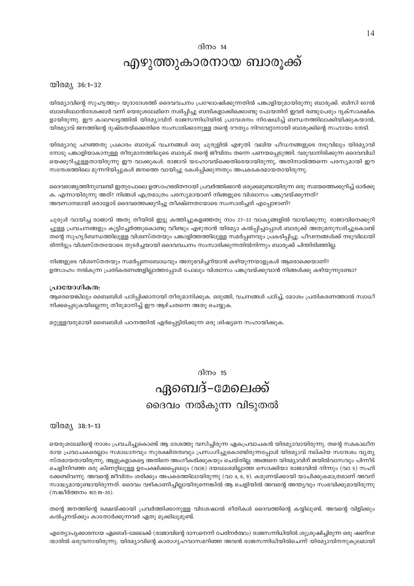#### ദിനം  $14$

### എഴുത്തുകാരനായ ബാരൂക്ക്

യിരമ്യ 36:1-32

യിരമ്യാവിന്റെ സുഹൃത്തും യൂദാദേശത്ത് ദൈവവചനം പ്രഘോഷിക്കുന്നതിൽ പങ്കാളിയുമായിരുന്നു ബാരൂക്ക്. ബിസി 607ൽ ബാബിലോൻദേശക്കാർ വന്ന് യെരുശലേമിനെ നശിപ്പിച്ചു ബന്ദികളാക്കിക്കൊണ്ടു പോയതിന് ഇവർ രണ്ടുപേരും ദൃക്സാക്ഷിക ളായിരുന്നു. ഈ കാലഘട്ടത്തിൽ യിരമ്യാവിന് രാജസന്നിധിയിൽ പ്രവേശനം നിഷേധിച്ച് ബന്ധനത്തിലാക്കിയിക്കുകയാൽ, യിരമ്യാവ് ജനത്തിന്റെ ദുഷ്ടതയ്ക്കെതിരെ സംസാരിക്കാനുള്ള തന്റെ ദൗത്യം നിറവേറ്റാനായി ബാരൂക്കിന്റെ സഹായം തേടി.

യിരമ്യാവു പറഞ്ഞതു പ്രകാരം ബാരൂക് വചനങ്ങൾ ഒരു ചുരുളിൽ എഴുതി. വലിയ പീഡനങ്ങളുടെ നടുവിലും യിരമ്യാവി നോടു പങ്കാളിയാകാനുള്ള തീരുമാനത്തിലൂടെ ബാരൂക് തന്റെ ജീവിതം തന്നെ പണയപ്പെടുത്തി. വരുവാനിരിക്കുന്ന ദൈവവിധി യെക്കുറിച്ചുള്ളതായിരുന്നു ഈ വാക്കുകൾ. രാജാവ് യഹോവയ്ക്കെതിരെയായിരുന്നു, അതിനാൽത്തന്നെ പരസ്യമായി ഈ സന്ദേശത്തിലെ മുന്നറിയിപ്പുകൾ ജനത്തെ വായിച്ചു കേൾപ്പിക്കുന്നതും അപകടകരമായതായിരുന്നു.

ദൈവരാജ്യത്തിനുവേണ്ടി ഇതുപോലെ ഉത്സാഹഭരിതനായി പ്രവർത്തിക്കാൻ ഒരുക്കമുണ്ടായിരുന്ന ഒരു സമയത്തെക്കുറിച്ച് ഓർക്കു ക. എന്നായിരുന്നു അത്? നിങ്ങൾ എത്രമാത്രം പരസ്യമായാണ് നിങ്ങളുടെ വിശ്വാസം പങ്കുവയ്ക്കുന്നത്? അവസാനമായി ഒരാളോട് ദൈവത്തെക്കുറിച്ചു തീക്ഷ്ണതയോടെ സംസാരിച്ചത് എപ്പോഴാണ്?

ചുരുൾ വായിച്ച രാജാവ് അതു തീയിൽ ഇട്ടു കത്തിച്ചുകളഞ്ഞതു നാം 27–32 വാകൃങ്ങളിൽ വായിക്കുന്നു. രാജാവിനെക്കുറി ച്ചുള്ള പ്രവചനങ്ങളും കൂട്ടിച്ചേർത്തുകൊണ്ടു വീണ്ടും എഴുതാൻ യിരമ്യാ കൽപ്പിച്ചപ്പോൾ ബാരൂക്ക് അതുമനുസരിച്ചുകൊണ്ട് തന്റെ സുഹൃദ്ബന്ധത്തിലുള്ള വിശ്വസ്തതയും പങ്കാളിത്തത്തിലുള്ള സമർപ്പണവും പ്രകടിപ്പിച്ചു. പീഢനങ്ങൾക്ക് നടുവിലായി രിന്നിട്ടും വിശ്വസ്തതയോടെ തുടർച്ചയായി ദൈവവചനം സംസാരിക്കുന്നതിൽനിന്നും ബാരൂക്ക് പിന്തിരിഞ്ഞില്ല.

നിങ്ങളുടെ വിശ്വസ്തതയും സമർപ്പണബോധവും അനുഭവിച്ചറിയാൻ കഴിയുന്നയാളുകൾ ആരൊക്കെയാണ്? ഉത്സാഹം നൽകുന്ന പ്രതികരണങ്ങളില്ലാത്തപ്പോൾ പോലും വിശ്വാസം പങ്കുവയ്ക്കുവാൻ നിങ്ങൾക്കു കഴിയുന്നുണ്ടോ?

#### പ്രായോഗികത:

ആരെയെങ്കിലും ബൈബിൾ പഠിപ്പിക്കാനായി തീരുമാനിക്കുക. ഒരുങ്ങി, വചനങ്ങൾ പഠിച്ച്, മോശം പ്രതികരണത്താൽ സ്വാധീ നിക്കപ്പെടുകയില്ലെന്നു തീരുമാനിച്ച് ഈ ആഴ്ചതന്നെ അതു ചെയ്യുക.

മറ്റുള്ളവരുമായി ബൈബിൾ പഠനത്തിൽ ഏർപ്പെട്ടിരിക്കുന്ന ഒരു ശിഷ്യനെ സഹായിക്കുക.

## ദിനം  $15$ ഏബെദ്-മേലെക്ക് ദൈവം നൽകുന്ന വിടുതൽ

യിരമ്യ 38:1-13

യെരുശലേമിന്റെ നാശം പ്രവചിച്ചുകൊണ്ട് ആ ദേശത്തു വസിച്ചിരുന്ന ഏകപ്രവാചകൻ യിരമ്യാവായിരുന്നു. തന്റെ സമകാലീന രായ പ്രവാചകരെല്ലാം സമാധാനവും സുരക്ഷിതത്വവും പ്രസംഗിച്ചുകൊണ്ടിരുന്നപ്പോൾ യിരമ്യാവ് നല്കിയ സന്ദേശം വ്യത്യ സ്തമായതായിരുന്നു, ആളുകളാകട്ടെ അതിനെ അംഗീകരിക്കുകയും ചെയ്തില്ല. അങ്ങനെ യിരമ്യാവിന് ജയിൽവാസവും പിന്നീട് ചെളിനിറഞ്ഞ ഒരു കിണറ്റിലുള്ള ഉപേക്ഷിക്കപ്പെടലും (വാ6) ദയലേശമില്ലാത്ത സെദക്കിയാ രാജാവിൽ നിന്നും (വാ 5) സഹി ക്കേണ്ടിവന്നു. അവന്റെ ജീവിതം ശരിക്കും അപകടത്തിലായിരുന്നു (വാ 4, 6, 9). കരുണയ്ക്കായി യാചിക്കുകമാത്രമാണ് അവന് സാദ്ധ്യമായുണ്ടായിരുന്നത്. ദൈവം വഴികാണിച്ചില്ലായിരുന്നെങ്കിൽ ആ ചെളിയിൽ അവന്റെ അന്ത്യവും സംഭവിക്കുമായിരുന്നു (സങ്കീർത്തനം 102:19-20).

തന്റെ ജനത്തിന്റെ രക്ഷയ്ക്കായി പ്രവർത്തിക്കാനുള്ള വിശേഷാൽ രീതികൾ ദൈവത്തിന്റെ കയ്യിലുണ്ട്. അവന്റെ വിളിക്കും കൽപ്പനയ്ക്കും കാതോർക്കുന്നവർ ഏതു മുക്കിലുമുണ്ട്.

എത്യോപ്യക്കാരനായ ഏബെദ്–മേലെക്ക് (രാജാവിന്റെ ദാസനെന്ന് പേരിനർത്ഥം) രാജസന്നിധിയിൽ ശുശ്രുഷിച്ചിരുന്ന ഒരു ഷണ്ഢ ന്മാരിൽ ഒരുവനായിരുന്നു. യിരമ്യാവിന്റെ കാരാഗൃഹവാസമറിഞ്ഞ അവൻ രാജസന്നിധിയിൽചെന്ന് യിരമ്യാവിനനുകൂലമായി

14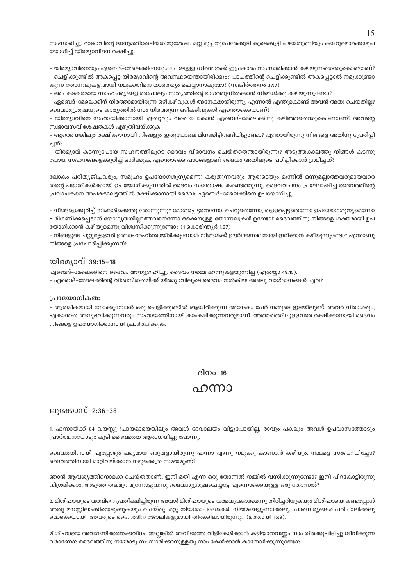സംസാരിച്ചു. രാജാവിന്റെ അനുമതിതേടിയതിനുശേഷം മറ്റു മുപ്പതുപേരേക്കൂടി കൂടെക്കൂട്ടി പഴയതുണിയും കയറുമൊക്കെയുപ യോഗിച്ച് യിരമ്യാവിനെ രക്ഷിച്ചു.

– യിരമ്യാവിനെയും ഏബെദ്–മേലെക്കിനേയും പോലുള്ള ധീരന്മാർക്ക് ഇപ്രകാരം സംസാരിക്കാൻ കഴിയുന്നതെന്തുകൊണ്ടാണ്?

– ചെളിക്കുണ്ടിൽ അകപ്പെട്ട യിരമ്യാവിന്റെ അവസ്ഥയെന്തായിരിക്കും? പാപത്തിന്റെ ചെളിക്കുണ്ടിൽ അകപ്പെട്ടാൽ നമുക്കുണ്ടാ കുന്ന തോന്നലുകളുമായി നമുക്കതിനെ താരതമ്യം ചെയ്യാനാകുമോ? (സങ്കീർത്തനം 37:7)

– അപകടകരമായ സാഹചര്യങ്ങളിൽപോലും സത്യത്തിന്റെ ഭാഗത്തുനിൽക്കാൻ നിങ്ങൾക്കു കഴിയുന്നുണ്ടോ?

– ഏബെദ്–മേലെക്കിന് നിരത്താമായിരുന്ന ഒഴികഴിവുകൾ അനേകമായിരുന്നു, എന്നാൽ എന്തുകൊണ്ട് അവൻ അതു ചെയ്തില്ല? ദൈവശുശ്രൂഷയുടെ കാര്യത്തിൽ നാം നിരത്തുന്ന ഒഴികഴിവുകൾ എന്തൊക്കെയാണ്?

– യിരമ്യാവിനെ സഹായിക്കാനായി ഏതറ്റവും വരെ പോകാൻ ഏബെദ്–മേലെക്കിനു കഴിഞ്ഞതെന്തുകൊണ്ടാണ്? അവന്റെ സ്വഭാവസവിശേഷതകൾ എഴുതിവയ്ക്കുക.

– ആരെയെങ്കിലും രക്ഷിക്കാനായി നിങ്ങളും ഇതുപോലെ മിനക്കിട്ടിറങ്ങിയിട്ടുണ്ടോ? എന്തായിരുന്നു നിങ്ങളെ അതിനു പ്രേരിപ്പി ച്ചത്?

– യിരമ്യാവ് കടന്നുപോയ സഹനത്തിലൂടെ ദൈവം വിഭാവനം ചെയ്തതെന്തായിരുന്നു? അടുത്തകാലത്തു നിങ്ങൾ കടന്നു പോയ സഹനങ്ങളെക്കുറിച്ച് ഓർക്കുക, എന്തൊക്കെ പാഠങ്ങളാണ് ദൈവം അതിലൂടെ പഠിപ്പിക്കാൻ ശ്രമിച്ചത്?

ലോകം പരിത്യജിച്ചവരും, സമൂഹം ഉപയോഗശൂന്യമെന്നു കരുതുന്നവരും ആരുടെയും മുന്നിൽ ഒന്നുമല്ലാത്തവരുമായവരെ തന്റെ പദ്ധതികൾക്കായി ഉപയോഗിക്കുന്നതിൽ ദൈവം സന്തോഷം കണ്ടെത്തുന്നു. ദൈവവചനം പ്രഘോഷിച്ച ദൈവത്തിന്റെ പ്രവാചകനെ അപകടഘട്ടത്തിൽ രക്ഷിക്കാനായി ദൈവം ഏബെദ്-മേലെക്കിനെ ഉപയോഗിച്ചു.

– നിങ്ങളെക്കുറിച്ച് നിങ്ങൾക്കെന്തു തോന്നുന്നു? മോശപ്പെട്ടതെന്നോ, ചെറുതെന്നോ, തള്ളപ്പെട്ടതെന്നോ ഉപയോഗശൂന്യമെന്നോ പരിഗണിക്കപ്പെടാൻ യോഗ്യതയില്ലാത്തവനെന്നോ ഒക്കെയുള്ള തോന്നലുകൾ ഉണ്ടോ? ദൈവത്തിനു നിങ്ങളെ ശക്തമായി ഉപ യോഗിക്കാൻ കഴിയുമെന്നു വിശ്വസിക്കുന്നുണ്ടോ? (1കൊരിന്ത്യർ 1:27)

– നിങ്ങളുടെ ചുറ്റുമുള്ളവർ ഉത്സാഹരഹിതരായിരിക്കുമ്പോൾ നിങ്ങൾക്ക് ഊർജ്ജസ്ഥലനായി ഇരിക്കാൻ കഴിയുന്നുണ്ടോ? എന്താണു നിങ്ങളെ പ്രചോദിപ്പിക്കുന്നത്?

#### യിരമ്യാവ് 39:15–18

ഏബെദ്-മേലെക്കിനെ ദൈവം അനുഗ്രഹിച്ചു. ദൈവം നമ്മെ മറന്നുകളയുന്നില്ല (ഏശയ്യാ 49:15). - ഏബെദ്-മേലെക്കിന്റെ വിശ്വസ്തതയ്ക്ക് യിരമ്യാവിലൂടെ ദൈവം നൽകിയ അഞ്ചു വാഗ്ദാനങ്ങൾ ഏവ?

#### പ്രായോഗികത:

- ആത്മീകമായി നോക്കുമ്പോൾ ഒരു ചെളിക്കുണ്ടിൽ ആയിരിക്കുന്ന അനേകം പേർ നമ്മുടെ ഇടയിലുണ്ട്. അവർ നിരാശരും, ഏകാന്തത അനുഭവിക്കുന്നവരും സഹായത്തിനായി കാംക്ഷിക്കുന്നവരുമാണ്. അത്തരത്തിലുള്ളവരെ രക്ഷിക്കാനായി ദൈവം നിങ്ങളെ ഉപയോഗിക്കാനായി പ്രാർത്ഥിക്കുക.

#### ദിനം  $16$

### ഹന്നാ

#### ലുക്കോസ് 2:36-38

1. ഹന്നായ്ക്ക് 84 വയസ്സു പ്രായമായെങ്കിലും അവൾ ദേവാലയം വിട്ടുപോയില്ല, രാവും പകലും അവൾ ഉപവാസത്തോടും പ്രാർത്ഥനയോടും കൂടി ദൈവത്തെ ആരാധയിച്ചു പോന്നു.

ദൈവത്തിനായി എപ്പോഴും ലഭ്യമായ ഒരുവളായിരുന്നു ഹന്നാ എന്നു നമുക്കു കാണാൻ കഴിയും. നമ്മളെ സംബന്ധിച്ചോ? ദൈവത്തിനായി മാറ്റിവയ്ക്കാൻ നമുക്കെത്ര സമയമുണ്ട്?

ഞാൻ ആവശ്യത്തിനൊക്കെ ചെയ്തതാണ്, ഇനി മതി എന്ന ഒരു തോന്നൽ നമ്മിൽ വസിക്കുന്നുണ്ടോ? ഇനി പിറകോട്ടിരുന്നു വിശ്രമിക്കാം, അടുത്ത തലമുറ മുന്നോട്ടുവന്നു ദൈവശുശ്രുഷചെയ്യട്ടേ എന്നൊക്കെയുള്ള ഒരു തോന്നൽ?

2. മിശിഹായുടെ വരവിനെ പ്രതീക്ഷിച്ചിരുന്ന അവൾ മിശിഹായുടെ വരവെപ്രകാരമെന്നു തിരിച്ചറിയുകയും മിശിഹായെ കണ്ടപ്പോൾ അതു മനസ്സിലാക്കിയെടുക്കുകയും ചെയ്തു. മറ്റു നിയമോപദേശകർ, നിയമങ്ങളുണ്ടാക്കലും പാരമ്പര്യങ്ങൾ പരിപാലിക്കലു മൊക്കെയായി, അവരുടെ ദൈനംദിന ജോലികളുമായി തിരക്കിലായിരുന്നു. (മത്തായി 15:9).

മിശിഹായെ അവഗണിക്കത്തക്കവിധം അല്ലങ്കിൽ അവിടത്തെ വിളികേൾക്കാൻ കഴിയാതവണ്ണം നാം തിരക്കുപിടിച്ചു ജീവിക്കുന്ന വരാണോ? ദൈവത്തിനു നമ്മോടു സംസാരിക്കാനുള്ളതു നാം കേൾക്കാൻ കാതോർക്കുന്നുണ്ടോ?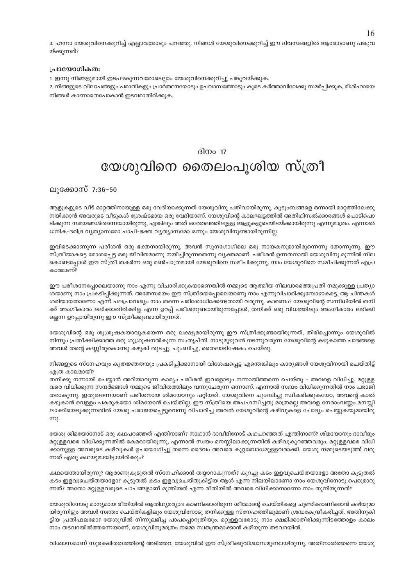3. ഹന്നാ യേശുവിനെക്കുറിച്ച് എല്ലാവരോടും പറഞ്ഞു. നിങ്ങൾ യേശുവിനെക്കുറിച്ച് ഈ ദിവസങ്ങളിൽ ആരോടാണു പങ്കുവ യ്ക്കുന്നത്?

#### പ്രായോഗികത:

1. ഇന്നു നിങ്ങളുമായി ഇടപഴകുന്നവരോടെല്ലാം യേശുവിനെക്കുറിച്ചു പങ്കുവയ്ക്കുക.

2. നിങ്ങളുടെ വിലാപങ്ങളും പരാതികളും പ്രാർത്ഥനയോടും ഉപവാസത്തോടും കൂടെ കർത്താവിലേക്കു സമർപ്പിക്കുക, മിശിഹായെ നിങ്ങൾ കാണാതെപോകാൻ ഇടവരാതിരിക്കുക.

#### ദിന $\alpha$  17

## യേശുവിനെ തൈലംപൂശിയ സ്ത്രീ

ലൂക്കോസ് 7:36-50

ആളുകളുടെ വീട് മാറ്റത്തിനായുള്ള ഒരു വേദിയാക്കുന്നത് യേശുവിനു പതിവായിരുന്നു. കുടുംബങ്ങളെ ഒന്നായി മാറ്റത്തിലേക്കു നയിക്കാൻ അവരുടെ വീടുകൾ ശ്രേഷ്ടമായ ഒരു വേദിയാണ്. യേശുവിന്റെ കാലഘട്ടത്തിൽ അതിഥിസൽക്കാരങ്ങൾ പൊടിപൊ ടിക്കുന്ന സമയങ്ങൾതന്നെയായിരുന്നു, എങ്കിലും അത് ഒരേതലത്തിലുള്ള ആളുകളുടെയിടയ്ക്കായിരുന്നു എന്നുമാത്രം. എന്നാൽ ധനിക-ദരിദ്ര വ്യത്യാസമോ പാപി-ഭക്ത വ്യത്യാസമോ ഒന്നും യേശുവിനുണ്ടായിരുന്നില്ല.

ഇവിടെക്കാണുന്ന പരീശൻ ഒരു ഭക്തനായിരുന്നു, അവൻ സുനഗോഗിലെ ഒരു നായകനുമായിരുന്നെന്നു തോന്നുന്നു. ഈ സ്ത്രീയാകട്ടെ മോശപ്പെട്ട ഒരു ജീവിതമാണു നയിച്ചിരുന്നതെന്നു വ്യക്തമാണ്. പരീശൻ ഉന്നതനായി യേശുവിനു മുന്നിൽ നില കൊണ്ടപ്പോൾ ഈ സ്ത്രീ തകർന്ന ഒരു മൺപാത്രമായി യേശുവിനെ സമീപിക്കുന്നു. നാം യേശുവിനെ സമീപിക്കുന്നത് എപ്ര കാരമാണ്?

ഈ പരീശനേപ്പോലെയാണു നാം എന്നു വിചാരിക്കുകയാണെങ്കിൽ നമ്മുടെ ആത്മീയ നിലവാരത്തെപ്രതി നമുക്കുള്ള പ്രത്യാ ശയാണു നാം പ്രകടിപ്പിക്കുന്നത്. അതേസമയം ഈ സ്ത്രീയെപ്പോലെയാണു നാം എന്നുവിചാരിക്കുമ്പോഴാകട്ടെ, ആ ചിന്തകൾ ശരിയായതാണോ എന്ന് പലപ്രാവശ്യം നാം തന്നെ പരിശോധിക്കേണ്ടതായി വരുന്നു. കാരണം? യേശുവിന്റെ സന്നിധിയിൽ തനി ക്ക് അംഗീകാരം ലഭിക്കാതിരിക്കില്ല എന്ന ഉറപ്പ് പരീശനുണ്ടായിരുന്നപ്പോൾ, തനിക്ക് ഒരു വിധത്തിലും അംഗീകാരം ലഭിക്കി ല്ലെന്ന ഉറപ്പായിരുന്നു ഈ സ്ത്രീക്കുണ്ടായിരുന്നത്.

യേശുവിന്റെ ഒരു ശുശ്രൂഷകയാവുകയെന്ന ഒരു ലക്ഷ്യമായിരുന്നു ഈ സ്ത്രീക്കുണ്ടായിരുന്നത്, തിരിച്ചൊന്നും യേശുവിൽ നിന്നും പ്രതീക്ഷിക്കാത്ത ഒരു ശുശ്രുഷനൽകുന്ന സംതൃപ്തി. നാടുമുഴുവൻ നടന്നുവരുന്ന യേശുവിന്റെ കഴുകാത്ത പാദങ്ങളെ അവൾ തന്റെ കണ്ണീരുകൊണ്ടു കഴുകി തുടച്ചു, ചുംബിച്ചു, തൈലാഭിഷേകം ചെയ്തു.

നിങ്ങളുടെ സ്നേഹവും കൃതജ്ഞതയും പ്രകടിപ്പിക്കാനായി വിശേഷപ്പെട്ട എന്തെങ്കിലും കാര്യങ്ങൾ യേശുവിനായി ചെയ്തിട്ട് എത്ര കാലമായി?

തനിക്കു നന്നായി ചെയ്യാൻ അറിയാവുന്ന കാര്യം പരീശൻ ഇവളോടും നന്നായിത്തന്നെ ചെയ്തു – അവളെ വിധിച്ചു. മറ്റുള്ള വരെ വിധിക്കുന്ന സന്ദർഭങ്ങൾ നമ്മുടെ ജീവിതത്തിലും വന്നുചേരുന്ന ഒന്നാണ്. എന്നാൽ സ്വയം വിധിക്കുന്നതിൽ നാം പരാജി തരാകുന്നു. ഇതുതന്നെയാണ് പരീശനായ ശിമയോനും പറ്റിയത്. യേശുവിനെ ചുംബിച്ചു സ്ഥീകരിക്കുകയോ, അവന്റെ കാൽ കഴുകാൻ വെള്ളം പകരുകയോ ശിമയോൻ ചെയ്തില്ല. ഈ സ്ത്രീയെ അപഹസിച്ചതു മാത്രമല്ല അവളെ നേരാംവണ്ണം മനസ്സി ലാക്കിയെടുക്കുന്നതിൽ യേശു പരാജയപ്പെട്ടുവെന്നു വിചാരിച്ച അവൻ യേശുവിന്റെ കഴിവുകളെ ചോദ്യം ചെയ്യുകയുമായിരു m.

യേശു ശിമയോനോട് ഒരു കഥപറഞ്ഞത് എന്തിനാണ്? നാഥാൻ ദാവീദിനോട് കഥപറഞ്ഞത് എന്തിനാണ്? ശിമയോനും ദാവീദും മറ്റുള്ളവരെ വിധിക്കുന്നതിൽ കേമരായിരുന്നു, എന്നാൽ സ്വയം മനസ്സിലാക്കുന്നതിൽ കഴിവുകുറഞ്ഞവരും. മറ്റുള്ളവരെ വിധി ക്കാനുള്ള അവരുടെ കഴിവുകൾ ഉപയോഗിച്ചു തന്നെ ദൈവം അവരെ കുറ്റബോധമുള്ളവരാക്കി. യേശു നമ്മുടെയടുത്ത് വരു ന്നത് ഏതു കഥയുമായിട്ടായിരിക്കും?

കഥയെന്തായിരുന്നു? ആരാണുകൂടുതൽ സ്നേഹിക്കാൻ തയ്യാറാകുന്നത്? കുറച്ചു കടം ഇളവുചെയ്തയാളോ അതോ കൂടുതൽ കടം ഇളവുചെയ്തയാളോ? കുടുതൽ കടം ഇളവുചെയ്തുകിട്ടിയ ആൾ എന്ന നിലയിലാണോ നാം യേശുവിനോടു പെരുമാറു ന്നത്? അതോ മറ്റുള്ളവരുടെ പാപങ്ങളാണ് മുന്തിയത് എന്ന രീതിയിൽ അവരെ വിധിക്കാനാണോ നാം തുനിയുന്നത്?

യേശുവിനോടു മാനൃമായ രീതിയിൽ ആതിഥ്യമര്യാദ കാണിക്കാതിരുന്ന ശീമോന്റെ ചെയ്തികളെ ചൂണ്ടിക്കാണിക്കാൻ കഴിയുമാ യിരുന്നിട്ടും അവൾ സ്വന്തം ചെയ്തികളിലും യേശുവിനോടു തനിക്കുള്ള സ്നേഹത്തിലുമാണ് ശ്രദ്ധകേന്ദ്രീകരിച്ചത്. അതിനുകി ട്ടിയ പ്രതിഫലമോ? യേശുവിൽ നിന്നുലഭിച്ച പാപപ്പൊറുതിയും. മറ്റുള്ളവരോടു നാം ക്ഷമിക്കാതിരിക്കുന്നിടത്തോളം കാലം നാം തടവറയിൽത്തന്നെയാണ്, യേശുവിനുമാത്രം നമ്മെ സ്വതന്ത്രമാക്കാൻ കഴിയുന്ന തടവറയിൽ.

വിശ്വാസമാണ് സുരക്ഷിതത്വത്തിന്റെ അടിത്തറ. യേശുവിൽ ഈ സ്ത്രീക്കുവിശ്വാസമുണ്ടായിരുന്നു, അതിനാൽത്തന്നെ യേശു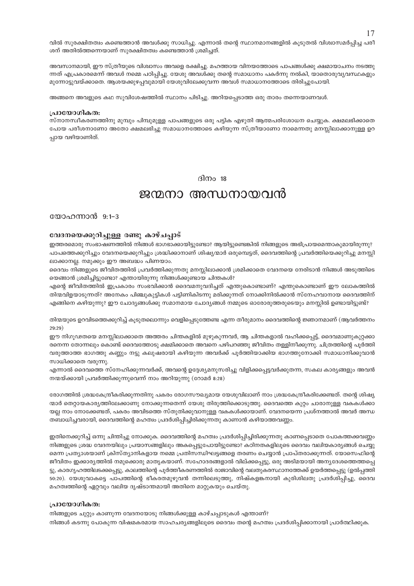വിൽ സുരക്ഷിതത്വം കണ്ടെത്താൻ അവൾക്കു സാധിച്ചു. എന്നാൽ തന്റെ സ്ഥാനമാനങ്ങളിൽ കൂടുതൽ വിശ്വാസമർപ്പിച്ച പരീ ശന് അതിൽത്തന്നെയാണ് സുരക്ഷിതത്വം കണ്ടെത്താൻ ശ്രമിച്ചത്.

അവസാനമായി, ഈ സ്ത്രീയുടെ വിശ്വാസം അവളെ രക്ഷിച്ചു. മഹത്തായ വിനയത്തോടെ പാപങ്ങൾക്കു ക്ഷമായാചനം നടത്തു ന്നത് എപ്രകാരമെന്ന് അവൾ നമ്മെ പഠിപിച്ചു. യേശു അവൾക്കു തന്റെ സമാധാനം പകർന്നു നൽകി, യാതൊരുവ്യവസ്ഥകളും മുന്നോട്ടുവയ്ക്കാതെ. ആശയക്കുഴപ്പവുമായി യേശുവിലേക്കുവന്ന അവൾ സമാധാനത്തോടെ തിരിച്ചുപോയി.

അങ്ങനെ അവളുടെ കഥ സുവിശേഷത്തിൽ സ്ഥാനം പിടിച്ചു. അറിയപ്പെടാത്ത ഒരു താരം തന്നെയാണവൾ.

#### പ്രായോഗികത:

സ്നാനസ്വീകരണത്തിനു മുമ്പും പിമ്പുമുള്ള പാപങ്ങളുടെ ഒരു പട്ടിക എഴുതി ആത്മപരിശോധന ചെയ്യുക. ക്ഷമലഭിക്കാതെ പോയ പരീശനാണോ അതോ ക്ഷമലഭിച്ചു സമാധാനത്തോടെ കഴിയുന്ന സ്ത്രീയാണോ നാമെന്നതു മനസ്സിലാക്കാനുള്ള ഉറ പ്പായ വഴിയാണിത്.

ദിനം  $18$ 

### ജന്മനാ അന്ധനായവൻ

യോഹന്നാൻ 9:1-3

#### വേദനയെക്കുറിച്ചുള്ള രണ്ടു കാഴ്ചപ്പാട്

ഇത്തരമൊരു സംഭാഷണത്തിൽ നിങ്ങൾ ഭാഗഭാക്കായിട്ടുണ്ടോ? ആയിട്ടുണ്ടെങ്കിൽ നിങ്ങളുടെ അഭിപ്രായമെന്താകുമായിരുന്നു? പാപത്തെക്കുറിച്ചും വേദനയെക്കുറിച്ചും ശ്രദ്ധിക്കാനാണ് ശിഷ്യന്മാർ ഒരുമ്പെട്ടത്, ദൈവത്തിന്റെ പ്രവർത്തിയെക്കുറിച്ചു മനസ്സി ലാക്കാനല്ല. നമുക്കും ഈ അബദ്ധം പിണയാം.

ദൈവം നിങ്ങളുടെ ജീവിതത്തിൽ പ്രവർത്തിക്കുന്നതു മനസ്സിലാക്കാൻ ശ്രമിക്കാതെ വേദനയെ നേരിടാൻ നിങ്ങൾ അടുത്തിടെ യെങ്ങാൻ ശ്രമിച്ചിട്ടുണ്ടോ? എന്തായിരുന്നു നിങ്ങൾക്കുണ്ടായ ചിന്തകൾ?

എന്റെ ജീവിതത്തിൽ ഇപ്രകാരം സംഭവിക്കാൻ ദൈവമനുവദിച്ചത് എന്തുകൊണ്ടാണ്? എന്തുകൊണ്ടാണ് ഈ ലോകത്തിൽ തിന്മവിളയാടുന്നത്? അനേകം പിഞ്ചുകുട്ടികൾ പട്ടിണികിടന്നു മരിക്കുന്നത് നോക്കിനിൽക്കാൻ സ്നേഹവാനായ ദൈവത്തിന് എങ്ങിനെ കഴിയുന്നു? ഈ ചോദ്യങ്ങൾക്കു സമാനമായ ചോദ്യങ്ങൾ നമ്മുടെ ഓരോരുത്തരുടെയും മനസ്സിൽ ഉണ്ടായിട്ടുണ്ട്?

തിന്മയുടെ ഉറവിടത്തെക്കുറിച്ച് കൂടുതലൊന്നും വെളിപ്പെടുത്തേണ്ട എന്ന തീരുമാനം ദൈവത്തിന്റെ ജ്ഞാനമാണ് (ആവർത്തനം  $29.29)$ 

ഈ നിഗൂഢതയെ മനസ്സിലാക്കാതെ അത്തരം ചിന്തകളിൽ മുഴുകുന്നവർ, ആ ചിന്തകളാൽ വഹിക്കപ്പെട്ട്, ദൈവമാണുകുറ്റക്കാ രനെന്ന തോന്നലും കൊണ്ട് ദൈവത്തോടു ക്ഷമിക്കാതെ അവനെ പഴിപറഞ്ഞു ജീവിതം തള്ളിനീക്കുന്നു. ചിത്രത്തിന്റെ പൂർത്തി വരുത്താത്ത ഭാഗത്തു കണ്ണും നട്ടു കലുഷരായി കഴിയുന്ന അവർക്ക് പൂർത്തിയാക്കിയ ഭാഗത്തുനോക്കി സമാധാനിക്കുവാൻ സാധിക്കാതെ വരുന്നു.

എന്നാൽ ദൈവത്തെ സ്നേഹിക്കുന്നവർക്ക്, അവന്റെ ഉദ്ദേശ്യമനുസരിച്ചു വിളിക്കപ്പെട്ടവർക്കുതന്ന, സകല കാര്യങ്ങളും അവൻ നന്മയ്ക്കായി പ്രവർത്തിക്കുന്നുവെന്ന് നാം അറിയുന്നു (റോമർ 8:28)

രോഗത്തിൽ ശ്രദ്ധകേന്ദ്രീകരിക്കുന്നതിനു പകരം രോഗസൗഖ്യമായ യേശുവിലാണ് നാം ശ്രദ്ധകേന്ദ്രീകരിക്കേണ്ടത്. തന്റെ ശിഷ്യ ന്മാർ തെറ്റായകാര്യത്തിലേക്കാണു നോക്കുന്നതെന്ന് യേശു തിരുത്തിക്കൊടുത്തു. ദൈവത്തെ കുറ്റം ചാരാനുള്ള വകകൾക്കാ യല്ല നാം നോക്കേണ്ടത്, പകരം അവിടത്തെ സ്തുതിക്കുവാനുള്ള വകകൾക്കായാണ്. വേദനയെന്ന പ്രശ്നത്താൽ അവർ അന്ധ തബാധിച്ചവരായി, ദൈവത്തിന്റെ മഹത്വം പ്രദർശിപ്പിച്ചിരിക്കുന്നതു കാണാൻ കഴിയാത്തവണ്ണം.

ഇതിനെക്കുറിച്ച് ഒന്നു ചിന്തിച്ചു നോക്കുക. ദൈവത്തിന്റെ മഹത്വം പ്രദർശിപ്പിച്ചിരിക്കുന്നതു കാണപ്പെടാതെ പോകത്തക്കവണ്ണം നിങ്ങളുടെ ശ്രദ്ധ വേദനയിലും പ്രയാസങ്ങളിലും അകപ്പെട്ടുപോയിട്ടുണ്ടോ? കഠിനതകളിലൂടെ ദൈവം വലിയകാര്യങ്ങൾ ചെയ്യു മെന്ന പ്രത്യാശയാണ് ക്രിസ്ത്യാനികളായ നമ്മെ പ്രതിസന്ധിഘട്ടങ്ങളെ തരണം ചെയ്യാൻ പ്രാപ്തരാക്കുന്നത്. യോസെഫിന്റെ ജീവിതം ഇക്കാര്യത്തിൽ നമുക്കൊരു മാതൃകയാണ്. സഹോദരങ്ങളാൽ വില്ക്കപ്പെട്ടു, ഒരു അടിമയായി അന്യദേശത്തെത്തപ്പെ ട്ടു, കാരഗൃഹത്തിലടക്കപ്പെട്ടു, കാലത്തിന്റെ പൂർത്തീകരണത്തിൽ രാജാവിന്റെ വലതുകരസ്ഥാനത്തേക്ക് ഉയർത്തപ്പെട്ടു (ഉൽപ്പത്തി 50:20). യേശുവാകട്ടെ പാപത്തിന്റെ ഭീകരതമുഴുവൻ തന്നിലെടുത്തു, നിഷ്കളങ്കനായി കുരിശിലതു പ്രദർശിപ്പിച്ചു, ദൈവ മഹത്വത്തിന്റെ ഏറ്റവും വലിയ ദൃഷ്ടാന്തമായി അതിനെ മാറ്റുകയും ചെയ്തു.

#### പ്രായോഗികത:

നിങ്ങളുടെ ചുറ്റും കാണുന്ന വേദനയോടു നിങ്ങൾക്കുള്ള കാഴ്ചപ്പാടുകൾ എന്താണ്? നിങ്ങൾ കടന്നു പോകുന്ന വിഷമകരമായ സാഹചര്യങ്ങളിലൂടെ ദൈവം തന്റെ മഹത്വം പ്രദർശിപ്പിക്കാനായി പ്രാർത്ഥിക്കുക.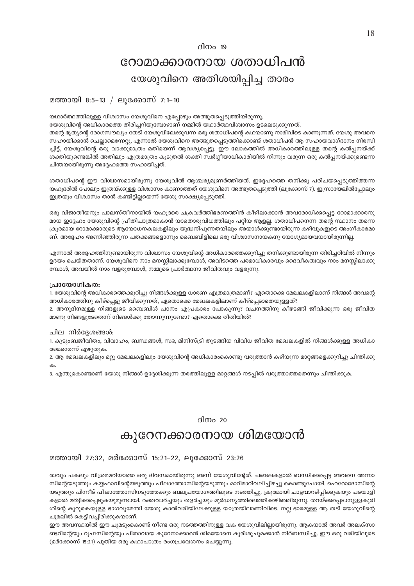#### ദിനം  $19$

## റോമാക്കാരനായ ശതാധിപൻ യേശുവിനെ അതിശയിപ്പിച്ച താരം

#### മത്തായി 8:5-13 / ലുക്കോസ് 7:1-10

യഥാർത്ഥത്തിലുള്ള വിശ്വാസം യേശുവിനെ എപ്പോഴും അത്ഭുതപ്പെടുത്തിയിരുന്നു.

യേശുവിന്റെ അധികാരത്തെ തിരിച്ചറിയുമ്പോഴാണ് നമ്മിൽ യഥാർത്ഥവിശ്വാസം ഉടലെടുക്കുന്നത്. തന്റെ ഭൃത്യന്റെ രോഗസൗഖ്യം തേടി യേശുവിലേക്കുവന്ന ഒരു ശതാധിപന്റെ കഥയാണു നാമിവിടെ കാണുന്നത്. യേശു അവനെ സഹായിക്കാൻ ചെല്ലാമെന്നേറ്റു, എന്നാൽ യേശുവിനെ അത്ഭുതപ്പെടുത്തിക്കൊണ്ട് ശതാധിപൻ ആ സഹായവാഗ്ദാനം നിരസി ച്ചിട്ട്, യേശുവിന്റെ ഒരു വാക്കുമാത്രം മതിയെന്ന് ആവശ്യപ്പെട്ടു. ഈ ലോകത്തിൽ അധികാരത്തിലുള്ള തന്റെ കൽപ്പനയ്ക്ക് ശക്തിയുണ്ടെങ്കിൽ അതിലും എത്രമാത്രം കൂടുതൽ ശക്തി സ്വർഗ്ഗീയാധികാരിയിൽ നിന്നും വരുന്ന ഒരു കൽപ്പനയ്ക്കുണ്ടെന്ന ചിന്തയായിരുന്നു അദ്ദേഹത്തെ സഹായിച്ചത്.

ശതാധിപന്റെ ഈ വിശ്വാസമായിരുന്നു യേശുവിൽ ആശ്ചര്യമുണർത്തിയത്. ഇദ്ദേഹത്തെ തനിക്കു പരിചയപ്പെടുത്തിത്തന്ന യഹുദരിൽ പോലും ഇത്രയ്ക്കുള്ള വിശ്വാസം കാണാത്തത് യേശുവിനെ അത്ഭുതപ്പെടുത്തി (ലൂക്കോസ് 7). ഇസ്രായേലിൽപ്പോലും ഇത്രയും വിശ്വാസം താൻ കണ്ടിട്ടില്ലയെന്ന് യേശു സാക്ഷ്യപ്പെടുത്തി.

ഒരു വിജാതീയനും പാലസ്തീനായിൽ യഹൂദരെ ചക്രവർത്തിഭരണത്തിൻ കീഴിലാക്കാൻ അവരോധിക്കപ്പെട്ട റോമാക്കാരനു മായ ഇദ്ദേഹം യേശുവിന്റെ പ്രീതിപാത്രമാകാൻ യാതൊരുവിധത്തിലും പറ്റിയ ആളല്ല. ശതാധിപനെന്ന തന്റെ സ്ഥാനം തന്നെ ക്രുരമായ റോമാക്കാരുടെ ആയോധനകലകളിലും യുദ്ധനിപുണതയിലും അയാൾക്കുണ്ടായിരുന്ന കഴിവുകളുടെ അംഗീകാരമാ ണ്. അദ്ദേഹം അണിഞ്ഞിരുന്ന പതക്കങ്ങളൊന്നും ബൈബിളിലെ ഒരു വിശ്വാസനായകനു യോഗ്യമായവയായിരുന്നില്ല.

എന്നാൽ അദ്ദേഹത്തിനുണ്ടായിരുന്ന വിശ്വാസം യേശുവിന്റെ അധികാരത്തെക്കുറിച്ചു തനിക്കുണ്ടായിരുന്ന തിരിച്ചറിവിൽ നിന്നും ഉദയം ചെയ്തതാണ്. യേശുവിനെ നാം മനസ്സിലാക്കുമ്പോൾ, അവിടത്തെ പരമാധികാരവും ദൈവീകത്വവും നാം മനസ്സിലാക്കു മ്പോൾ, അവയിൽ നാം വളരുമ്പോൾ, നമ്മുടെ പ്രാർത്ഥനാ ജീവിതവും വളരുന്നു.

#### പ്രായോഗികത:

1. യേശുവിന്റെ അധികാരത്തെക്കുറിച്ചു നിങ്ങൾക്കുള്ള ധാരണ എത്രമാത്രമാണ്? ഏതൊക്കെ മേഖലകളിലാണ് നിങ്ങൾ അവന്റെ അധികാരത്തിനു കീഴ്പ്പെട്ടു ജീവിക്കുന്നത്, ഏതൊക്കെ മേഖലകളിലാണ് കീഴ്പ്പെടാതെയുള്ളത്?

2. അനുദിനമുള്ള നിങ്ങളുടെ ബൈബിൾ പഠനം എപ്രകാരം പോകുന്നു? വചനത്തിനു കീഴടങ്ങി ജീവിക്കുന്ന ഒരു ജീവിത മാണു നിങ്ങളുടേതെന്ന് നിങ്ങൾക്കു തോന്നുന്നുണ്ടോ? ഏതൊക്കെ രീതിയിൽ?

#### ചില നിർദ്ദേശങ്ങൾ:

1. കുടുംബജീവിതം, വിവാഹം, ബന്ധങ്ങൾ, സഭ, മിനിസ്ട്രി തുടങ്ങിയ വിവിധ ജീവിത മേഖലകളിൽ നിങ്ങൾക്കുള്ള അധികാ രമെന്തെന്ന് എഴുതുക.

2. ആ മേഖലകളിലും മറ്റു മേഖലകളിലും യേശുവിന്റെ അധികാരംകൊണ്ടു വരുത്താൻ കഴിയുന്ന മാറ്റങ്ങളെക്കുറിച്ചു ചിന്തിക്കു ക.

3. എന്തുകൊണ്ടാണ് യേശു നിങ്ങൾ ഉദ്ദേശിക്കുന്ന തരത്തിലുള്ള മാറ്റങ്ങൾ നടപ്പിൽ വരുത്താത്തതെന്നും ചിന്തിക്കുക.

#### ദിനം  $20$

### കുറേനക്കാരനായ ശിമയോൻ

#### മത്തായി 27:32, മർക്കോസ് 15:21-22, ലൂക്കോസ് 23:26

രാവും പകലും വിശ്രമമറിയാത്ത ഒരു ദിവസമായിരുന്നു അന്ന് യേശുവിന്റേത്. ചങ്ങലകളാൽ ബന്ധിക്കപ്പെട്ട അവനെ അന്നാ സിന്റെയടുത്തും കയ്യഫാവിന്റെയടുത്തും പീലാത്തോസിന്റെയടുത്തും മാറിമാറിവലിച്ചിഴച്ചു കൊണ്ടുപോയി. ഹെരോദോസിന്റെ യടുത്തും പിന്നീട് പീലാത്തോസിനടുത്തേക്കും ബലപ്രയോഗത്തിലൂടെ നടത്തിച്ചു. ക്രുരമായി ചാട്ടവാറടിപ്പിക്കുകയും പടയാളി കളാൽ മർദ്ദിക്കപെടുകയുമുണ്ടായി. രക്തവാർച്ചയും തളർച്ചയും മുർദ്ധന്യത്തിലെത്തിക്കഴിഞ്ഞിരുന്നു. തറയ്ക്കപ്പെടാനുള്ളകുരി ശിന്റെ കുറുകെയുള്ള ഭാഗവുമേന്തി യേശു കാൽവരിയിലേക്കുള്ള യാത്രയിലാണിവിടെ. നല്ല ഭാരമുള്ള ആ തടി യേശുവിന്റെ ചുമലിൽ കെട്ടിവച്ചിരിക്കുകയാണ്.

ഈ അവസ്ഥയിൽ ഈ ചുമടുംകൊണ്ട് നീണ്ട ഒരു നടത്തത്തിനുള്ള വക യേശുവിലില്ലായിരുന്നു. ആകയാൽ അവർ അലക്സാ ണ്ടറിന്റെയും റുഫസിന്റെയും പിതാവായ കുറേനാക്കാരൻ ശിമയോനെ കുരിശുചുമക്കാൻ നിർബന്ധിച്ചു. ഈ ഒരു വരിയിലൂടെ (മർക്കോസ് 15:21) പുതിയ ഒരു കഥാപാത്രം രംഗപ്രവേശനം ചെയ്യുന്നു.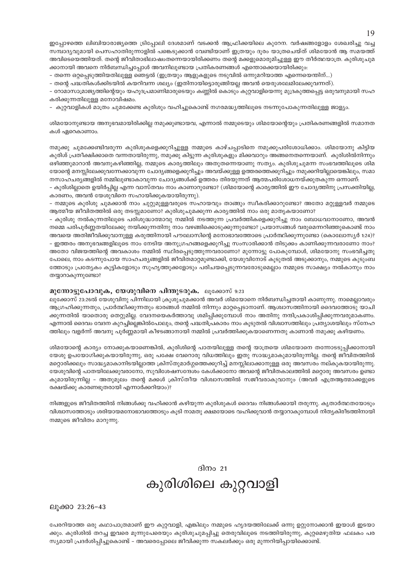ഇപ്പോഴത്തെ ലിബിയാരാജ്യത്തെ ട്രിപ്പോലി ദേശമാണ് വടക്കൻ ആഫ്രിക്കയിലെ കുറേന. വർഷങ്ങളോളം ശേഖരിച്ചു വച്ച സമ്പാദ്യവുമായി പെസഹാതിരുന്നാളിൽ പങ്കെടുക്കാൻ വേണ്ടിയാണ് ഇത്രയും ദൂരം യാത്രചെയ്ത് ശിമയോൻ ആ സമയത്ത് അവിടെയെത്തിയത്. തന്റെ ജീവിതാഭിലാഷംതന്നെയായിരിക്കണം തന്റെ മക്കളുമൊരുമിച്ചുള്ള ഈ തീർത്ഥയാത്ര. കുരിശുചുമ ക്കാനായി അവനെ നിർബന്ധിച്ചപ്പോൾ അവനിലുണ്ടായ പ്രതികരണങ്ങൾ എന്തൊക്കെയായിരിക്കും:

– തന്നെ ഒറ്റപ്പെടുത്തിയതിലുള്ള ഞെട്ടൽ (ഇത്രയും ആളുകളുടെ നടുവിൽ ഒന്നുമറിയാത്ത എന്നെയെന്തിന്...)

– തന്റെ പദ്ധതികൾക്കിടയിൽ കയറിവന്ന ശല്യം (ഇതിനായിട്ടൊരുങ്ങിയല്ല അവൻ യെരുശലേമിലേക്കുവന്നത്).

– റോമാസാമ്രാജ്യത്തിന്റെയും യഹൂദപ്രമാണിമാരുടെയും കണ്ണിൽ കൊടും കുറ്റവാളിയെന്നു മുദ്രകുത്തപ്പെട്ട ഒരുവനുമായി സഹ കരിക്കുന്നതിലുള്ള മനോവിഷമം.

– കുറ്റവാളികൾ മാത്രം ചുമക്കേണ്ട കുരിശും വഹിച്ചുകൊണ്ട് നഗരമദ്ധ്യത്തിലൂടെ നടന്നുപോകുന്നതിലുള്ള ജാള്യം.

ശിമയോനുണ്ടായ അനുഭവമായിരിക്കില്ല നമുക്കുണ്ടായവ, എന്നാൽ നമ്മുടെയും ശിമയോന്റെയും പ്രതികരണങ്ങളിൽ സമാനത കൾ ഏറെകാണാം.

നമുക്കു ചുമക്കേണ്ടിവരുന്ന കുരിശുകളെക്കുറിച്ചുള്ള നമ്മുടെ കാഴ്ചപ്പാടിനെ നമുക്കുപരിശോധിക്കാം. ശിമയോനു കിട്ടിയ കുരിശ് പ്രതീക്ഷിക്കാതെ വന്നതായിരുന്നു, നമുക്കു കിട്ടുന്ന കുരിശുകളും മിക്കവാറും അങ്ങനെതന്നെയാണ്. കുരിശിൽനിന്നും ഒഴിഞ്ഞുമാറാൻ അവനുകഴിഞ്ഞില്ല, നമ്മുടെ കാര്യത്തിലും അതുതന്നെയാണു സത്യം. കുരിശുചുമന്ന സംഭവത്തിലൂടെ ശിമ യോന്റെ മനസ്സിലേക്കുവന്നേക്കാവുന്ന ചോദ്യങ്ങളെക്കുറിച്ചും അവയ്ക്കുള്ള ഉത്തരത്തെക്കുറിച്ചും നമുക്കറിയില്ലായെങ്കിലും, സമാ നസാഹചര്യങ്ങളിൽ നമ്മിലുണ്ടാകാവുന്ന ചോദ്യങ്ങൾക്ക് ഉത്തരം തിരയുന്നത് ആത്മപരിശോധനയ്ക്കുതകുന്ന ഒന്നാണ്:

– കുരിശില്ലാതെ ഉയിർപ്പില്ല എന്ന വാസ്തവം നാം കാണാറുണ്ടോ? (ശിമയോന്റെ കാര്യത്തിൽ ഈ ചോദ്യത്തിനു പ്രസക്തിയില്ല, കാരണം, അവൻ യേശുവിനെ സഹായിക്കുകയായിരുന്നു).

– നമ്മുടെ കുരിശു ചുമക്കാൻ നാം ചുറ്റുമുള്ളവരുടെ സഹായവും താങ്ങും സ്വീകരിക്കാറുണ്ടോ? അതോ മറ്റുള്ളവർ നമ്മുടെ ആത്മീയ ജീവിതത്തിൽ ഒരു തടസ്സമാണോ? കുരിശുചുമക്കുന്ന കാര്യത്തിൽ നാം ഒരു മാതൃകയാണോ?

– കുരിശു നൽകുന്നതിലൂടെ പരിശുദ്ധാത്മാവു നമ്മിൽ നടത്തുന്ന പ്രവർത്തികളെക്കുറിച്ചു നാം ബോധവാനാണോ, അവൻ നമ്മെ പരിപൂർണ്ണതയിലേക്കു നയിക്കുന്നതിനു നാം വഴങ്ങിക്കൊടുക്കുന്നുണ്ടോ? പ്രയാസങ്ങൾ വരുമെന്നറിഞ്ഞുകൊണ്ട് നാം അവയെ അതിജീവിക്കുവാനുള്ള കരുത്തിനായി പൗലോസിന്റെ മനോഭാവത്തോടെ പ്രാർത്ഥിക്കുന്നുണ്ടോ (കൊലോസ്യർ 1:24)? – ഇത്തരം അനുഭവങ്ങളിലൂടെ നാം നേടിയ അനുഗ്രഹങ്ങളെക്കുറിച്ചു സംസാരിക്കാൻ തിടുക്കം കാണിക്കുന്നവരാണോ നാം? അതോ വിജയത്തിന്റെ അവകാശം നമ്മിൽ സ്ഥിരപ്പെടുത്തുന്നവരാണോ? മുന്നോട്ടു പോകുമ്പോൾ, ശിമയോനു സംഭവിച്ചതു പോലെ, നാം കടന്നുപോയ സാഹചര്യങ്ങളിൽ ജീവിതമാറ്റമുണ്ടാക്കി, യേശുവിനോട് കൂടുതൽ അടുക്കാനും, നമ്മുടെ കുടുംബ ത്തോടും പ്രത്യേകം കുട്ടികളോടും സുഹൃത്തുക്കളോടും പരിചയപ്പെടുന്നവരോടുമെല്ലാം നമ്മുടെ സാക്ഷ്യം നൽകാനും നാം തയ്യാറാകുന്നുണ്ടോ?

#### മുന്നോട്ടുപോവുക, യേശുവിനെ പിന്തുടരുക. ലൂക്കോസ് 9:23

ലുക്കോസ് 23:26ൽ യേശുവിനു പിന്നിലായി ക്രൂശുചുമക്കാൻ അവർ ശിമയോനെ നിർബന്ധിച്ചതായി കാണുന്നു. നാമെല്ലാവരും ആഗ്രഹിക്കുന്നതും, പ്രാർത്ഥിക്കുന്നതും ഭാരങ്ങൾ നമ്മിൽ നിന്നും മാറ്റപ്പെടാനാണ്. ആശ്വാസത്തിനായി ദൈവത്തോടു യാചി ക്കുന്നതിൽ യാതൊരു തെറ്റുമില്ല. വേദനയെകർത്താവു ശമിപ്പിക്കുമ്പോൾ നാം അതിനു നന്ദിപ്രകാശിപ്പിക്കുന്നവരുമാകണം. എന്നാൽ ദൈവം വേദന കുറച്ചില്ലെങ്കിൽപോലും, തന്റെ പദ്ധതിപ്രകാരം നാം കൂടുതൽ വിശ്വാസത്തിലും പ്രത്യാശയിലും സ്നേഹ ത്തിലും വളർന്ന് അവനു പുർണ്ണമായി കീഴടങ്ങാനായി നമ്മിൽ പ്രവർത്തിക്കുകയാണെന്നതു കാണാൻ നമുക്കു കഴിയണം.

ശിമയോന്റെ കാര്യം നോക്കുകയാണെങ്കിൽ, കുരിശിന്റെ പാതയിലുള്ള തന്റെ യാത്രയെ ശിമയോനെ തന്നോടടുപ്പിക്കാനായി യേശു ഉപയോഗിക്കുകയായിരുന്നു, ഒരു പക്ഷേ വേറൊരു വിധത്തിലും ഇതു സാദ്ധ്യമാകുമായിരുന്നില്ല. തന്റെ ജീവിതത്തിൽ മറ്റൊരിക്കലും സാദ്ധ്യമാകാനിടയില്ലാത്ത ക്രിസ്തുമാർഗ്ഗത്തെക്കുറിച്ച് മനസ്സിലാക്കാനുള്ള ഒരു അവസരം നല്കുകയായിരുന്നു. യേശുവിന്റെ പാതയിലേക്കുവരാനോ, സുവിശേഷസന്ദേശം കേൾക്കാനോ അവന്റെ ജീവിതകാലത്തിൽ മറ്റൊരു അവസരം ഉണ്ടാ കുമായിരുന്നില്ല - അതുമൂലം തന്റെ മക്കൾ ക്രിസ്തീയ വിശ്വാസത്തിൽ സജീവരാകുവാനും (അവർ എത്രആത്മാക്കളുടെ രക്ഷയ്ക്കു കാരണഭൂതരായി എന്നാർക്കറിയാം)?

നിങ്ങളുടെ ജീവിതത്തിൽ നിങ്ങൾക്കു വഹിക്കാൻ കഴിയുന്ന കുരിശുകൾ ദൈവം നിങ്ങൾക്കായി തരുന്നു. കൃതാർത്ഥതയോടും വിശ്വാസത്തോടും ശരിയായമനോഭാവത്തോടും കൂടി നാമതു ക്ഷമയോടെ വഹിക്കുവാൻ തയ്യാറാകുമ്പോൾ നിതൃകിരീടത്തിനായി നമ്മുടെ ജീവിതം മാറുന്നു.

## ദിനം 21 കുരിശിലെ കുറ്റവാളി

ലുക്കാ 23:26-43

പേരറിയാത്ത ഒരു കഥാപാത്രമാണ് ഈ കുറ്റവാളി, എങ്കിലും നമ്മുടെ ഹൃദയത്തിലേക്ക് ഒന്നു ഉറ്റുനോക്കാൻ ഇയാൾ ഇടയാ ക്കും. കുരിശിൽ തറച്ച ഇവരെ മൂന്നുപേരെയും കുരിശുചുമപ്പിച്ചു തെരുവിലൂടെ നടത്തിയിരുന്നു, കുറ്റമെഴുതിയ ഫലകം പര സ്യമായി പ്രദർശിപ്പിച്ചുകൊണ്ട് – അവരെപ്പോലെ ജീവിക്കുന്ന സകലർക്കും ഒരു മുന്നറിയിപ്പായിക്കൊണ്ട്.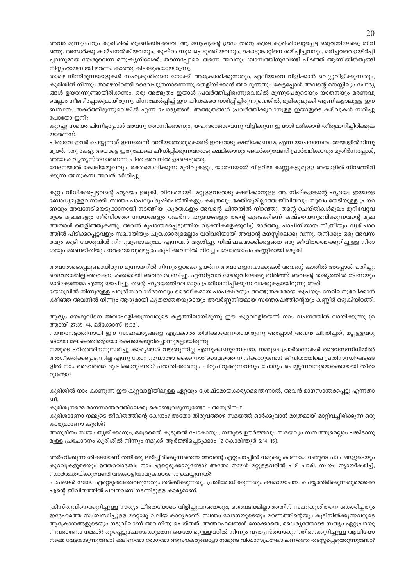അവർ മൂന്നുപേരും കുരിശിൽ തൂങ്ങിക്കിടക്കവേ, ആ മനുഷ്യന്റെ ശ്രദ്ധ തന്റെ കൂടെ കുരിശിലേറ്റപ്പെട്ട ഒരുവനിലേക്കു തിരി ഞ്ഞു. അന്ധർക്കു കാഴ്ചനൽകിയവനും, കുഷ്ഠം സുഖപ്പെടുത്തിയവനും, കൊടുങ്കാറ്റിനെ ശമിപ്പിച്ചവനും, മരിച്ചവരെ ഉയിർപ്പി ച്ചവനുമായ യേശുവെന്ന മനുഷ്യനിലേക്ക്. തന്നെപ്പോലെ തന്നെ അവനും ശ്വാസത്തിനുവേണ്ടി പിടഞ്ഞ് ആണിയിൽതൂങ്ങി നിസ്സഹായനായി മരണം കാത്തു കിടക്കുകയായിരുന്നു.

താഴെ നിന്നിരുന്നയാളുകൾ സഹക്രൂശിതനെ നോക്കി ആക്രോശിക്കുന്നതും, ഏലിയാവെ വിളിക്കാൻ വെല്ലുവിളിക്കുന്നതും, കുരിശിൽ നിന്നും താഴെയിറങ്ങി ദൈവപുത്രനാണെന്നു തെളിയിക്കാൻ അലറുന്നതും കേട്ടപ്പോൾ അവന്റെ മനസ്സിലും ചോദ്യ ങ്ങൾ ഉയരുന്നുണ്ടായിരിക്കണം. ഒരു അത്ഭുതം ഇയാൾ പ്രവർത്തിച്ചിരുന്നുവെങ്കിൽ മൂന്നുപേരുടെയും യാതനയും മരണവു മെല്ലാം നീങ്ങിപ്പോകുമായിരുന്നു. മിന്നലേൽപ്പിച്ച് ഈ പീഢകരെ നശിപ്പിച്ചിരുന്നുവെങ്കിൽ, ഭൂമികുലുക്കി ആണികളാലുള്ള ഈ ബന്ധനം തകർത്തിരുന്നുവെങ്കിൽ എന്ന ചോദ്യങ്ങൾ. അത്ഭുതങ്ങൾ പ്രവർത്തിക്കുവാനുള്ള ഇയാളുടെ കഴിവുകൾ നശിച്ചു പോയോ ഇനി?

കുറച്ചു സമയം പിന്നിട്ടപ്പോൾ അവനു തോന്നിക്കാണും, യഹൂദരാജാവെന്നു വിളിക്കുന്ന ഇയാൾ മരിക്കാൻ തീരുമാനിച്ചിരിക്കുക യാണെന്ന്.

പിതാവേ ഇവർ ചെയ്യുന്നത് ഇന്നതെന്ന് അറിയാത്തതുകൊണ്ട് ഇവരോടു ക്ഷമിക്കേണമേ, എന്ന യാചനാസ്വരം അയാളിൽനിന്നു മുയർന്നതു കേട്ടു. അയാളെ ഇതുപോലെ പീഡിപ്പിക്കുന്നവരോടു ക്ഷമിക്കാനും അവർക്കുവേണ്ടി പ്രാർത്ഥിക്കാനും മുതിർന്നപ്പോൾ,

അയാൾ വ്യത്യസ്തനാണെന്ന ചിന്ത അവനിൽ ഉടലെടുത്തു.

വേദനയാൽ കോടിയമുഖവും, രക്തമൊലിക്കുന്ന മുറിവുകളും, യാതനയാൽ വിളറിയ കണ്ണുകളുമുള്ള അയാളിൽ നിറഞ്ഞിരി ക്കുന്ന അനുകമ്പ അവൻ ദർശിച്ചു.

കുറ്റം വിധിക്കപ്പെട്ടവന്റെ ഹൃദയം ഉരുകി, വിവശമായി. മറ്റുള്ളവരോടു ക്ഷമിക്കാനുള്ള ആ നിഷ്കളങ്കന്റെ ഹൃദയം ഇയാളെ ബോധ്യമുള്ളവനാക്കി. സ്വന്തം പാപവും ദുഷ്ചെയ്തികളും കരുതലും ഭക്തിയുമില്ലാത്ത ജീവിതവും സുഖം തേടിയുള്ള പ്രയാ ണവും അവനേടിയെടുക്കാനായി നടത്തിയ ക്രൂരതകളും അവന്റെ ചിന്തയിൽ നിറഞ്ഞു. തന്റെ ചെയ്തികൾമൂലം മുറിവേറ്റവ രുടെ മുഖങ്ങളും നീർനിറഞ്ഞ നയനങ്ങളും തകർന്ന ഹൃദയങ്ങളും തന്റെ കൂടെക്കിടന്ന് കഷ്ടതയനുഭവിക്കുന്നവന്റെ മുഖ ത്തയാൾ തെളിഞ്ഞുകണ്ടു. അവൻ രൂപാന്തരപ്പെടുത്തിയ വ്യക്തികളെക്കുറിച്ച് ഓർത്തു, പാപിനിയായ സ്ത്രീയും വ്യഭിചാര ത്തിൽ പിടിക്കപ്പെട്ടവളും സഖായിയും ചുങ്കക്കാരുമെല്ലാം വരിവരിയായി അവന്റെ മനസ്സിലേക്കു വന്നു. തനിക്കും ഒരു അവസ രവും കൂടി യേശുവിൽ നിന്നുമുണ്ടാകുമോ എന്നവൻ ആശിച്ചു. നിഷ്ഫലമാക്കിക്കളഞ്ഞ ഒരു ജീവിതത്തെക്കുറിച്ചുള്ള നിരാ ശയും മരണഭീതിയും നരകഭയവുമെല്ലാം കൂടി അവനിൽ നിറച്ച പശ്ചാത്താപം കണ്ണീരായി ഒഴുകി.

അവരോടൊപ്പമുണ്ടായിരുന്ന മൂന്നാമനിൽ നിന്നും ഉറക്കെ ഉയർന്ന അവഹേളനവാക്കുകൾ അവന്റെ കാതിൽ അപ്പോൾ പതിച്ചു. ദൈവഭയമില്ലാത്തവനെ ശക്തമായി അവൻ ശാസിച്ചു. എന്നിട്ടവൻ യേശുവിലേക്കു തിരിഞ്ഞ് അവന്റെ രാജ്യത്തിൽ തന്നേയും

ഓർക്കേണമേ എന്നു യാചിച്ചു. തന്റെ ഹൃദയത്തിലെ മാറ്റം പ്രതിധ്വനിപ്പിക്കുന്ന വാക്കുകളായിരുന്നു അത്. യേശുവിൽ നിന്നുമുള്ള പറുദീസാവാഗ്ദാനവും ദൈവീകമായ പാപക്ഷമയും അത്ഭുതകരമായ കൃപയും നേരിലനുഭവിക്കാൻ

കഴിഞ്ഞ അവനിൽ നിന്നും ആദ്യമായി കൃതജ്ഞതയുടെയും അവർണ്ണനീയമായ സന്തോഷത്തിന്റെയും കണ്ണീർ ഒഴുകിയിറങ്ങി.

ആദ്യം യേശുവിനെ അവഹേളിക്കുന്നവരുടെ കുട്ടത്തിലായിരുന്നു ഈ കുറ്റവാളിയെന്ന് നാം വചനത്തിൽ വായിക്കുന്നു (മ ത്തായി 27:39-44, മർക്കോസ് 15:32).

സ്വന്തനേട്ടത്തിനായി ഈ സാഹചര്യങ്ങളെ എപ്രകാരം തിരിക്കാമെന്നതായിരുന്നു അപ്പോൾ അവൻ ചിന്തിച്ചത്, മറ്റുള്ളവരു ടെയോ ലോകത്തിന്റെയോ രക്ഷയെക്കുറിച്ചൊന്നുമല്ലായിരുന്നു.

നമ്മുടെ ഹിതത്തിനനുസരിച്ചു കാര്യങ്ങൾ വഴങ്ങുന്നില്ല എന്നുകാണുമ്പോഴോ, നമ്മുടെ പ്രാർത്ഥനകൾ ദൈവസന്നിധിയിൽ അംഗീകരിക്കപ്പെടുന്നില്ല എന്നു തോന്നുമ്പോഴോ ഒക്കെ നാം ദൈവത്തെ നിന്ദിക്കാറുണ്ടോ? ജീവിതത്തിലെ പ്രതിസന്ധിഘട്ടങ്ങ ളിൽ നാം ദൈവത്തെ ദുഷിക്കാറുണ്ടോ? പരാതിക്കാരനും പിറുപിറുക്കുന്നവനും ചോദ്യം ചെയ്യുന്നവനുമൊക്കെയായി തീരാ റുണ്ടോ?

കുരിശിൽ നാം കാണുന്ന ഈ കുറ്റവാളിയിലുള്ള ഏറ്റവും ശ്രേഷ്ടമായകാര്യമെന്തെന്നാൽ, അവൻ മാനസാന്തരപ്പെട്ടു എന്നതാ ണ്.

കുരിശുനമ്മെ മാനസാന്തരത്തിലേക്കു കൊണ്ടുവരുന്നുണ്ടോ – അനുദിനം?

കുരിശാണോ നമ്മുടെ ജീവിതത്തിന്റെ കേന്ദ്രം? അതോ തിരുവത്താഴ സമയത്ത് ഓർക്കുവാൻ മാത്രമായി മാറ്റിവച്ചിരിക്കുന്ന ഒരു കാര്യമാണോ കുരിശ്?

അനുദിനം സ്വയം തൃജിക്കാനും, ഒരുമൈൽ കൂടുതൽ പോകാനും, നമ്മുടെ ഊർജ്ജവും സമയവും സമ്പത്തുമെല്ലാം പങ്കിടാനു മുള്ള പ്രചോദനം കുരിശിൽ നിന്നും നമുക്ക് ആർജ്ജിച്ചെടുക്കാം (2 കൊരിന്ത്യർ 5:14–15).

അർഹിക്കുന്ന ശിക്ഷയാണ് തനിക്കു ലഭിച്ചിരിക്കുന്നതെന്ന അവന്റെ ഏറ്റുപറച്ചിൽ നമുക്കു കാണാം. നമ്മുടെ പാപങ്ങളുടെയും കുറവുകളുടെയും ഉത്തരവാദത്വം നാം ഏറ്റെടുക്കാറുണ്ടോ? അതോ നമ്മൾ മറ്റുള്ളവരിൽ പഴി ചാരി, സ്വയം ന്യായീകരിച്ച്, സ്വാർത്ഥതയ്ക്കുവേണ്ടി വഴക്കാളിയാവുകയാണോ ചെയ്യുന്നത്?

പാപങ്ങൾ സ്വയം ഏറ്റെടുക്കാതെവരുന്നതും തർക്കിക്കുന്നതും പ്രതിരോധിക്കുന്നതും ക്ഷമായാചനം ചെയ്യാതിരിക്കുന്നതുമൊക്കെ എന്റെ ജീവിതത്തിൽ പലതവണ നടന്നിട്ടുള്ള കാര്യമാണ്.

ക്രിസ്തുവിനെക്കുറിച്ചുള്ള സത്യം ധീരതയോടെ വിളിച്ചുപറഞ്ഞതും, ദൈവഭയമില്ലാത്തതിന് സഹക്രൂശിതനെ ശകാരിച്ചതും ഇദ്ദേഹത്തെ സംബന്ധിച്ചുള്ള മറ്റൊരു വലിയ കാര്യമാണ്. സ്വന്തം വേദനയുടെയും മരണത്തിന്റെയും കൂടിനിൽക്കുന്നവരുടെ ആക്രോശങ്ങളുടെയും നടുവിലാണ് അവനിതു ചെയ്തത്. അന്തരഫലങ്ങൾ നോക്കാതെ, ധൈര്യത്തോടെ സത്യം ഏറ്റുപറയു ന്നവരാണോ നമ്മൾ? ഒറ്റപ്പെട്ടുപോയേക്കുമെന്ന ഭയമോ മറ്റുള്ളവരിൽ നിന്നും വ്യത്യസ്തനാകുന്നതിനെക്കുറിച്ചുള്ള ആധിയോ നമ്മെ വേട്ടയാടുന്നുണ്ടോ? ക്ഷീണമോ രോഗമോ അസൗകര്യങ്ങളോ നമ്മുടെ വിശ്വാസപ്രഘോഷണത്തെ തടസ്സപ്പെടുത്തുന്നുണ്ടോ?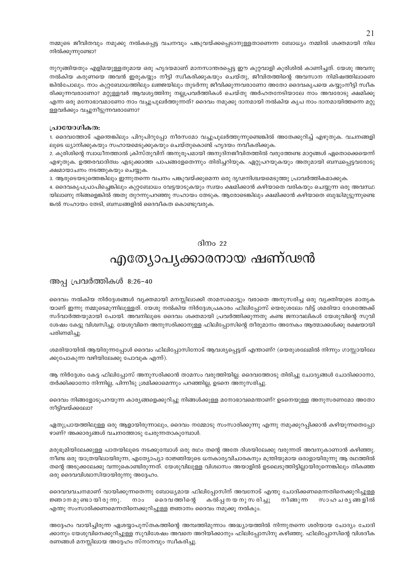നമ്മുടെ ജീവിതവും നമുക്കു നൽകപ്പെട്ട വചനവും പങ്കുവയ്ക്കപ്പെടാനുള്ളതാണെന്ന ബോധ്യം നമ്മിൽ ശക്തമായി നില നിൽക്കുന്നുണ്ടോ?

നുറുങ്ങിയതും എളിമയുള്ളതുമായ ഒരു ഹൃദയമാണ് മാനസാന്തരപ്പെട്ട ഈ കുറ്റവാളി കുരിശിൽ കാണിച്ചത്. യേശു അവനു നൽകിയ കരുണയെ അവൻ ഇരുകയ്യും നീട്ടി സ്ഥീകരിക്കുകയും ചെയ്തു, ജീവിതത്തിന്റെ അവസാന നിമിഷത്തിലാണെ ങ്കിൽപോലും. നാം കുറ്റബോധത്തിലും ലജ്ജയിലും തുടർന്നു ജീവിക്കുന്നവരാണോ അതോ ദൈവകൃപയെ കയ്യുംനീട്ടി സ്വീക രിക്കുന്നവരാണോ? മറ്റുള്ളവർ ആവശ്യത്തിനു നല്ലപ്രവർത്തികൾ ചെയ്തു അർഹതനേടിയാലേ നാം അവരോടു ക്ഷമിക്കൂ എന്ന ഒരു മനോഭാവമാണോ നാം വച്ചുപുലർത്തുന്നത്? ദൈവം നമുക്കു ദാനമായി നൽകിയ കൃപ നാം ദാനമായിത്തന്നെ മറ്റു ള്ളവർക്കും വച്ചുനീട്ടുന്നവരാണോ?

#### പ്രായോഗികത:

1. ദൈവത്തോട് എന്തെങ്കിലും പിറുപിറുപ്പോ നീരസമോ വച്ചുപുലർത്തുന്നുണ്ടെങ്കിൽ അതേക്കുറിച്ച് എഴുതുക. വചനങ്ങളി ലൂടെ ധ്യാനിക്കുകയും സഹായമെടുക്കുകയും ചെയ്തുകൊണ്ട് ഹൃദയം നവീകരിക്കുക.

2. കുരിശിന്റെ സ്വാധീനത്താൽ ക്രിസ്തുവിന് അനുരൂപമായി അനുദിനജീവിതത്തിൽ വരുത്തേണ്ട മാറ്റങ്ങൾ ഏതൊക്കെയെന്ന് എഴുതുക. ഉത്തരവാദിത്വം എടുക്കാത്ത പാപങ്ങളേതെന്നും തിരിച്ചറിയുക. ഏറ്റുപറയുകയും അതുമായി ബന്ധപ്പെട്ടവരോടു ക്ഷമായാചനം നടത്തുകയും ചെയ്യുക.

3. ആരുടെയടുത്തെങ്കിലും ഇന്നുതന്നെ വചനം പങ്കുവയ്ക്കുമെന്ന ഒരു ദൃഢനിശ്ചയമെടുത്തു പ്രാവർത്തികമാക്കുക.

4. ദൈവകൃപപ്രാപിച്ചെങ്കിലും കുറ്റബോധം വേട്ടയാടുകയും സ്വയം ക്ഷമിക്കാൻ കഴിയാതെ വരികയും ചെയ്യുന്ന ഒരു അവസ്ഥ യിലാണു നിങ്ങളെങ്കിൽ അതു തുറന്നുപറഞ്ഞു സഹായം തേടുക. ആരോടെങ്കിലും ക്ഷമിക്കാൻ കഴിയാതെ ബുദ്ധിമുട്ടുന്നുണ്ടെ

ങ്കൽ സഹായം തേടി, ബന്ധങ്ങളിൽ ദൈവീകത കൊണ്ടുവരുക.

#### ദിനം 22

## എത്യോപൃക്കാരനായ ഷണ്ഢൻ

അപ്പ പ്രവർത്തികൾ 8:26-40

ദൈവം നൽകിയ നിർദ്ദേശങ്ങൾ വ്യക്തമായി മനസ്സിലാക്കി താമസമൊട്ടും വരാതെ അനുസരിച്ച ഒരു വ്യക്തിയുടെ മാതൃക യാണ് ഇന്നു നമ്മുടെമുന്നിലുള്ളത്. യേശു നൽകിയ നിർദ്ദേശപ്രകാരം ഫിലിപ്പോസ് യെരുശലേം വിട്ട് ശമരിയാ ദേശത്തേക്ക് സദ്വാർത്തയുമായി പോയി. അവനിലൂടെ ദൈവം ശക്തമായി പ്രവർത്തിക്കുന്നതു കണ്ട ജനാവലികൾ യേശുവിന്റെ സുവി ശേഷം കേട്ടു വിശ്വസിച്ചു. യേശുവിനെ അനുസരിക്കാനുള്ള ഫിലിപ്പോസിന്റെ തീരുമാനം അനേകം ആത്മാക്കൾക്കു രക്ഷയായി പരിണമിച്ചു

ശമരിയായിൽ ആയിരുന്നപ്പോൾ ദൈവം ഫിലിപ്പോസിനോട് ആവശ്യപ്പെട്ടത് എന്താണ്? (യെരുശലേമിൽ നിന്നും ഗാസ്സായിലേ ക്കുപോകുന്ന വഴിയിലേക്കു പോവുക എന്ന്).

ആ നിർദ്ദേശം കേട്ട ഫിലിപ്പോസ് അനുസരിക്കാൻ താമസം വരുത്തിയില്ല. ദൈവത്തോടു തിരിച്ചു ചോദ്യങ്ങൾ ചോദിക്കാനോ, തർക്കിക്കാനോ നിന്നില്ല, പിന്നീടു ശ്രമിക്കാമെന്നും പറഞ്ഞില്ല, ഉടനെ അനുസരിച്ചു.

ദൈവം നിങ്ങളോടുപറയുന്ന കാര്യങ്ങളെക്കുറിച്ചു നിങ്ങൾക്കുള്ള മനോഭാവമെന്താണ്? ഉടനെയുള്ള അനുസരണമോ അതോ നീട്ടിവയ്ക്കലോ?

ഏതുപ്രായത്തിലുള്ള ഒരു ആളായിരുന്നാലും, ദൈവം നമ്മോടു സംസാരിക്കുന്നു എന്നു നമുക്കുറപ്പിക്കാൻ കഴിയുന്നതെപ്പോ ഴാണ്? അക്കാര്യങ്ങൾ വചനത്തോടു ചേരുന്നതാകുമ്പോൾ.

മരുഭൂമിയിലേക്കുള്ള പാതയിലൂടെ നടക്കുമ്പോൾ ഒരു രഥം തന്റെ അതേ ദിശയിലേക്കു വരുന്നത് അവനുകാണാൻ കഴിഞ്ഞു. നീണ്ട ഒരു യാത്രയിലായിരുന്ന, എത്യോപ്യാ രാജ്ഞിയുടെ ധനകാര്യവിചാരകനും മന്ത്രിയുമായ ഒരാളായിരുന്നു ആ രഥത്തിൽ തന്റെ അടുക്കലേക്കു വന്നുകൊണ്ടിരുന്നത്. യേശുവിലുള്ള വിശ്വാസം അയാളിൽ ഉടലെടുത്തിട്ടില്ലായിരുന്നെങ്കിലും തികഞ്ഞ ഒരു ദൈവവിശ്വാസിയായിരുന്നു അദ്ദേഹം.

ദൈവവവചനമാണ് വായിക്കുന്നതെന്നു ബോധ്യമായ ഫിലിപ്പോസിന് അവനോട് എന്തു ചോദിക്കണമെന്നതിനെക്കുറിച്ചുള്ള ദൈവ ത്തിന്റെ ജ്ഞാന മുണ്ടായിരുന്നു. നാം കൽപ്പനയനുസരിച്ചു നീങ്ങുന്ന സാഹചര്യങ്ങളിൽ എന്തു സംസാരിക്കണമെന്നതിനെക്കുറിച്ചുള്ള ജ്ഞാനം ദൈവം നമുക്കു നൽകും.

അദ്ദേഹം വായിച്ചിരുന്ന ഏശയ്യാപുസ്തകത്തിന്റെ അമ്പത്തിമുന്നാം അദ്ധ്യായത്തിൽ നിന്നുതന്നെ ശരിയായ ചോദ്യം ചോദി ക്കാനും യേശുവിനെക്കുറിച്ചുള്ള സുവിശേഷം അവനെ അറിയിക്കാനും ഫിലിപ്പോസിനു കഴിഞ്ഞു. ഫിലിപ്പോസിന്റെ വിശദീക രണങ്ങൾ മനസ്സിലായ അദ്ദേഹം സ്നാനവും സ്ഥീകരിച്ചു.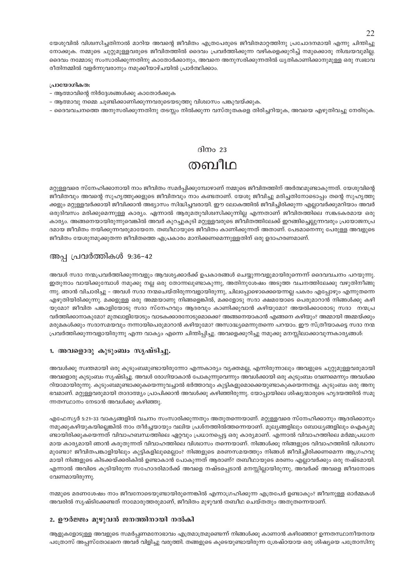യേശുവിൽ വിശ്വസിച്ചതിനാൽ മാറിയ അവന്റെ ജീവിതം എത്രപേരുടെ ജീവിതമാറ്റത്തിനു പ്രചോദനമായി എന്നു ചിന്തിച്ചു നോക്കുക. നമ്മുടെ ചുറ്റുമുള്ളവരുടെ ജീവിതത്തിൽ ദൈവം പ്രവർത്തിക്കുന്ന വഴികളെക്കുറിച്ച് നമുക്കൊരു നിശ്ചയവുമില്ല. ദൈവം നമ്മോടു സംസാരിക്കുന്നതിനു കാതോർക്കാനും, അവനെ അനുസരിക്കുന്നതിൽ ധൃതികാണിക്കാനുമുള്ള ഒരു സ്വഭാവ രീതിനമ്മിൽ വളർന്നുവരാനും നമുക്കീയാഴ്ചയിൽ പ്രാർത്ഥിക്കാം.

#### പ്രായോഗികത:

- ആത്മാവിന്റെ നിർദ്ദേശങ്ങൾക്കു കാതോർക്കുക
- ആത്മാവു നമ്മെ ചൂണ്ടിക്കാണിക്കുന്നവരുടെയടുത്തു വിശ്വാസം പങ്കുവയ്ക്കുക.
- ദൈവവചനത്തെ അനുസരിക്കുന്നതിനു തടസ്സം നിൽക്കുന്ന വസ്തുതകളെ തിരിച്ചറിയുക, അവയെ എഴുതിവച്ചു നേരിടുക.

### ദിനം 23 തബീഥ

മറ്റുള്ളവരെ സ്നേഹിക്കാനായി നാം ജീവിതം സമർപ്പിക്കുമ്പോഴാണ് നമ്മുടെ ജീവിതത്തിന് അർത്ഥമുണ്ടാകുന്നത്. യേശുവിന്റെ ജീവിതവും അവന്റെ സുഹൃത്തുക്കളുടെ ജീവിതവും നാം കണ്ടതാണ്. യേശു ജീവിച്ചു മരിച്ചതിനോടൊപ്പം തന്റെ സുഹൃത്തു ക്കളും മറ്റുള്ളവർക്കായി ജീവിക്കാൻ അഭ്യാസം സിദ്ധിച്ചവരായി. ഈ ലോകത്തിൽ ജീവിച്ചിരിക്കുന്ന എല്ലാവർക്കുമറിയാം അവർ ഒരുദിവസം മരിക്കുമെന്നുള്ള കാര്യം. ഏന്നാൽ ആരുമതുവിശ്വസിക്കുന്നില്ല എന്നതാണ് ജീവിതത്തിലെ സങ്കടകരമായ ഒരു കാര്യം. അങ്ങനെയായിരുന്നുവെങ്കിൽ അവർ കുറച്ചുകൂടി മറ്റുള്ളവരുടെ ജീവിതത്തിലേക്ക് ഇറങ്ങിച്ചെല്ലുന്നവരും പ്രയോജനപ്ര ദമായ ജീവിതം നയിക്കുന്നവരുമായേനേ. തബീഥായുടെ ജീവിതം കാണിക്കുന്നത് അതാണ്. പേടമാനെന്നു പേരുള്ള അവളുടെ ജീവിതം യേശുനമുക്കുതന്ന ജീവിതത്തെ എപ്രകാരം മാനിക്കണമെന്നുള്ളതിന് ഒരു ഉദാഹരണമാണ്.

#### അപ്പ പ്രവർത്തികൾ 9:36-42

അവൾ സദാ നന്മപ്രവർത്തിക്കുന്നവളും ആവശ്യക്കാർക്ക് ഉപകാരങ്ങൾ ചെയ്യുന്നവളുമായിരുന്നെന്ന് ദൈവവചനം പറയുന്നു. ഇതുനാം വായിക്കുമ്പോൾ നമുക്കു നല്ല ഒരു തോന്നലുണ്ടാകുന്നു, അതിനുശേഷം അടുത്ത വചനത്തിലേക്കു വഴുതിനീങ്ങു ന്നു. ഞാൻ വിചാരിച്ചു – അവൾ സദാ നന്മചെയ്തിരുന്നവളായിരുന്നു, ചിലപ്പോഴൊക്കെയെന്നല്ല പകരം എപ്പോഴും എന്നുതന്നെ എഴുതിയിരിക്കുന്നു. മക്കളുള്ള ഒരു അമ്മയാണു നിങ്ങളെങ്കിൽ, മക്കളോടു സദാ ക്ഷമയോടെ പെരുമാറാൻ നിങ്ങൾക്കു കഴി യുമോ? ജീവിത പങ്കാളിയോടു സദാ സ്നേഹവും ആദരവും കാണിക്കുവാൻ കഴിയുമോ? അയൽക്കാരോടു സദാ നന്മപ്ര വർത്തിക്കാനാകുമോ? മുതലാളിയോടും വാടകക്കാരനോടുമൊക്കെ? അങ്ങനെയാകാൻ എങ്ങനെ കഴിയും? അമ്മായി അമ്മയ്ക്കും മരുമകൾക്കും സദാസമയവും നന്നായിപെരുമാറാൻ കഴിയുമോ? അസാദ്ധ്യമെന്നുതന്നെ പറയാം. ഈ സ്ത്രീയാകട്ടെ സദാ നന്മ പ്രവർത്തിക്കുന്നവളായിരുന്നു എന്ന വാക്യം എന്നെ ചിന്തിപ്പിച്ചു. അവളെക്കുറിച്ചു നമുക്കു മനസ്സിലാക്കാവുന്നകാര്യങ്ങൾ:

#### 1. അവളൊരു കുടുംബം സൃഷ്ടിച്ചു.

അവൾക്കു സ്വന്തമായി ഒരു കുടുംബമുണ്ടായിരുന്നോ എന്നകാര്യം വ്യക്തമല്ല, എന്നിരുന്നാലും അവളുടെ ചുറ്റുമുള്ളവരുമായി അവളൊരു കുടുംബം സൃഷ്ടിച്ചു. അവൾ രോഗിയാകാൻ പോകുന്നുവെന്നും അവൾക്കായി ഒരു കുടുംബം വേണമെന്നും അവൾക്ക റിയാമായിരുന്നു. കുടുംബമുണ്ടാക്കുകയെന്നുവച്ചാൽ ഭർത്താവും കുട്ടികളുമൊക്കെയുണ്ടാകുകയെന്നതല്ല. കുടുംബം ഒരു അനു ഭവമാണ്. മറ്റുള്ളവരുമായി താദാത്മ്യം പ്രാപിക്കാൻ അവൾക്കു കഴിഞ്ഞിരുന്നു. യോപ്പായിലെ ശിഷ്യന്മാരുടെ ഹൃദയത്തിൽ സമു ന്നതസ്ഥാനം നേടാൻ അവൾക്കു കഴിഞ്ഞു.

എഫേസ്യർ 5:21–33 വാകൃങ്ങളിൽ വചനം സംസാരിക്കുന്നതും അതുതന്നെയാണ്. മറ്റുള്ളവരെ സ്നേഹിക്കാനും ആദരിക്കാനും നമുക്കുകഴിയുകയില്ലെങ്കിൽ നാം തീർച്ചയായും വലിയ പ്രശ്നത്തിൽത്തന്നെയാണ്. മുല്യങ്ങളിലും ബോധ്യങ്ങളിലും ഐക്യമു ണ്ടായിരിക്കുകയെന്നത് വിവാഹബന്ധത്തിലെ ഏറ്റവും പ്രധാനപ്പെട്ട ഒരു കാര്യമാണ്. എന്നാൽ വിവാഹത്തിലെ മർമ്മപ്രധാന മായ കാര്യമായി ഞാൻ കരുതുന്നത് വിവാഹത്തിലെ വിശ്വാസം തന്നെയാണ്. നിങ്ങൾക്കു നിങ്ങളുടെ വിവാഹത്തിൽ വിശ്വാസ മുണ്ടോ? ജീവിതപങ്കാളിയിലും കുട്ടികളിലുമെല്ലാം? നിങ്ങളുടെ മരണസമയത്തും നിങ്ങൾ ജീവിച്ചിരിക്കണമെന്ന ആഗ്രഹവു മായി നിങ്ങളുടെ കിടക്കയ്ക്കരികിൽ ഉണ്ടാകാൻ പോകുന്നത് ആരാണ്? തബീഥായുടെ മരണം എല്ലാവർക്കും ഒരു നഷ്ടമായി. എന്നാൽ അവിടെ കൂടിയിരുന്ന സഹോദരിമാർക്ക് അവളെ നഷ്ടപ്പെടാൻ മനസ്സില്ലായിരുന്നു, അവർക്ക് അവളെ ജീവനോടെ വേണമായിരുന്നു.

നമ്മുടെ മരണശേഷം നാം ജീവനോടെയുണ്ടായിരുന്നെങ്കിൽ എന്നാഗ്രഹിക്കുന്ന എത്രപേർ ഉണ്ടാകും? ജീവനുള്ള ഓർമ്മകൾ അവരിൽ സൃഷ്ടിക്കേണ്ടത് നാമോരുത്തരുമാണ്, ജീവിതം മുഴുവൻ തബീഥ ചെയ്തതും അതുതന്നെയാണ്.

#### 2. ഊർജ്ജം മുഴുവൻ ജനത്തിനായി നൽകി

ആളുകളോടുള്ള അവളുടെ സമർപ്പണമനോഭാവം എത്രമാത്രമുണ്ടെന്ന് നിങ്ങൾക്കു കാണാൻ കഴിഞ്ഞോ? ഉന്നതസ്ഥാനീയനായ പത്രോസ് അപ്പസ്തോലനെ അവർ വിളിച്ചു വരുത്തി. തങ്ങളുടെ കൂടെയുണ്ടായിരുന്ന ശ്രേഷ്ഠയായ ഒരു ശിഷ്യയെ പത്രോസിനു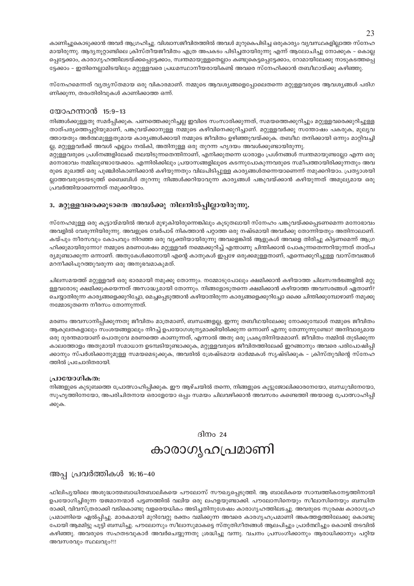കാണിച്ചുകൊടുക്കാൻ അവർ ആഗ്രഹിച്ചു. വിശ്വാസജീവിതത്തിൽ അവൾ മുറുകെപിടിച്ച ഒരുകാര്യം വ്യവസ്ഥകളില്ലാത്ത സ്നേഹ മായിരുന്നു. ആദ്യനൂറ്റാണ്ടിലെ ക്രിസ്തീയജീവിതം എത്ര അപകടം പിടിച്ചതായിരുന്നു എന്ന് ആലോചിച്ചു നോക്കുക – കൊല്ല പ്പെട്ടേക്കാം, കാരാഗൃഹത്തിലടയ്ക്കപ്പെട്ടേക്കാം, സ്വന്തമായുള്ളതെല്ലാം കണ്ടുകെട്ടപ്പെട്ടേക്കാം, റോമായിലേക്കു നാടുകടത്തപ്പെ ട്ടേക്കാം – ഇതിനെല്ലാമിടയിലും മറ്റുള്ളവരെ പ്രധമസ്ഥാനീയരായികണ്ട് അവരെ സ്നേഹിക്കാൻ തബീഥായ്ക്കു കഴിഞ്ഞു.

സ്നേഹമെന്നത് വ്യത്യസ്തമായ ഒരു വികാരമാണ്. നമ്മുടെ ആവശ്യങ്ങളെപ്പോലെതന്നെ മറ്റുള്ളവരുടെ ആവശ്യങ്ങൾ പരിഗ ണിക്കുന്ന, തരംതിരിവുകൾ കാണിക്കാത്ത ഒന്ന്.

#### യോഹന്നാൻ 15:9-13

നിങ്ങൾക്കുള്ളതു സമർപ്പിക്കുക. പണത്തെക്കുറിച്ചല്ല ഇവിടെ സംസാരിക്കുന്നത്, സമയത്തെക്കുറിച്ചും മറ്റുള്ളവരെക്കുറിച്ചുള്ള താത്പര്യത്തെപ്പറ്റിയുമാണ്, പങ്കുവയ്ക്കാനുള്ള നമ്മുടെ കഴിവിനെക്കുറിച്ചാണ്. മറ്റുള്ളവർക്കു സന്തോഷം പകരുക, മുല്യവ ത്തായതും അർത്ഥമുള്ളതുമായ കാര്യങ്ങൾക്കായി നമ്മുടെ ജീവിതം ഉഴിഞ്ഞുവയ്ക്കുക. തബീഥ തനിക്കായി ഒന്നും മാറ്റിവച്ചി ല്ല, മറ്റുള്ളവർക്ക് അവൾ എല്ലാം നൽകി, അതിനുള്ള ഒരു തുറന്ന ഹൃദയം അവൾക്കുണ്ടായിരുന്നു.

മറ്റുള്ളവരുടെ പ്രശ്നങ്ങളിലേക്ക് തലയിടുന്നതെന്തിനാണ്, എനിക്കുതന്നെ ധാരാളം പ്രശ്നങ്ങൾ സ്വന്തമായുണ്ടല്ലോ എന്ന ഒരു മനോഭാവം നമ്മിലുണ്ടായേക്കാം. എന്നിരിക്കിലും പ്രയാസങ്ങളിലൂടെ കടന്നുപോകുന്നവരുടെ സമീപത്തായിരിക്കുന്നതും അവ രുടെ മുഖത്ത് ഒരു പുഞ്ചിരികാണിക്കാൻ കഴിയുന്നതും വിലപിടിപ്പുള്ള കാരൃങ്ങൾതന്നെയാണെന്ന് നമുക്കറിയാം. പ്രത്യാശയി ല്ലാത്തവരുടെയടുത്ത് ബൈബിൾ തുറന്നു നിങ്ങൾക്കറിയാവുന്ന കാര്യങ്ങൾ പങ്കുവയ്ക്കാൻ കഴിയുന്നത് അമൂല്യമായ ഒരു പ്രവർത്തിയാണെന്നത് നമ്പക്കറിയാം.

#### 3. മറ്റുള്ളവരെക്കൂടാതെ അവൾക്കു നിലനിൽപ്പില്ലായിരുന്നു.

സ്നേഹമുള്ള ഒരു കൂട്ടായ്മയിൽ അവൾ മുഴുകിയിരുന്നെങ്കിലും കൂടുതലായി സ്നേഹം പങ്കുവയ്ക്കപ്പെടണമെന്ന മനോഭാവം അവളിൽ വേരുന്നിയിരുന്നു. അവളുടെ വേർപാട് നികത്താൻ പറ്റാത്ത ഒരു നഷ്ടമായി അവർക്കു തോന്നിയതും അതിനാലാണ്. കയ്പും നീരസവും കോപവും നിറഞ്ഞ ഒരു വ്യക്തിയായിരുന്നു അവളെങ്കിൽ ആളുകൾ അവളെ തിരിച്ചു കിട്ടണമെന്ന് ആഗ്ര ഹിക്കുമായിരുന്നോ? നമ്മുടെ മരണശേഷം മറ്റുള്ളവർ നമ്മെക്കുറിച്ച് എന്താണു ചിന്തിക്കാൻ പോകുന്നതെന്നറിയുന്നത് താത്പ ര്യമുണ്ടാക്കുന്ന ഒന്നാണ്. അതുകേൾക്കാനായി എന്റെ കാതുകൾ ഇപ്പഴേ ഒരുക്കമുള്ളതാണ്, എന്നെക്കുറിച്ചുള്ള വാസ്തവങ്ങൾ മറനീക്കിപുറത്തുവരുന്ന ഒരു അനുഭവമാകുമത്.

ചിലസമയത്ത് മറ്റുള്ളവർ ഒരു ഭാരമായി നമുക്കു തോന്നും. നമ്മോടുപോലും ക്ഷമിക്കാൻ കഴിയാത്ത ചിലസന്ദർഭങ്ങളിൽ മറ്റു ള്ളവരോടു ക്ഷമിക്കുകയെന്നത് അസാദ്ധ്യമായി തോന്നും. നിങ്ങളോടുതന്നെ ക്ഷമിക്കാൻ കഴിയാത്ത അവസരങ്ങൾ ഏതാണ്? ചെയ്യാതിരുന്ന കാര്യങ്ങളെക്കുറിച്ചോ, മെച്ചപ്പെടുത്താൻ കഴിയാതിരുന്ന കാര്യങ്ങളെക്കുറിച്ചോ ഒക്കെ ചിന്തിക്കുമ്പോഴാണ് നമുക്കു നമ്മോടുതന്നെ നീരസം തോന്നുന്നത്.

മരണം അവസാനിപ്പിക്കുന്നതു ജീവിതം മാത്രമാണ്, ബന്ധങ്ങളല്ല, ഇന്നു തബീഥയിലേക്കു നോക്കുമ്പോൾ നമ്മുടെ ജീവിതം ആകുലതകളാലും സംശയങ്ങളാലും നിറച്ച് ഉപയോഗശൂന്യമാക്കിയിരിക്കുന്ന ഒന്നാണ് എന്നു തേന്നുന്നുണ്ടോ? അനിവാര്യമായ ഒരു ദുരന്തമായാണ് പൊതുവേ മരണത്തെ കാണുന്നത്, എന്നാൽ അതു ഒരു പ്രകൃതിനിയമമാണ്. ജീവിതം നമ്മിൽ തുടിക്കുന്ന കാലത്തോളം അതുമായി സമാധാന ഉടമ്പടിയുണ്ടാക്കുക, മറ്റുള്ളവരുടെ ജീവിതത്തിലേക്ക് ഇറങ്ങാനും അവരെ പരിപോഷിപ്പി ക്കാനും സ്പർശിക്കാനുമുള്ള സമയമെടുക്കുക, അവരിൽ ശ്രേഷ്ടമായ ഓർമ്മകൾ സൃഷ്ടിക്കുക – ക്രിസ്തുവിന്റെ സ്നേഹ ത്തിൽ പ്രചോദിതരായി.

#### പ്രായോഗികത:

നിങ്ങളുടെ കുടുബത്തെ പ്രോത്സാഹിപ്പിക്കുക. ഈ ആഴ്ചയിൽ തന്നെ, നിങ്ങളുടെ കൂട്ടുജോലിക്കാരനേയോ, ബന്ധുവിനേയോ, സുഹൃത്തിനേയോ, അപരിചിതനായ ഒരാളേയോ ഒപ്പം സമയം ചിലവഴിക്കാൻ അവസരം കണ്ടെത്തി അയാളെ പ്രോത്സാഹിപ്പി ക്കുക.

### ദിനം  $24$ കാരാഗൃഹപ്രമാണി

#### അപ്പ പ്രവർത്തികൾ 16:16-40

ഫിലിപൃയിലെ അശുദ്ധാത്മബാധിതബാലികയെ പൗലോസ് സൗഖ്യപ്പെടുത്തി. ആ ബാലികയെ സാമ്പത്തികനേട്ടത്തിനായി ഉപയോഗിച്ചിരുന്ന യജമാനന്മാർ പട്ടണത്തിൽ വലിയ ഒരു ലഹളയുണ്ടാക്കി. പൗലോസിനെയും സീലാസിനെയും ബന്ധിത രാക്കി, വിവസ്ത്രരാക്കി വടികൊണ്ടു വളരെയധികം അടിച്ചതിനുശേഷം കാരാഗൃഹത്തിലടച്ചു. അവരുടെ സുരക്ഷ കാരാഗൃഹ പ്രമാണിയെ ഏൽപ്പിച്ചു. മാരകമായി മുറിവേറ്റു രക്തം വമിക്കുന്ന അവരെ കാരഗൃഹപ്രമാണി അകത്തളത്തിലേക്കു കൊണ്ടു പോയി ആമമിട്ടു പുട്ടി ബന്ധിച്ചു. പൗലോസും സീലാസുമാകട്ടെ സ്തുതിഗീതങ്ങൾ ആലപിച്ചും പ്രാർത്ഥിച്ചും കൊണ്ട് തടവിൽ കഴിഞ്ഞു. അവരുടെ സഹതടവുകാർ അവർചെയ്യുന്നതു ശ്രദ്ധിച്ചു വന്നു. വചനം പ്രസംഗിക്കാനും ആരാധിക്കാനും പറ്റിയ അവസരവും സ്ഥലവും?!!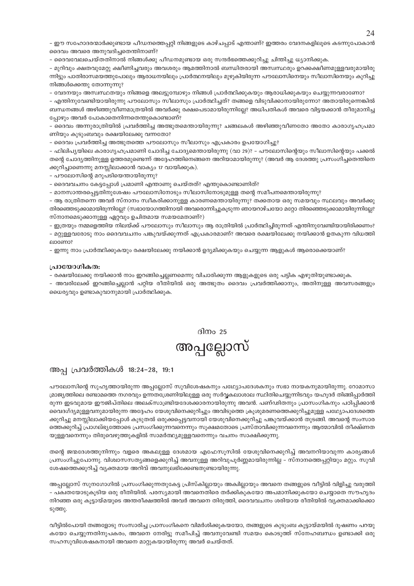– ഈ സഹോദരന്മാർക്കുണ്ടായ പീഡനത്തെപ്പറ്റി നിങ്ങളുടെ കാഴ്ചപ്പാട് എന്താണ്? ഇത്തരം വേദനകളിലൂടെ കടന്നുപോകാൻ ദൈവം അവരെ അനുവദിച്ചതെന്തിനാണ്?

– ദൈവവേലചെയ്തതിനാൽ നിങ്ങൾക്കു പീഡനമുണ്ടായ ഒരു സന്ദർഭത്തെക്കുറിച്ചു ചിന്തിച്ചു ധ്യാനിക്കുക.

– മുറിവും ക്ഷതവുമേറ്റു ക്ഷീണിച്ചവരും അവശരും ആമത്തിനാൽ ബന്ധിതരായി അസ്വസ്ഥരും ഉറക്കക്ഷീണമുള്ളവരുമായിരു ന്നിട്ടും പാതിരാസമയത്തുപോലും ആരാധനയിലും പ്രാർത്ഥനയിലും മുഴുകിയിരുന്ന പൗലോസിനെയും സീലാസിനെയും കുറിച്ചു നിങ്ങൾക്കെന്തു തോന്നുന്നു?

– വേദനയും അസ്വസ്ഥതയും നിങ്ങളെ അലട്ടുമ്പോഴും നിങ്ങൾ പ്രാർത്ഥിക്കുകയും ആരാധിക്കുകയും ചെയ്യുന്നവരാണോ?

– എന്തിനുവേണ്ടിയായിരുന്നു പൗലോസും സീലാസും പ്രാർത്ഥിച്ചത്? തങ്ങളെ വിടുവിക്കാനായിരുന്നോ? അതായിരുന്നെങ്കിൽ ബന്ധനങ്ങൾ അഴിഞ്ഞുവീണമാത്രയിൽ അവർക്കു രക്ഷപെടാമായിരുന്നില്ലേ? അധിപതികൾ അവരെ വിട്ടയക്കാൻ തീരുമാനിച്ച പ്പോഴും അവർ പോകാതെനിന്നതെന്തുകൊണ്ടാണ്?

– ദൈവം അന്നുരാത്രിയിൽ പ്രവർത്തിച്ച അത്ഭുതമെന്തായിരുന്നു? ചങ്ങലകൾ അഴിഞ്ഞുവീണതോ അതോ കാരാഗൃഹപ്രമാ ണിയും കുടുംബവും രക്ഷയിലേക്കു വന്നതോ?

- ദൈവം പ്രവർത്തിച്ച അത്ഭുതത്തെ പൗലോസും സീലാസും എപ്രകാരം ഉപയോഗിച്ചു?

– ഫിലിപ്യയിലെ കാരാഗൃഹപ്രമാണി ചോദിച്ച ചോദ്യമെന്തായിരുന്നു (വാ 29)? – പൗലോസിന്റെയും സീലാസിന്റെയും പക്കൽ തന്റെ ചോദ്യത്തിനുള്ള ഉത്തരമുണ്ടെന്ന് അദ്ദേഹത്തിനെങ്ങനെ അറിയാമായിരുന്നു? (അവർ ആ ദേശത്തു പ്രസംഗിച്ചതെന്തിനെ ക്കുറിച്ചാണെന്നു മനസ്സിലാക്കാൻ വാക്യം 17 വായിക്കുക).

- പൗലോസിന്റെ മറുപടിയെന്തായിരുന്നു?

– ദൈവവചനം കേട്ടപ്പോൾ പ്രമാണി എന്താണു ചെയ്തത്? എന്തുകൊണ്ടാണിത്?

– മാനസാന്തരപ്പെട്ടതിനുശേഷം പൗലോസിനോടും സീലാസിനോടുമുള്ള തന്റെ സമീപനമെന്തായിരുന്നു?

– ആ രാത്രിതന്നെ അവർ സ്നാനം സ്വീകരിക്കാനുള്ള കാരണമെന്തായിരുന്നു? തക്കതായ ഒരു സമയവും സ്ഥലവും അവർക്കു തിരഞ്ഞെടുക്കാമായിരുന്നില്ലേ? (സഭായോഗത്തിനായി അവരൊന്നിച്ചുകൂടുന്ന ഞായറാഴ്ചയോ മറ്റോ തിരഞ്ഞെടുക്കാമായിരുന്നില്ലേ? സ്നാനമെടുക്കാനുള്ള ഏറ്റവും ഉചിതമായ സമയമേതാണ്?)

– ഇത്രയും നമ്മളെത്തിയ നിലയ്ക്ക് പൗലോസും സീലാസും ആ രാത്രിയിൽ പ്രാർത്ഥിച്ചിരുന്നത് എന്തിനുവേണ്ടിയായിരിക്കണം? – മറ്റുള്ളവരോടു നാം ദൈവവചനം പങ്കുവയ്ക്കുന്നത് എപ്രകാരമാണ്? അവരെ രക്ഷയിലേക്കു നയിക്കാൻ ഉതകുന്ന വിധത്തി ലാണോ

– ഇന്നു നാം പ്രാർത്ഥിക്കുകയും രക്ഷയിലേക്കു നയിക്കാൻ ഉദ്യമിക്കുകയും ചെയ്യുന്ന ആളുകൾ ആരൊക്കെയാണ്?

#### പ്രായോഗികത:

– രക്ഷയിലേക്കു നയിക്കാൻ നാം ഇറങ്ങിച്ചെല്ലണമെന്നു വിചാരിക്കുന്ന ആളുകളുടെ ഒരു പട്ടിക എഴുതിയുണ്ടാക്കുക.

– അവരിലേക്ക് ഇറങ്ങിച്ചെല്ലാൻ പറ്റിയ രീതിയിൽ ഒരു അത്ഭുതം ദൈവം പ്രവർത്തിക്കാനും, അതിനുള്ള അവസരങ്ങളും ധൈര്യവും ഉണ്ടാകുവാനുമായി പ്രാർത്ഥിക്കുക.

### ദിനം 25

## അപ്പല്ലോസ്

#### അപ പ്രവർത്തികൾ 18:24-28, 19:1

പൗലോസിന്റെ സുഹൃത്തായിരുന്ന അപ്പല്ലോസ് സുവിശേഷകനും പഥ്വോപദേശകനും സഭാ നായകനുമായിരുന്നു. റോമാസാ മ്രാജ്യത്തിലെ രണ്ടാമത്തെ നഗരവും ഉന്നതശ്രേണിയിലുള്ള ഒരു സർവ്വകലാശാല സ്ഥിതിചെയ്യുന്നിടവും യഹൂദർ തിങ്ങിപ്പാർത്തി രുന്ന ഇടവുമായ ഈജിപ്തിലെ അലക്സാണ്ട്രിയദേശക്കാരനായിരുന്നു അവൻ. പണ്ഢിതനും പ്രാസംഗികനും പഠിപ്പിക്കാൻ വൈദഗ്ദ്യമുള്ളവനുമായിരുന്ന അദ്ദേഹം യേശുവിനെക്കുറിച്ചും അവിടുത്തെ ക്രൂശുമരണത്തെക്കുറിച്ചുമുള്ള പഥ്ര്യോപദേശത്തെ ക്കുറിച്ചു മനസ്സിലാക്കിയപ്പോൾ കൂടുതൽ ഒരുക്കപ്പെട്ടവനായി യേശുവിനെക്കുറിച്ചു പങ്കുവയ്ക്കാൻ തുടങ്ങി. അവന്റെ സംസാര ത്തെക്കുറിച്ച് പ്രാഗല്ഭ്യത്തോടെ പ്രസംഗിക്കുന്നവനെന്നും സുക്ഷമതോടെ പ്രസ്താവിക്കുന്നവനെന്നും ആത്മാവിൽ തീക്ഷ്ണത യുള്ളവനെന്നും തിരുവെഴുത്തുകളിൽ സാമർത്ഥ്യമുള്ളവനെന്നും വചനം സാക്ഷിക്കുന്നു.

തന്റെ ജന്മദേശത്തുനിന്നും വളരെ അകലുള്ള ദേശമായ എഫേസൂസിൽ യേശുവിനെക്കുറിച്ച് അവനറിയാവുന്ന കാര്യങ്ങൾ പ്രസംഗിച്ചുപോന്നു. വിശ്വാസസത്യങ്ങളെക്കുറിച്ച് അവനുള്ള അറിവുപൂർണ്ണമായിരുന്നില്ല – സ്നാനത്തെപ്പറ്റിയും മറ്റും. സുവി ശേഷത്തെക്കുറിച്ച് വ്യക്തമായ അറിവ് അവനുലഭിക്കേണ്ടതുണ്ടായിരുന്നു.

അപ്പല്ലോസ് സുനഗോഗിൽ പ്രസംഗിക്കുന്നതുകേട്ട പ്രിസ്കില്ലായും അക്വില്ലായും അവനെ തങ്ങളുടെ വീട്ടിൽ വിളിച്ചു വരുത്തി – പക്വതയോടുകൂടിയ ഒരു രീതിയിൽ. പരസ്യമായി അവനെതിരെ തർക്കികുകയോ അപമാനിക്കുകയോ ചെയ്യാതെ സൗഹൃദം നിറഞ്ഞ ഒരു കൂട്ടായ്മയുടെ അന്തരീക്ഷത്തിൽ അവർ അവനെ തിരുത്തി, ദൈവവചനം ശരിയായ രീതിയിൽ വ്യക്തമാക്കിക്കൊ ടുത്തു.

വീട്ടിൽപോയി തങ്ങളോടു സംസാരിച്ച പ്രാസംഗികനെ വിമർശിക്കുകയയോ, തങ്ങളുടെ കുടുംബ കൂട്ടായ്മയിൽ ദൂഷണം പറയു കയോ ചെയ്യുന്നതിനുപകരം, അവനെ നേരിട്ടു സമീപിച്ച് അവനുവേണ്ടി സമയം കൊടുത്ത് സ്നേഹബന്ധം ഉണ്ടാക്കി ഒരു സഹസുവിശേഷകനായി അവനെ മാറ്റുകയായിരുന്നു അവർ ചെയ്തത്.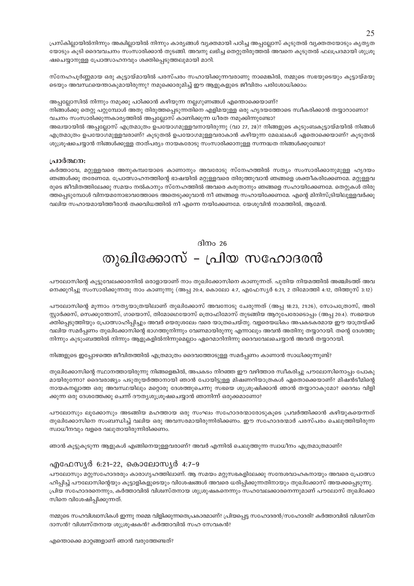പ്രസ്കില്ലായിൽനിന്നും അകില്ലായിൽ നിന്നും കാര്യങ്ങൾ വ്യക്തമായി പഠിച്ച അപ്പല്ലോസ് കൂടുതൽ വ്യക്തതയോടും കൃതൃത യോടും കൂടി ദൈവവചനം സംസാരിക്കാൻ തുടങ്ങി. അവനു ലഭിച്ച തെറ്റുതിരുത്തൽ അവനെ കൂടുതൽ ഫലപ്രദമായി ശുശ്രൂ ഷചെയ്യാനുള്ള പ്രോത്സാഹനവും ശക്തിപ്പെടുത്തലുമായി മാറി.

സ്നേഹപൂർണ്ണമായ ഒരു കൂട്ടായ്മായിൽ പരസ്പരം സഹായിക്കുന്നവരാണു നാമെങ്കിൽ, നമ്മുടെ സഭയുടെയും കൂട്ടായ്മയു ടെയും അവസ്ഥയെന്താകുമായിരുന്നു? നമുക്കൊരുമിച്ച് ഈ ആളുകളുടെ ജീവിതം പരിശോധിക്കാം:

അപ്പല്ലോസിൽ നിന്നും നമുക്കു പഠിക്കാൻ കഴിയുന്ന നല്ലഗുണങ്ങൾ എന്തൊക്കെയാണ്?

നിങ്ങൾക്കു തെറ്റു പറ്റുമ്പോൾ അതു തിരുത്തപ്പെടുന്നതിനെ എളിമയുള്ള ഒരു ഹൃദയത്തോടെ സ്ഥീകരിക്കാൻ തയ്യാറാണോ? വചനം സംസാരിക്കുന്നകാര്യത്തിൽ അപ്പല്ലോസ് കാണിക്കുന്ന ധീരത നമുക്കിന്നുണ്ടോ?

അഖയായിൽ അപ്പല്ലോസ് എത്രമാത്രം ഉപയോഗമുള്ളവനായിരുന്നു (വാ 27, 28)? നിങ്ങളുടെ കുടുംബകൂട്ടായ്മയിൽ നിങ്ങൾ എത്രമാത്രം ഉപയോഗമുള്ളവരാണ്? കൂടുതൽ ഉപയോഗമുള്ളവരാകാൻ കഴിയുന്ന മേഖലകൾ ഏതൊക്കെയാണ്? കൂടുതൽ ശുശ്രൂഷചെയ്യാൻ നിങ്ങൾക്കുള്ള താത്പര്യം നായകരോടു സംസാരിക്കാനുള്ള സന്നദ്ധത നിങ്ങൾക്കുണ്ടോ?

#### പ്രാർത്ഥന:

കർത്താവേ, മറ്റുള്ളവരെ അനുകമ്പയോടെ കാണാനും അവരോടു സ്നേഹത്തിൽ സത്യം സംസാരിക്കാനുമുള്ള ഹൃദയം ഞങ്ങൾക്കു തരേണമേ. പ്രോത്സാഹനത്തിന്റെ ഭാഷയിൽ മറ്റുള്ളവരെ തിരുത്തുവാൻ ഞങ്ങളെ ശക്തീകരിക്കേണമേ. മറ്റുള്ളവ രുടെ ജീവിതത്തിലേക്കു സമയം നൽകാനും സ്നേഹത്തിൽ അവരെ കരുതാനും ഞങ്ങളെ സഹായിക്കേണമേ. തെറ്റുകൾ തിരു ത്തപ്പെടുമ്പോൾ വിനയമനോഭാവത്തോടെ അതെടുക്കുവാൻ നീ ഞങ്ങളെ സഹായിക്കേണമേ. എന്റെ മിനിസ്ട്രിയിലുള്ളവർക്കു വലിയ സഹായമായിത്തീരാൻ തക്കവിധത്തിൽ നീ എന്നെ നയിക്കേണമേ. യേശുവിൻ നാമത്തിൽ, ആമേൻ.

ദിന $\circ$  26

## തുഖിക്കോസ് - പ്രിയ സഹോദരൻ

പൗലോസിന്റെ കൂട്ടുവേലക്കാരനിൽ ഒരാളായാണ് നാം തുഖിക്കോസിനെ കാണുന്നത്. പുതിയ നിയമത്തിൽ അഞ്ചിടത്ത് അവ നെക്കുറിച്ചു സംസാരിക്കുന്നതു നാം കാണുന്നു (അപ്പ 20:4, കൊലോ 4:7, എഫേസ്യർ 6:21, 2 തിമോത്തി 4:12, തിത്തുസ് 3:12)

പൗലോസിന്റെ മൂന്നാം ദൗതൃയാത്രയിലാണ് തുഖിക്കോസ് അവനോടു ചേരുന്നത് (അപ്പ 18:23, 21:26), സോപത്രോസ്, അരി സ്കാർക്കസ്, സെക്കുന്തോസ്, ഗായൊസ്, തിമോഥെയോസ് ത്രൊഫിമോസ് തുടങ്ങിയ ആറുപേരോടൊപ്പം (അപ്പ 20:4). സഭയെശ ക്തിപ്പെടുത്തിയും പ്രോത്സാഹിപ്പിച്ചും അവർ യെരുശലേം വരെ യാത്രചെയ്തു. വളരെയധികം അപകടകരമായ ഈ യാത്രയ്ക്ക് വലിയ സമർപ്പണം തുഖിക്കോസിന്റെ ഭാഗത്തുനിന്നും വേണമായിരുന്നു എന്നാലും അവൻ അതിനു തയ്യാറായി. തന്റെ ദേശത്തു നിന്നും കുടുംബത്തിൽ നിന്നും ആളുകളിൽനിന്നുമെല്ലാം ഏറെമാറിനിന്നു ദൈവവേലചെയ്യാൻ അവൻ തയ്യാറായി.

നിങ്ങളുടെ ഇപ്പോഴത്തെ ജീവിതത്തിൽ എത്രമാത്രം ദൈവത്തോടുള്ള സമർപ്പണം കാണാൻ സാധിക്കുന്നുണ്ട്?

തുഖിക്കോസിന്റെ സ്ഥാനത്തായിരുന്നു നിങ്ങളെങ്കിൽ, അപകടം നിറഞ്ഞ ഈ വഴിത്താര സ്വീകരിച്ചു പൗലോസിനൊപ്പം പോകു മായിരുന്നോ? ദൈവരാജ്യം പടുതുയർത്താനായി ഞാൻ പോയിട്ടുള്ള മിഷണറിയാത്രകൾ ഏതൊക്കെയാണ്? മിഷൻടീമിന്റെ നായകനല്ലാത്ത ഒരു അവസ്ഥയിലും മറ്റൊരു ദേശത്തുചെന്നു സഭയെ ശുശ്രുഷിക്കാൻ ഞാൻ തയ്യാറാകുമോ? ദൈവം വിളി ക്കുന്ന ഒരു ദേശത്തേക്കു ചെന്ന് ദൗത്യശുശൂഷചെയ്യാൻ ഞാനിന്ന് ഒരുക്കമാണോ?

പൗലോസും ലൂക്കോസും അടങ്ങിയ മഹത്തായ ഒരു സംഘം സഹോദരന്മാരോടുകൂടെ പ്രവർത്തിക്കാൻ കഴിയുകയെന്നത് തുഖിക്കോസിനെ സംബന്ധിച്ച് വലിയ ഒരു അവസരമായിരുന്നിരിക്കണം. ഈ സഹോദരന്മാർ പരസ്പരം ചെലുത്തിയിരുന്ന സ്വാധീനവും വളരെ വലുതായിരുന്നിരിക്കണം.

ഞാൻ കുട്ടുകുടുന്ന ആളുകൾ എങ്ങിനെയുള്ളവരാണ്? അവർ എന്നിൽ ചെലുത്തുന്ന സ്വാധീനം എത്രമാത്രമാണ്?

#### എഫേസ്യർ 6:21-22, കൊലോസ്യർ 4:7-9

പൗലോസും മറ്റുസഹോദരരും കാരാഗൃഹത്തിലാണ്. ആ സമയം മറ്റുസഭകളിലേക്കു സന്ദേശവാഹകനായും അവരെ പ്രോത്സാ ഹിപ്പിച്ച് പൗലോസിന്റെയും കൂട്ടാളികളുടെയും വിശേഷങ്ങൾ അവരെ ധരിപ്പിക്കുന്നതിനായും തുഖിക്കോസ് അയക്കപ്പെടുന്നു. പ്രിയ സഹോദരനെന്നും, കർത്താവിൽ വിശ്വസ്തനായ ശുശ്രുഷകനെന്നും സഹവേലക്കാരനെന്നുമാണ് പൗലോസ് തുഖിക്കോ സിനെ വിശേഷിപ്പിക്കുന്നത്.

നമ്മുടെ സഹവിശ്വാസികൾ ഇന്നു നമ്മെ വിളിക്കുന്നതെപ്രകാരമാണ്? പ്രിയപ്പെട്ട സഹോദരൻ/സഹോദരി? കർത്താവിൽ വിശ്വസ്ത ദാസൻ? വിശ്വസ്തനായ ശുശ്രൂഷകൻ? കർത്താവിൽ സഹ സേവകൻ?

എന്തൊക്കെ മാറ്റങ്ങളാണ് ഞാൻ വരുത്തേണ്ടത്?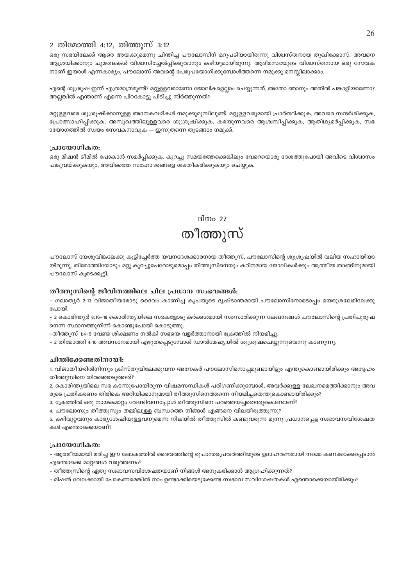#### 2 തിമോത്തി 4:12, തിത്തുസ് 3:12

ഒരു സഭയിലേക്ക് ആരെ അയക്കുമെന്നു ചിന്തിച്ച പൗലോസിന് മറുപടിയായിരുന്നു വിശ്വസ്തനായ തുഖിക്കോസ്. അവനെ ആശ്രയിക്കാനും ചുമതലകൾ വിശ്വസിച്ചേൽപ്പിക്കുവാനും കഴിയുമായിരുന്നു. ആദിമസഭയുടെ വിശ്വസ്തനായ ഒരു സേവക നാണ് ഇയാൾ എന്നകാര്യം, പൗലോസ് അവന്റെ പേരുപയോഗിക്കുമ്പോൾത്തന്നെ നമുക്കു മനസ്സിലാക്കാം.

എന്റെ ശുശ്രുഷ ഇന്ന് എത്രമാത്രമുണ്ട്? മറ്റുള്ളവരാണോ ജോലികളെല്ലാം ചെയ്യുന്നത്, അതോ ഞാനും അതിൽ പങ്കാളിയാണോ? അല്ലങ്കിൽ എന്താണ് എന്നെ പിറകോട്ടു പിടിച്ചു നിർത്തുന്നത്?

മറ്റുള്ളവരെ ശുശ്രുഷിക്കാനുള്ള അനേകവഴികൾ നമുക്കുമുമ്പിലുണ്ട്. മറ്റുള്ളവരുമായി പ്രാർത്ഥിക്കുക, അവരെ സന്ദർശിക്കുക, പ്രോത്സാഹിപ്പിക്കുക, അസുഖത്തിലുള്ളവരെ ശുശ്രൂഷിക്കുക, കരയുന്നവരെ ആശ്വസിപ്പിക്കുക, ആതിഥ്യമർപ്പിക്കുക, സഭ ായോഗത്തിൽ സ്വയം സേവകനാവുക — ഇന്നുതന്നെ തുടങ്ങാം നമുക്ക്.

#### പ്രായോഗികത:

ഒരു മിഷൻ ടീമിൽ പോകാൻ സമർപ്പിക്കുക. കുറച്ചു സമയത്തേക്കെങ്കിലും വേറെയൊരു ദേശത്തുപോയി അവിടെ വിശ്വാസം പങ്കുവയ്ക്കുകയും, അവിടത്തെ സഹോദരങ്ങളെ ശക്തീകരിക്കുകയും ചെയ്യുക.

> ദിനം 27 തീത്തുസ്

പൗലോസ് യേശുവിങ്കലേക്കു കുട്ടിച്ചേർത്ത യവനദേശക്കാരനായ തീത്തുസ്, പൗലോസിന്റെ ശുശ്രുഷയിൽ വലിയ സഹായിയാ യിരുന്നു. തിമോത്തിയോടും മറ്റു കുറച്ചുപേരോടുമൊപ്പം തിത്തുസിനെയും കഠിനമായ ജോലികൾക്കും ആത്മീയ താങ്ങിനുമായി പൗലോസ് കുടെക്കുട്ടി.

#### തീത്തുസിന്റെ ജീവിതത്തിലെ ചില പ്രധാന സംഭവങ്ങൾ:

- ഗലാത്യർ 2:13 വിജാതീയരോടു ദൈവം കാണിച്ച കൃപയുടെ ദൃഷ്ടാന്തമായി പൗലോസിനോടൊപ്പം യെരുശലേമിലേക്കു പോയി

– 2 കൊരിന്ത്യർ 8:16–18 കൊരിന്ത്യയിലെ സഭകളോടു കർക്കശമായി സംസാരിക്കുന്ന ലേഖനങ്ങൾ പൗലോസിന്റെ പ്രതിപുരുഷ നെന്ന സ്ഥാനത്തുനിന്ന് കൊണ്ടുപോയി കൊടുത്തു.

-തീത്തുസ് 1:4-5 വേണ്ട ശിക്ഷണം നൽകി സഭയെ വളർത്താനായി ക്രേത്തിൽ നിയമിച്ചു.

– 2 തിമോത്തി 4:10 അവസാനമായി എഴുതപ്പെടുമ്പോൾ ഡാൽമേഷ്യയിൽ ശുശ്രൂഷചെയ്യുന്നുവെന്നു കാണുന്നു.

#### ചിന്തിക്കേണ്ടതിനായി:

1. വിജാതീയരിൽനിന്നും ക്രിസ്തുവിലേക്കുവന്ന അനേകർ പൗലോസിനൊപ്പമുണ്ടായിട്ടും എന്തുകൊണ്ടായിരിക്കും അദ്ദേഹം തീത്തുസിനെ തിരഞ്ഞെടുത്തത്?

2. കൊരിന്ത്യയിലെ സഭ കടന്നുപോയിരുന്ന വിഷമസന്ധികൾ പരിഗണിക്കുമ്പോൾ, അവർക്കുള്ള ലേഖനമെത്തിക്കാനും അവ രുടെ പ്രതികരണം തിരികെ അറിയിക്കാനുമായി തീത്തൂസിനെത്തന്നെ നിയമിച്ചതെന്തുകൊണ്ടായിരിക്കും?

3. ക്രേത്തിൽ ഒരു നായകമാറ്റം വേണ്ടിവന്നപ്പോൾ തീത്തൂസിനെ പറഞ്ഞയച്ചതെന്തുകൊണ്ടാണ്?

4. പൗലോസും തീത്തുസും തമ്മിലുള്ള ബന്ധത്തെ നിങ്ങൾ എങ്ങനെ വിലയിരുത്തുന്നു?

5. കഴിവുറ്റവനും കാര്യശേഷിയുള്ളവനുമെന്ന നിലയിൽ തീത്തൂസിൽ കണ്ടുവരുന്ന മൂന്നു പ്രധാനപ്പെട്ട സ്വഭാവസവിശേഷത കൾ എന്തൊക്കെയാണ്?

#### പ്രായോഗികത:

– ആത്മീയമായി മരിച്ച ഈ ലോകത്തിൽ ദൈവത്തിന്റെ രൂപാന്തരപ്രവർത്തിയുടെ ഉദാഹരണമായി നമ്മെ കണക്കാക്കപ്പെടാൻ എന്തൊക്കെ മാറങ്ങൾ വരുത്തണം?

- തീത്തുസിന്റെ ഏതു സ്വഭാവസവിശേഷതയാണ് നിങ്ങൾ അനുകരിക്കാൻ ആഗ്രഹിക്കുന്നത്?

– മിഷൻ വേലക്കായി പോകണമെങ്കിൽ നാം ഉണ്ടാക്കിയെടുക്കേണ്ട സ്വഭാവ സവിശേഷതകൾ എന്തൊക്കെയായിരിക്കും?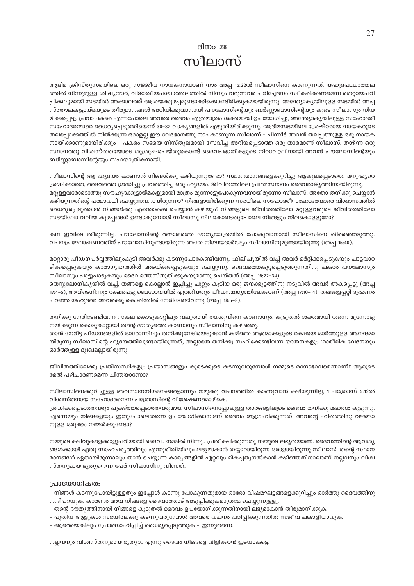### ദിനം  $28$ സീലാസ്

ആദിമ ക്രിസ്തുസഭയിലെ ഒരു സജ്ജീവ നായകനായാണ് നാം അപ്പ 15:22ൽ സീലാസിനെ കാണുന്നത്. യഹൂദപശ്ചാത്തല ത്തിൽ നിന്നുമുള്ള ശിഷ്യന്മാർ, വിജാതീയപശ്ചാത്തലത്തിൽ നിന്നും വരുന്നവർ പരിച്ചേദനം സ്വീകരിക്കണമെന്ന തെറ്റായപഠി പ്പിക്കലുമായി സഭയിൽ അക്കാലത്ത് ആശയക്കുഴപ്പമുണ്ടാക്കിക്കൊണ്ടിരിക്കുകയായിരുന്നു. അന്ത്യോക്യയിലുള്ള സഭയിൽ അപ്പ സ്തോലകൂട്ടായ്മയുടെ തീരുമാനങ്ങൾ അറിയിക്കുവാനായി പൗലോസിന്റെയും ബർണ്ണാബാസിന്റെയും കൂടെ സീലാസും നിയ മിക്കപ്പെട്ടു. പ്രവാചകരെ എന്നപോലെ അവരെ ദൈവം എത്രമാത്രം ശക്തമായി ഉപയോഗിച്ചു, അന്ത്യോകൃയിലുള്ള സഹോദരീ സഹോദരന്മാരെ ധൈര്യപ്പെടുത്തിയെന്ന് 30–32 വാക്യങ്ങളിൽ എഴുതിയിരിക്കുന്നു. ആദിമസഭയിലെ ശ്രേഷ്ഠരായ നായകരുടെ തലപ്പൊക്കത്തിൽ നിൽക്കുന്ന ഒരാളല്ല ഈ വേദഭാഗത്തു നാം കാണുന്ന സീലാസ് – പിന്നീട് അവൻ തലപ്പത്തുള്ള ഒരു നായക നായിക്കാണുമായിരിക്കും – പകരം സഭയെ നിസ്തുലമായി സേവിച്ച അറിയപ്പെടാത്ത ഒരു താരമാണ് സീലാസ്. താഴ്ന്ന ഒരു സ്ഥാനത്തു വിശ്വസ്തതയോടെ ശുശ്രുഷചെയ്തുകൊണ്ട് ദൈവപദ്ധതികളുടെ നിറവേറ്റലിനായി അവൻ പൗലോസിന്റെയും ബർണ്ണാബാസിന്റെയും സഹയാത്രികനായി.

സീലാസിന്റെ ആ ഹൃദയം കാണാൻ നിങ്ങൾക്കു കഴിയുന്നുണ്ടോ? സ്ഥാനമാനങ്ങളെക്കുറിച്ചു ആകുലപ്പെടാതെ, മനുഷ്യരെ ശ്രദ്ധിക്കാതെ, ദൈവത്തെ ശ്രദ്ധിച്ചു പ്രവർത്തിച്ച ഒരു ഹൃദയം. ജീവിതത്തിലെ പ്രഥമസ്ഥാനം ദൈവരാജ്യത്തിനായിരുന്നു. മറ്റുള്ളവരോടൊത്തു സൗഹൃദക്കൂട്ടായ്മകളുമായി മാത്രം മുന്നോട്ടുപോകുന്നവനായിരുന്നോ സീലാസ്, അതോ തനിക്കു ചെയ്യാൻ കഴിയുന്നതിന്റെ പരമാവധി ചെയ്യുന്നവനായിരുന്നോ? നിങ്ങളായിരിക്കുന്ന സഭയിലെ സഹോദരീസഹോദരന്മാരെ വിശ്വാസത്തിൽ ധൈര്യപ്പെടുത്താൻ നിങ്ങൾക്കു എന്തൊക്കെ ചെയ്യാൻ കഴിയും? നിങ്ങളുടെ ജീവിതത്തിലോ മറ്റുള്ളവരുടെ ജീവിതത്തിലോ സഭയിലോ വലിയ കുഴപ്പങ്ങൾ ഉണ്ടാകുമ്പോൾ സീലാസു നിലകൊണ്ടതുപോലെ നിങ്ങളും നിലകൊള്ളുമോ?

കഥ ഇവിടെ തീരുന്നില്ല. പൗലോസിന്റെ രണ്ടാമത്തെ ദൗത്യയാത്രയിൽ പോകുവാനായി സീലാസിനെ തിരഞ്ഞെടുത്തു. വചനപ്രഘോഷണത്തിന് പൗലോസിനുണ്ടായിരുന്ന അതേ നിശ്ചയദാർഢ്യം സീലാസിനുമുണ്ടായിരുന്നു (അപ്പ 15:40).

മറ്റൊരു പീഡനപർവ്വത്തിലുംകൂടി അവർക്കു കടന്നുപോകേണ്ടിവന്നു, ഫിലിപ്യയിൽ വച്ച് അവർ മർദ്ദിക്കപ്പെടുകയും ചാട്ടവാറ ടിക്കപ്പെടുകയും കാരാഗൃഹത്തിൽ അടയ്ക്കപ്പെടുകയും ചെയ്യുന്നു. ദൈവത്തെകുറ്റപ്പെടുത്തുന്നതിനു പകരം പൗലോസും സീലാസും പാട്ടുപാടുകയും ദൈവത്തെസ്തുതിക്കുകയുമാണു ചെയ്തത് (അപ്പ 16:22-34).

തെസ്സലോനിക്യയിൽ വച്ച്, തങ്ങളെ കൊല്ലാൻ ഇച്ചിച്ചു ചുറ്റും കൂടിയ ഒരു ജനക്കുട്ടത്തിനു നടുവിൽ അവർ അകപ്പെട്ടു (അപ്പ 17:4–5), അവിടെനിന്നും രക്ഷപെട്ടു ബെറോവയിൽ എത്തിയതും പീഡനമദ്ധ്യത്തിലേക്കാണ് (അപ്പ 17:10–14). തങ്ങളെപ്പറ്റി ദൂഷണം പറഞ്ഞ യഹൂദരെ അവർക്കു കൊരിന്തിൽ നേരിടേണ്ടിവന്നു (അപ്പ 18:5-8).

തനിക്കു നേരിടേണ്ടിവന്ന സകല കൊടുങ്കാറ്റിലും വലുതായി യേശുവിനെ കാണാനും, കുടുതൽ ശക്തമായി തന്നെ മുന്നോട്ടു നയിക്കുന്ന കൊടുങ്കാറ്റായി തന്റെ ദൗത്യത്തെ കാണാനും സീലാസിനു കഴിഞ്ഞു.

താൻ നേരിട്ട പീഡനങ്ങളിൽ ഓരോന്നിലും തനിക്കുനേടിയെടുക്കാൻ കഴിഞ്ഞ ആത്മാക്കളുടെ രക്ഷയെ ഓർത്തുള്ള ആനന്ദമാ യിരുന്നു സീലാസിന്റെ ഹൃദയത്തിലുണ്ടായിരുന്നത്, അല്ലാതെ തനിക്കു സഹിക്കേണ്ടിവന്ന യാതനകളും ശാരീരിക വേദനയും ഓർത്തുള്ള ദുഃഖമല്ലായിരുന്നു.

ജീവിതത്തിലേക്കു പ്രതിസന്ധികളും പ്രയാസങ്ങളും കൂടെക്കൂടെ കടന്നുവരുമ്പോൾ നമ്മുടെ മനോഭാവമെന്താണ്? ആരുടെ മേൽ പഴിചാരണമെന്ന ചിന്തയാണോ?

സീലാസിനെക്കുറിച്ചുള്ള അവസാനനിഗമനങ്ങളൊന്നും നമുക്കു വചനത്തിൽ കാണുവാൻ കഴിയുന്നില്ല, 1 പത്രോസ് 5:12ൽ വിശ്വസ്തനായ സഹോദരനെന്ന പത്രോസിന്റെ വിശേഷണമൊഴികെ.

ശ്രദ്ധിക്കപ്പെടാത്തവരും പുകഴ്ത്തപ്പെടാത്തവരുമായ സീലാസിനെപ്പോലുള്ള താരങ്ങളിലൂടെ ദൈവം തനിക്കു മഹത്വം കൂട്ടുന്നു. എന്നെയും നിങ്ങളെയും ഇതുപോലെതന്നെ ഉപയോഗിക്കാനാണ് ദൈവം ആഗ്രഹിക്കുന്നത്. അവന്റെ ഹിതത്തിനു വഴങ്ങാ നുള്ള ഒരുക്കം നമ്മൾക്കുണ്ടോ?

നമ്മുടെ കഴിവുകളെക്കാളുപരിയായി ദൈവം നമ്മിൽ നിന്നും പ്രതീക്ഷിക്കുന്നതു നമ്മുടെ ലഭ്യതയാണ്. ദൈവത്തിന്റെ ആവശ്യ ങ്ങൾക്കായി ഏതു സാഹചര്യത്തിലും എന്തുരീതിയിലും ലഭ്യമാകാൻ തയ്യാറായിരുന്ന ഒരാളായിരുന്നു സീലാസ്. തന്റെ സ്ഥാന മാനങ്ങൾ ഏതായിരുന്നാലും താൻ ചെയ്യുന്ന കാര്യങ്ങളിൽ ഏറ്റവും മികച്ചതുനൽകാൻ കഴിഞ്ഞതിനാലാണ് നല്ലവനും വിശ്വ സ്തനുമായ ഭൃത്യനെന്ന പേര് സീലാസിനു വീണത്.

#### പ്രായോഗികത:

– നിങ്ങൾ കടന്നുപോയിട്ടുള്ളതും ഇപ്പോൾ കടന്നു പോകുന്നതുമായ ഓരോ വിഷമഘട്ടങ്ങളെക്കുറിച്ചും ഓർത്തു ദൈവത്തിനു നന്ദിപറയുക, കാരണം അവ നിങ്ങളെ ദൈവത്തോട് അടുപ്പിക്കുകമാത്രമേ ചെയ്യുന്നുള്ളൂ.

– തന്റെ ദൗത്യത്തിനായി നിങ്ങളെ കുടുതൽ ദൈവം ഉപയോഗിക്കുന്നതിനായി ലഭ്യമാകാൻ തീരുമാനിക്കുക.

– പുതിയ ആളുകൾ സഭയിലേക്കു കടന്നുവരുമ്പോൾ അവരെ വചനം പഠിപ്പിക്കുന്നതിൽ സജീവ പങ്കാളിയാവുക.

- ആരെയെങ്കിലും പ്രോത്സാഹിപ്പിച്ച് ധൈര്യപ്പെടുത്തുക – ഇന്നുതന്നെ.

നല്ലവനും വിശ്വസ്തനുമായ ഭൃത്യാ.. എന്നു ദൈവം നിങ്ങളെ വിളിക്കാൻ ഇടയാകട്ടെ.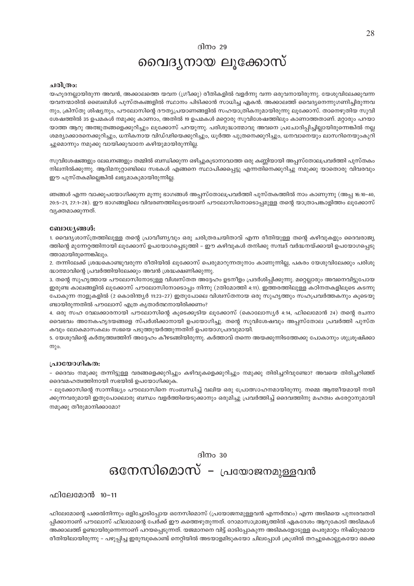ദിനം 29

## വൈദൃനായ ലൂക്കോസ്

#### ചരിത്രം:

യഹൂദനല്ലായിരുന്ന അവൻ, അക്കാലത്തെ യവന (ഗ്രീക്കു) രീതികളിൽ വളർന്നു വന്ന ഒരുവനായിരുന്നു. യേശുവിലേക്കുവന്ന യവനന്മാരിൽ ബൈബിൾ പുസ്തകങ്ങളിൽ സ്ഥാനം പിടിക്കാൻ സാധിച്ച ഏകൻ. അക്കാലത്ത് വൈദ്യനെന്നുഗണിച്ചിരുന്നവ നും, ക്രിസ്തു ശിഷ്യനും, പൗലോസിന്റെ ദൗത്യപ്രയാണങ്ങളിൽ സഹയാത്രികനുമായിരുന്നു ലൂക്കോസ്. താനെഴുതിയ സുവി ശേഷത്തിൽ 35 ഉപമകൾ നമുക്കു കാണാം, അതിൽ 19 ഉപമകൾ മറ്റൊരു സുവിശേഷത്തിലും കാണാത്തതാണ്. മറ്റാരും പറയാ യാത്ത ആറു അത്ഭുതങ്ങളെക്കുറിച്ചും ലൂക്കോസ് പറയുന്നു. പരിശുദ്ധാത്മാവു അവനെ പ്രചോദിപ്പിച്ചില്ലായിരുന്നെങ്കിൽ നല്ല ശമര്യാക്കാരനെക്കുറിച്ചും, ധനികനായ വിഡ്ഢിയെക്കുറിച്ചും, ധൂർത്ത പുത്രനെക്കുറിച്ചും, ധനവാനെയും ലാസറിനെയുംകുറി ച്ചുമൊന്നും നമുക്കു വായിക്കുവാനേ കഴിയുമായിരുന്നില്ല.

സുവിശേഷങ്ങളും ലേഖനങ്ങളും തമ്മിൽ ബന്ധിക്കുന്ന ഒഴിച്ചുകൂടാനാവാത്ത ഒരു കണ്ണിയായി അപ്പസ്തോലപ്രവർത്തി പുസ്തകം നിലനിൽക്കുന്നു. ആദിമനൂറ്റാണ്ടിലെ സഭകൾ എങ്ങനെ സ്ഥാപിക്കപ്പെട്ടു എന്നതിനെക്കുറിച്ചു നമുക്കു യാതൊരു വിവരവും ഈ പുസ്തകമില്ലെങ്കിൽ ലഭ്യമാകുമായിരുന്നില്ല.

ഞങ്ങൾ എന്ന വാക്കുപയോഗിക്കുന്ന മൂന്നു ഭാഗങ്ങൾ അപ്പസ്തോലപ്രവർത്തി പുസ്തകത്തിൽ നാം കാണുന്നു (അപ്പ 16:10–40, 20:5–21, 27:1–28). ഈ ഭാഗങ്ങളിലെ വിവരണത്തിലൂടെയാണ് പൗലോസിനൊടൊപ്പമുള്ള തന്റെ യാത്രാപങ്കാളിത്തം ലൂക്കോസ് വ്യക്തമാക്കുന്നത്.

#### ബോധ്യങ്ങൾ:

1. വൈദ്യശാസ്ത്രത്തിലുള്ള തന്റെ പ്രാവീണ്യവും ഒരു ചരിത്രരചയിതാവ് എന്ന രീതിയുള്ള തന്റെ കഴിവുകളും ദൈവരാജ്യ ത്തിന്റെ മുന്നേറ്റത്തിനായി ലൂക്കോസ് ഉപയോഗപ്പെടുത്തി – ഈ കഴിവുകൾ തനിക്കു സമ്പദ് വർദ്ധനയ്ക്കായി ഉപയോഗപ്പെടു ത്താമായിരുന്നെങ്കിലും.

2. തന്നിലേക്ക് ശ്രദ്ധകൊണ്ടുവരുന്ന രീതിയിൽ ലൂക്കോസ് പെരുമാറുന്നതുനാം കാണുന്നില്ല, പകരം യേശുവിലേക്കും പരിശു ദ്ധാത്മാവിന്റെ പ്രവർത്തിയിലേക്കും അവൻ ശ്രദ്ധക്ഷണിക്കുന്നു.

3. തന്റെ സുഹൃത്തായ പൗലോസിനോടുള്ള വിശ്വസ്തത അദ്ദേഹം ഉടനീളം പ്രദർശിപ്പിക്കുന്നു. മറ്റെല്ലാരും അവനെവിട്ടുപോയ ഇരുണ്ട കാലങ്ങളിൽ ലൂക്കോസ് പൗലോസിനോടൊപ്പം നിന്നു (2തിമോത്തി 4:11). ഇത്തരത്തിലുള്ള കഠിനതകളിലൂടെ കടന്നു പോകുന്ന നാളുകളിൽ (2 കൊരിന്ത്യർ 11:23–27) ഇതുപോലെ വിശ്വസ്തനായ ഒരു സുഹൃത്തും സഹപ്രവർത്തകനും കൂടെയു ണ്ടായിരുന്നതിൽ പൗലോസ് എത്ര കൃതാർത്ഥനായിരിക്കണം?

4. ഒരു സഹ വേലക്കാരനായി പൗലോസിന്റെ കൂടെക്കൂടിയ ലൂക്കോസ് (കൊലോസ്യർ 4:14, ഫിലെമോൻ 24) തന്റെ രചനാ വൈഭവം അനേകഹൃദയങ്ങളെ സ്പർശിക്കാനായി ഉപയോഗിച്ചു. തന്റെ സുവിശേഷവും അപ്പസ്തോല പ്രവർത്തി പുസ്ത കവും ലോകമാസകലം സഭയെ പടുത്തുയർത്തുന്നതിന് ഉപയോഗപ്രദവുമായി.

5. യേശുവിന്റെ കർതൃത്ത്വത്തിന് അദ്ദേഹം കീഴടങ്ങിയിരുന്നു. കർത്താവ് തന്നെ അയക്കുന്നിടത്തേക്കു പോകാനും ശുശ്രൂഷിക്കാ നും.

#### പ്രായോഗികത:

– ദൈവം നമുക്കു തന്നിട്ടുള്ള വരങ്ങളെക്കുറിച്ചും കഴിവുകളെക്കുറിച്ചും നമുക്കു തിരിച്ചറിവുണ്ടോ? അവയെ തിരിച്ചറിഞ്ഞ് ദൈവമഹത്വത്തിനായി സഭയിൽ ഉപയോഗിക്കുക.

– ലൂക്കോസിന്റെ സാന്നിദ്ധ്യം പൗലോസിനെ സംബന്ധിച്ച് വലിയ ഒരു പ്രോത്സാഹനമായിരുന്നു. നമ്മെ ആത്മീയമായി നയി ക്കുന്നവരുമായി ഇതുപോലൊരു ബന്ധം വളർത്തിയെടുക്കാനും ഒരുമിച്ചു പ്രവർത്തിച്ച് ദൈവത്തിനു മഹത്വം കരേറ്റാനുമായി നമുക്കു തീരുമാനിക്കാമോ?

#### ദിനം  $30$

## ഒനേസിമൊസ് - പ്രയോജനമുള്ളവൻ

ഫിലേമോൻ 10-11

ഫിലേമോന്റെ പക്കൽനിന്നും ഒളിച്ചോടിപ്പോയ ഒനേസിമൊസ് (പ്രയോജനമുള്ളവൻ എന്നർത്ഥം) എന്ന അടിമയെ പുനഃരവതരി പ്പിക്കാനാണ് പൗലോസ് ഫിലമോന്റെ പേർക്ക് ഈ കത്തെഴുതുന്നത്. റോമാസാമ്രാജ്യത്തിൽ ഏകദേശം ആറുകോടി അടിമകൾ അക്കാലത്ത് ഉണ്ടായിരുന്നെന്നാണ് പറയപ്പെടുന്നത്. യജമാനനെ വിട്ട് ഓടിപ്പോകുന്ന അടിമകളോടുള്ള പെരുമാറ്റം നിഷ്ഠൂരമായ രീതിയിലായിരുന്നു – പഴുപ്പിച്ച ഇരുമ്പുകൊണ്ട് നെറ്റിയിൽ അടയാളമിടുകയോ ചിലപ്പോൾ ക്രൂശിൽ തറച്ചുകൊല്ലുകയോ ഒക്കെ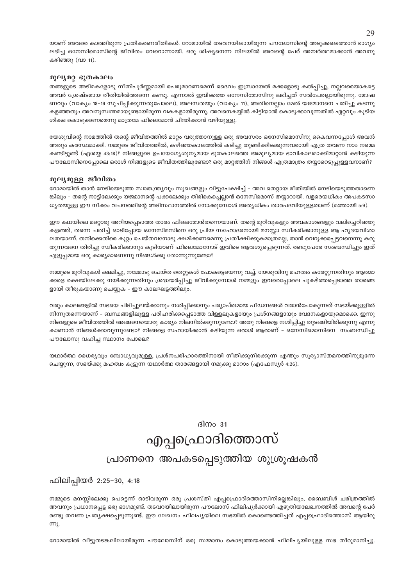യാണ് അവരെ കാത്തിരുന്ന പ്രതികരണരീതികൾ. റോമായിൽ തടവറയിലായിരുന്ന പൗലോസിന്റെ അടുക്കലെത്താൻ ഭാഗ്യം ലഭിച്ച ഒനേസിമൊസിന്റെ ജീവിതം വേറൊന്നായി. ഒരു ശിഷ്യനെന്ന നിലയിൽ അവന്റെ പേര് അമ്പർത്ഥമാക്കാൻ അവനു കഴിഞ്ഞു (വാ 11).

#### മൂല്യമറ്റ ഭൂതകാലം

തങ്ങളുടെ അടിമകളോടു നീതിപൂർണ്ണമായി പെരുമാറണമെന്ന് ദൈവം ഇസ്രായേൽ മക്കളോടു കൽപ്പിച്ചു, നല്ലവരെയാകട്ടെ അവർ ശ്രേഷ്ടമായ രീതിയിൽത്തന്നെ കണ്ടു. എന്നാൽ ഇവിടത്തെ ഒനേസിമോസിനു ലഭിച്ചത് സൽപേരല്ലായിരുന്നു. മോഷ ണവും (വാക്യം 18-19 സുചിപ്പിക്കുന്നതുപോലെ), അലസതയും (വാക്യം 11), അതിനെല്ലാം മേൽ യജമാനനെ ചതിച്ചു കടന്നു കളഞ്ഞതും അവനുസ്ഥന്തമായുണ്ടായിരുന്ന വകകളായിരുന്നു. അവനെകയ്യിൽ കിട്ടിയാൽ കൊടുക്കാവുന്നതിൽ ഏറ്റവും കൂടിയ ശിക്ഷ കൊടുക്കണമെന്നു മാത്രമേ ഫിലെമോൻ ചിന്തിക്കാൻ വഴിയുള്ളു.

യേശുവിന്റെ നാമത്തിൽ തന്റെ ജീവിതത്തിൽ മാറ്റം വരുത്താനുള്ള ഒരു അവസരം ഒനേസിമൊസിനു കൈവന്നപ്പോൾ അവൻ അതും കരസ്ഥമാക്കി. നമ്മുടെ ജീവിതത്തിൽ, കഴിഞ്ഞകാലത്തിൽ കടിച്ചു തൂങ്ങിക്കിടക്കുന്നവരായി എത്ര തവണ നാം നമ്മെ കണ്ടിട്ടുണ്ട് (ഏശയ്യ 43:18)? നിങ്ങളുടെ ഉപയോഗ്യശൂന്യമായ ഭൂതകാലത്തെ അമൂല്യമായ ഭാവികാലമാക്കിമാറ്റാൻ കഴിയുന്ന പൗലോസിനെപ്പോലെ ഒരാൾ നിങ്ങളുടെ ജീവിതത്തിലുണ്ടോ? ഒരു മാറ്റത്തിന് നിങ്ങൾ എത്രമാത്രം തയ്യാറെടുപ്പുള്ളവനാണ്?

#### മുല്യമുള്ള ജീവിതം

റോമായിൽ താൻ നേടിയെടുത്ത സ്വാതന്ത്ര്യവും സുഖങ്ങളും വിട്ടുപേക്ഷിച്ച് – അവ തെറ്റായ രീതിയിൽ നേടിയെടുത്തതാണെ ങ്കിലും – തന്റെ നാട്ടിലേക്കും യജമാനന്റെ പക്കലേക്കും തിരികെച്ചെല്ലാൻ ഒനേസിമൊസ് തയ്യാറായി. വളരെയധികം അപകടസാ ധ്യതയുള്ള ഈ നീക്കം വചനത്തിന്റെ അടിസ്ഥാനത്തിൽ നോക്കുമ്പോൾ അത്യധികം താരപദവിയുള്ളതാണ് (മത്തായി 5:9).

ഈ കഥയിലെ മറ്റൊരു അറിയപ്പെടാത്ത താരം ഫിലെമോൻതന്നെയാണ്. തന്റെ മുറിവുകളും അവകാശങ്ങളും വലിച്ചെറിഞ്ഞു കളഞ്ഞ്, തന്നെ ചതിച്ച് ഓടിപ്പോയ ഒനേസിമസിനെ ഒരു പ്രിയ സഹോദരനായി മനസ്സാ സ്വീകരിക്കാനുള്ള ആ ഹൃദയവിശാ ലതയാണ്. തനിക്കെതിരെ കുറ്റം ചെയ്തവനോടു ക്ഷമിക്കണമെന്നു പ്രതീക്ഷിക്കുകമാത്രമല്ല, താൻ വെറുക്കപ്പെട്ടവനെന്നു കരു തുന്നവനെ തിരിച്ചു സ്വീകരിക്കാനും കൂടിയാണ് ഫിലെമോനോട് ഇവിടെ ആവശ്യപ്പെടുന്നത്. രണ്ടുപേരേ സംബന്ധിച്ചും ഇത് എളുപ്പമായ ഒരു കാര്യമാണെന്നു നിങ്ങൾക്കു തോന്നുന്നുണ്ടോ?

നമ്മുടെ മുറിവുകൾ ക്ഷമിച്ചു, നമ്മോടു ചെയ്ത തെറ്റുകൾ പോകട്ടെയെന്നു വച്ച്, യേശുവിനു മഹത്വം കരേറ്റുന്നതിനും ആത്മാ ക്കളെ രക്ഷയിലേക്കു നയിക്കുന്നതിനും ശ്രദ്ധയർപ്പിച്ചു ജീവിക്കുമ്പോൾ നമ്മളും ഇവരെപ്പോലെ പുകഴ്ത്തപ്പെടാത്ത താരങ്ങ ളായി തീരുകയാണു ചെയ്യുക – ഈ കാലഘട്ടത്തിലും.

വരും കാലങ്ങളിൽ സഭയെ പിടിച്ചുലയ്ക്കാനും നശിപ്പിക്കാനും പര്യാപ്തമായ പീഡനങ്ങൾ വരാൻപോകുന്നത് സഭയ്ക്കുള്ളിൽ നിന്നുതന്നെയാണ് – ബന്ധങ്ങളിലുള്ള പരിഹരിക്കപ്പെടാത്ത വിള്ളലുകളായും പ്രശ്നങ്ങളായും വേദനകളായുമൊക്കെ. ഇന്നു നിങ്ങളുടെ ജീവിതത്തിൽ അങ്ങനെയൊരു കാര്യം നിലനിൽക്കുന്നുണ്ടോ? അതു നിങ്ങളെ നശിപ്പിച്ചു തുടങ്ങിയിരിക്കുന്നു എന്നു കാണാൻ നിങ്ങൾക്കാവുന്നുണ്ടോ? നിങ്ങളെ സഹായിക്കാൻ കഴിയുന്ന ഒരാൾ ആരാണ് – ഒനേസിമൊസിനെ സംബന്ധിച്ചു പൗലോസു വഹിച്ച സ്ഥാനം പോലെ?

യഥാർത്ഥ ധൈര്യവും ബോധ്യവുമുള്ള, പ്രശ്നപരിഹാരത്തിനായി നീതിക്കുനിരക്കുന്ന എന്തും സുര്യാസ്തമനത്തിനുമുന്നേ ചെയ്യുന്ന, സഭയ്ക്കു മഹത്വം കുട്ടുന്ന യഥാർത്ഥ താരങ്ങളായി നമുക്കു മാറാം (എഫേസ്യർ 4:26).

ദിന $\circ$ 31

## എപ്പപ്രൊദിത്തൊസ്

### പ്രാണനെ അപകടപ്പെടുത്തിയ ശുശ്രൂഷകൻ

ഫിലിപ്പിയർ 2:25-30, 4:18

നമ്മുടെ മനസ്സിലേക്കു പെട്ടെന്ന് ഓടിവരുന്ന ഒരു പ്രശസ്തി എപ്പപ്രൊദിത്തൊസിനില്ലെങ്കിലും, ബൈബിൾ ചരിത്രത്തിൽ അവനും പ്രധാനപ്പെട്ട ഒരു ഭാഗമുണ്ട്. തടവറയിലായിരുന്ന പൗലോസ് ഫിലിപ്യർക്കായി എഴുതിയലേഖനത്തിൽ അവന്റെ പേർ രണ്ടു തവണ പ്രത്യക്ഷപെടുന്നുണ്ട്. ഈ ലേഖനം ഫിലപ്യയിലെ സഭയിൽ കൊണ്ടെത്തിച്ചത് എപ്പപ്രൊദിത്തൊസ് ആയിരു m.

റോമായിൽ വീട്ടുതടങ്കലിലായിരുന്ന പൗലോസിന് ഒരു സമ്മാനം കൊടുത്തയക്കാൻ ഫിലിപൃയിലുള്ള സഭ തീരുമാനിച്ചു.